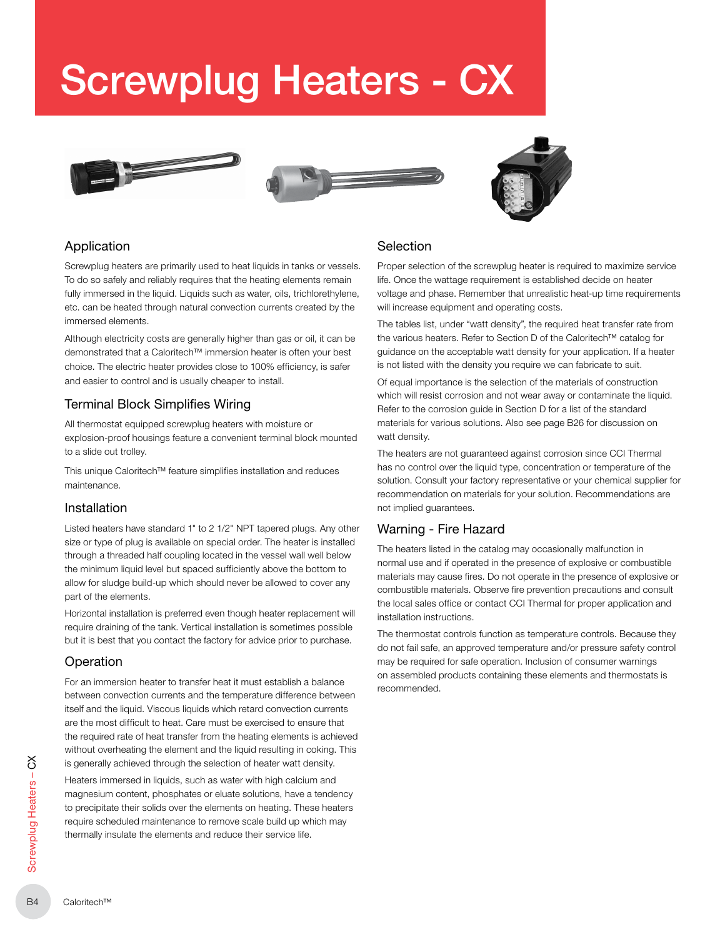# Screwplug Heaters - CX







## Application

Screwplug heaters are primarily used to heat liquids in tanks or vessels. To do so safely and reliably requires that the heating elements remain fully immersed in the liquid. Liquids such as water, oils, trichlorethylene, etc. can be heated through natural convection currents created by the immersed elements.

Although electricity costs are generally higher than gas or oil, it can be demonstrated that a Caloritech™ immersion heater is often your best choice. The electric heater provides close to 100% efficiency, is safer and easier to control and is usually cheaper to install.

## Terminal Block Simplifies Wiring

All thermostat equipped screwplug heaters with moisture or explosion-proof housings feature a convenient terminal block mounted to a slide out trolley.

This unique Caloritech™ feature simplifies installation and reduces maintenance.

## Installation

Listed heaters have standard 1" to 2 1/2" NPT tapered plugs. Any other size or type of plug is available on special order. The heater is installed through a threaded half coupling located in the vessel wall well below the minimum liquid level but spaced sufficiently above the bottom to allow for sludge build-up which should never be allowed to cover any part of the elements.

Horizontal installation is preferred even though heater replacement will require draining of the tank. Vertical installation is sometimes possible but it is best that you contact the factory for advice prior to purchase.

## **Operation**

For an immersion heater to transfer heat it must establish a balance between convection currents and the temperature difference between itself and the liquid. Viscous liquids which retard convection currents are the most difficult to heat. Care must be exercised to ensure that the required rate of heat transfer from the heating elements is achieved without overheating the element and the liquid resulting in coking. This is generally achieved through the selection of heater watt density.

Example 1<br>
B<sub>4</sub> Caloring Heaters imm<br>
magnesium<br>
to precipita<br>
require sch<br>
thermally in<br>
Sexety<br>
Caloritech™<br>
B4 Heaters immersed in liquids, such as water with high calcium and magnesium content, phosphates or eluate solutions, have a tendency to precipitate their solids over the elements on heating. These heaters require scheduled maintenance to remove scale build up which may thermally insulate the elements and reduce their service life.

## Selection

Proper selection of the screwplug heater is required to maximize service life. Once the wattage requirement is established decide on heater voltage and phase. Remember that unrealistic heat-up time requirements will increase equipment and operating costs.

The tables list, under "watt density", the required heat transfer rate from the various heaters. Refer to Section D of the Caloritech™ catalog for guidance on the acceptable watt density for your application. If a heater is not listed with the density you require we can fabricate to suit.

Of equal importance is the selection of the materials of construction which will resist corrosion and not wear away or contaminate the liquid. Refer to the corrosion guide in Section D for a list of the standard materials for various solutions. Also see page B26 for discussion on watt density.

The heaters are not guaranteed against corrosion since CCI Thermal has no control over the liquid type, concentration or temperature of the solution. Consult your factory representative or your chemical supplier for recommendation on materials for your solution. Recommendations are not implied guarantees.

## Warning - Fire Hazard

The heaters listed in the catalog may occasionally malfunction in normal use and if operated in the presence of explosive or combustible materials may cause fires. Do not operate in the presence of explosive or combustible materials. Observe fire prevention precautions and consult the local sales office or contact CCI Thermal for proper application and installation instructions.

The thermostat controls function as temperature controls. Because they do not fail safe, an approved temperature and/or pressure safety control may be required for safe operation. Inclusion of consumer warnings on assembled products containing these elements and thermostats is recommended.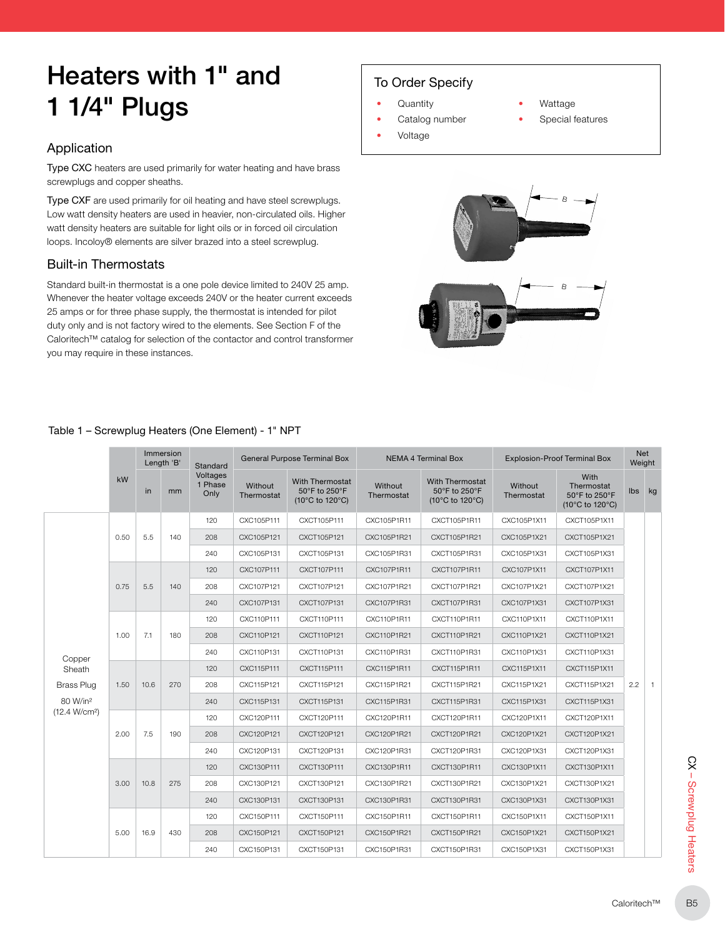## Heaters with 1" and 1 1/4" Plugs

## Application

Type CXC heaters are used primarily for water heating and have brass screwplugs and copper sheaths.

Type CXF are used primarily for oil heating and have steel screwplugs. Low watt density heaters are used in heavier, non-circulated oils. Higher watt density heaters are suitable for light oils or in forced oil circulation loops. Incoloy® elements are silver brazed into a steel screwplug.

## Built-in Thermostats

Standard built-in thermostat is a one pole device limited to 240V 25 amp. Whenever the heater voltage exceeds 240V or the heater current exceeds 25 amps or for three phase supply, the thermostat is intended for pilot duty only and is not factory wired to the elements. See Section F of the Caloritech™ catalog for selection of the contactor and control transformer you may require in these instances.

## To Order Specify

- Quantity
- Catalog number

#### • Wattage

- Special features
- 







## Table 1 – Screwplug Heaters (One Element) - 1" NPT

| Net<br>Weight  |     | <b>Explosion-Proof Terminal Box</b>                                         |                       | <b>NEMA 4 Terminal Box</b>                                 |                       | <b>General Purpose Terminal Box</b>                        |                       | Standard                    | Immersion<br>Length 'B' |      |      |                           |
|----------------|-----|-----------------------------------------------------------------------------|-----------------------|------------------------------------------------------------|-----------------------|------------------------------------------------------------|-----------------------|-----------------------------|-------------------------|------|------|---------------------------|
| kg             | lbs | With<br>Thermostat<br>50°F to 250°F<br>$(10^{\circ}$ C to 120 $^{\circ}$ C) | Without<br>Thermostat | <b>With Thermostat</b><br>50°F to 250°F<br>(10°C to 120°C) | Without<br>Thermostat | <b>With Thermostat</b><br>50°F to 250°F<br>(10°C to 120°C) | Without<br>Thermostat | Voltages<br>1 Phase<br>Only | mm                      | in   | kW   |                           |
|                |     | CXCT105P1X11                                                                | CXC105P1X11           | CXCT105P1R11                                               | CXC105P1R11           | CXCT105P111                                                | CXC105P111            | 120                         |                         |      |      |                           |
|                |     | CXCT105P1X21                                                                | CXC105P1X21           | CXCT105P1R21                                               | CXC105P1R21           | CXCT105P121                                                | CXC105P121            | 208                         | 140                     | 5.5  | 0.50 |                           |
|                |     | CXCT105P1X31                                                                | CXC105P1X31           | CXCT105P1R31                                               | CXC105P1R31           | CXCT105P131                                                | CXC105P131            | 240                         |                         |      |      |                           |
|                |     | CXCT107P1X11                                                                | CXC107P1X11           | CXCT107P1R11                                               | CXC107P1R11           | CXCT107P111                                                | CXC107P111            | 120                         |                         |      |      |                           |
|                |     | CXCT107P1X21                                                                | CXC107P1X21           | CXCT107P1R21                                               | CXC107P1R21           | CXCT107P121                                                | CXC107P121            | 208                         | 140                     | 5.5  | 0.75 |                           |
|                |     | CXCT107P1X31                                                                | CXC107P1X31           | CXCT107P1R31                                               | CXC107P1R31           | CXCT107P131                                                | CXC107P131            | 240                         |                         |      |      |                           |
|                |     | CXCT110P1X11                                                                | CXC110P1X11           | CXCT110P1R11                                               | CXC110P1R11           | CXCT110P111                                                | CXC110P111            | 120                         |                         |      |      |                           |
|                |     | CXCT110P1X21                                                                | CXC110P1X21           | CXCT110P1R21                                               | CXC110P1R21           | CXCT110P121                                                | CXC110P121            | 208                         | 180                     | 7.1  | 1.00 |                           |
|                |     | CXCT110P1X31                                                                | CXC110P1X31           | CXCT110P1R31                                               | CXC110P1R31           | CXCT110P131                                                | CXC110P131            | 240                         |                         |      |      | Copper                    |
|                |     | CXCT115P1X11                                                                | CXC115P1X11           | CXCT115P1R11                                               | CXC115P1R11           | CXCT115P111                                                | CXC115P111            | 120                         |                         |      |      | Sheath                    |
| $\overline{1}$ | 2.2 | CXCT115P1X21                                                                | CXC115P1X21           | CXCT115P1R21                                               | CXC115P1R21           | CXCT115P121                                                | CXC115P121            | 208                         | 270                     | 10.6 | 1.50 | <b>Brass Plug</b>         |
|                |     | CXCT115P1X31                                                                | CXC115P1X31           | CXCT115P1R31                                               | CXC115P1R31           | CXCT115P131                                                | CXC115P131            | 240                         |                         |      |      | 80 W/in <sup>2</sup>      |
|                |     | CXCT120P1X11                                                                | CXC120P1X11           | CXCT120P1R11                                               | CXC120P1R11           | CXCT120P111                                                | CXC120P111            | 120                         |                         |      |      | (12.4 W/cm <sup>2</sup> ) |
|                |     | CXCT120P1X21                                                                | CXC120P1X21           | CXCT120P1R21                                               | CXC120P1R21           | CXCT120P121                                                | CXC120P121            | 208                         | 190                     | 7.5  | 2.00 |                           |
|                |     | CXCT120P1X31                                                                | CXC120P1X31           | CXCT120P1R31                                               | CXC120P1R31           | CXCT120P131                                                | CXC120P131            | 240                         |                         |      |      |                           |
|                |     | CXCT130P1X11                                                                | CXC130P1X11           | CXCT130P1R11                                               | CXC130P1R11           | CXCT130P111                                                | CXC130P111            | 120                         |                         |      |      |                           |
|                |     | CXCT130P1X21                                                                | CXC130P1X21           | CXCT130P1R21                                               | CXC130P1R21           | CXCT130P121                                                | CXC130P121            | 208                         | 275                     | 10.8 | 3.00 |                           |
|                |     | CXCT130P1X31                                                                | CXC130P1X31           | CXCT130P1R31                                               | CXC130P1R31           | CXCT130P131                                                | CXC130P131            | 240                         |                         |      |      |                           |
|                |     | CXCT150P1X11                                                                | CXC150P1X11           | CXCT150P1R11                                               | CXC150P1R11           | CXCT150P111                                                | CXC150P111            | 120                         | 16.9<br>430             |      |      |                           |
|                |     | CXCT150P1X21                                                                | CXC150P1X21           | CXCT150P1R21                                               | CXC150P1R21           | CXCT150P121                                                | CXC150P121            | 208                         |                         |      | 5.00 |                           |
|                |     | CXCT150P1X31                                                                | CXC150P1X31           | CXCT150P1R31                                               | CXC150P1R31           | CXCT150P131                                                | CXC150P131            | 240                         |                         |      |      |                           |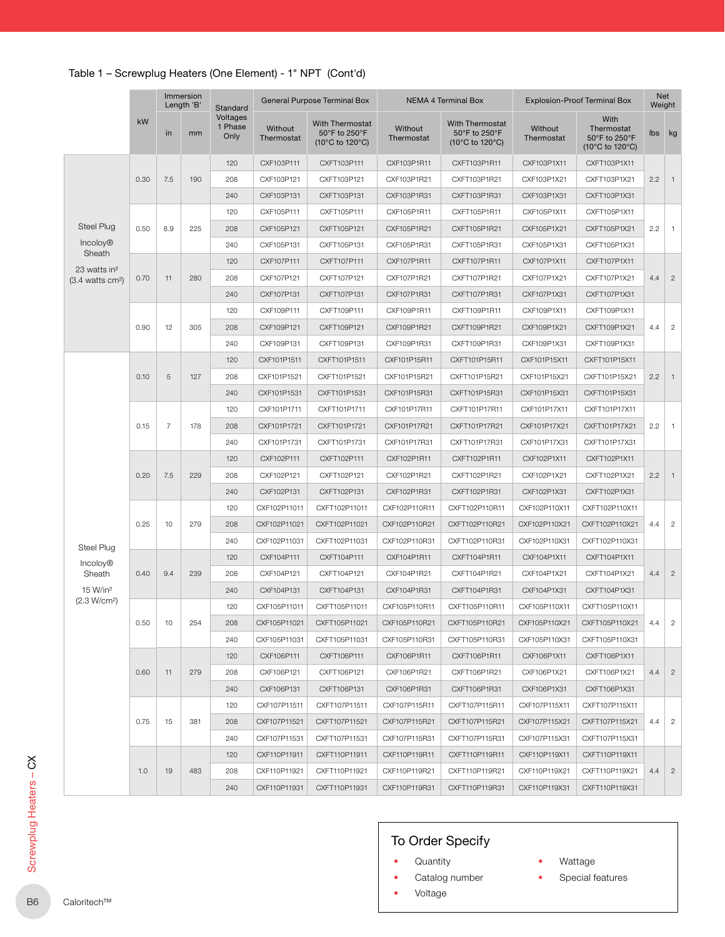|                                                        |      |                | Immersion<br>Length 'B' | Standard                    |                              | General Purpose Terminal Box                               |                                | NEMA 4 Terminal Box                                        |                                | <b>Explosion-Proof Terminal Box</b>                                         |        | Net<br>Weight  |
|--------------------------------------------------------|------|----------------|-------------------------|-----------------------------|------------------------------|------------------------------------------------------------|--------------------------------|------------------------------------------------------------|--------------------------------|-----------------------------------------------------------------------------|--------|----------------|
|                                                        | kW   | in             | mm                      | Voltages<br>1 Phase<br>Only | Without<br>Thermostat        | <b>With Thermostat</b><br>50°F to 250°F<br>(10°C to 120°C) | Without<br>Thermostat          | <b>With Thermostat</b><br>50°F to 250°F<br>(10°C to 120°C) | <b>Without</b><br>Thermostat   | With<br>Thermostat<br>50°F to 250°F<br>$(10^{\circ}$ C to 120 $^{\circ}$ C) | lbs kg |                |
|                                                        |      |                |                         | 120                         | CXF103P111                   | CXFT103P111                                                | CXF103P1R11                    | CXFT103P1R11                                               | CXF103P1X11                    | CXFT103P1X11                                                                |        |                |
|                                                        | 0.30 | 7.5            | 190                     | 208                         | CXF103P121                   | CXFT103P121                                                | CXF103P1R21                    | CXFT103P1R21                                               | CXF103P1X21                    | CXFT103P1X21                                                                | 2.2    | $\overline{1}$ |
|                                                        |      |                |                         | 240                         | CXF103P131                   | CXFT103P131                                                | CXF103P1R31                    | CXFT103P1R31                                               | CXF103P1X31                    | CXFT103P1X31                                                                |        |                |
|                                                        |      |                |                         | 120                         | CXF105P111                   | CXFT105P111                                                | CXF105P1R11                    | CXFT105P1R11                                               | CXF105P1X11                    | CXFT105P1X11                                                                |        |                |
| Steel Plug                                             | 0.50 | 8.9            | 225                     | 208                         | CXF105P121                   | CXFT105P121                                                | CXF105P1R21                    | CXFT105P1R21                                               | CXF105P1X21                    | CXFT105P1X21                                                                | 2.2    | $\overline{1}$ |
| <b>Incoloy®</b>                                        |      |                |                         | 240                         | CXF105P131                   | CXFT105P131                                                | CXF105P1R31                    | CXFT105P1R31                                               | CXF105P1X31                    | CXFT105P1X31                                                                |        |                |
| Sheath                                                 |      |                |                         | 120                         | CXF107P111                   | CXFT107P111                                                | CXF107P1R11                    | CXFT107P1R11                                               | CXF107P1X11                    | CXFT107P1X11                                                                |        |                |
| 23 watts in <sup>2</sup><br>$(3.4 \text{ watts cm}^2)$ | 0.70 | 11             | 280                     | 208                         | CXF107P121                   | CXFT107P121                                                | CXF107P1R21                    | CXFT107P1R21                                               | CXF107P1X21                    | CXFT107P1X21                                                                | 4.4    | $\overline{2}$ |
|                                                        |      |                |                         | 240                         | CXF107P131                   | CXFT107P131                                                | CXF107P1R31                    | CXFT107P1R31                                               | CXF107P1X31                    | CXFT107P1X31                                                                |        |                |
|                                                        |      |                |                         | 120                         | CXF109P111                   | CXFT109P111                                                | CXF109P1R11                    | CXFT109P1R11                                               | CXF109P1X11                    | CXFT109P1X11                                                                |        |                |
|                                                        | 0.90 | 12             | 305                     | 208                         | CXF109P121                   | CXFT109P121                                                | CXF109P1R21                    | CXFT109P1R21                                               | CXF109P1X21                    | CXFT109P1X21                                                                | 4.4    | $\overline{c}$ |
|                                                        |      |                |                         | 240                         | CXF109P131                   | CXFT109P131                                                | CXF109P1R31                    | CXFT109P1R31                                               | CXF109P1X31                    | CXFT109P1X31                                                                |        |                |
|                                                        |      |                |                         | 120                         | CXF101P1511                  | CXFT101P1511                                               | CXF101P15R11                   | CXFT101P15R11                                              | CXF101P15X11                   | CXFT101P15X11                                                               |        |                |
|                                                        | 0.10 | 5              | 127                     | 208                         | CXF101P1521                  | CXFT101P1521                                               | CXF101P15R21                   | CXFT101P15R21                                              | CXF101P15X21                   | CXFT101P15X21                                                               | 2.2    | $\overline{1}$ |
|                                                        |      |                |                         | 240                         | CXF101P1531                  | CXFT101P1531                                               | CXF101P15R31                   | CXFT101P15R31                                              | CXF101P15X31                   | CXFT101P15X31                                                               |        |                |
|                                                        |      |                |                         | 120                         | CXF101P1711                  | CXFT101P1711                                               | CXF101P17R11                   | CXFT101P17R11                                              | CXF101P17X11                   | CXFT101P17X11                                                               |        |                |
|                                                        | 0.15 | $\overline{7}$ | 178                     | 208                         | CXF101P1721                  | CXFT101P1721                                               | CXF101P17R21                   | CXFT101P17R21                                              | CXF101P17X21                   | CXFT101P17X21                                                               | 2.2    | $\overline{1}$ |
|                                                        |      |                |                         | 240                         | CXF101P1731                  | CXFT101P1731                                               | CXF101P17R31                   | CXFT101P17R31                                              | CXF101P17X31                   | CXFT101P17X31                                                               |        |                |
|                                                        |      |                |                         | 120                         | CXF102P111                   | CXFT102P111                                                | CXF102P1R11                    | CXFT102P1R11                                               | CXF102P1X11                    | CXFT102P1X11                                                                |        |                |
|                                                        | 0.20 | 7.5            | 229                     | 208                         | CXF102P121                   | CXFT102P121                                                | CXF102P1R21                    | CXFT102P1R21                                               | CXF102P1X21                    | CXFT102P1X21                                                                | 2.2    | $\overline{1}$ |
|                                                        |      |                |                         | 240                         | CXF102P131                   | CXFT102P131                                                | CXF102P1R31                    | CXFT102P1R31                                               | CXF102P1X31                    | CXFT102P1X31                                                                |        |                |
|                                                        |      |                |                         | 120                         | CXF102P11011                 | CXFT102P11011                                              | CXF102P110R11                  | CXFT102P110R11                                             | CXF102P110X11                  | CXFT102P110X11                                                              |        |                |
|                                                        | 0.25 | 10             | 279                     | 208                         | CXF102P11021                 | CXFT102P11021                                              | CXF102P110R21                  | CXFT102P110R21                                             | CXF102P110X21                  | CXFT102P110X21                                                              | 4.4    |                |
|                                                        |      |                |                         | 240                         | CXF102P11031                 | CXFT102P11031                                              | CXF102P110R31                  | CXFT102P110R31                                             | CXF102P110X31                  | CXFT102P110X31                                                              |        |                |
| Steel Plug                                             |      |                |                         | 120                         | CXF104P111                   | CXFT104P111                                                | CXF104P1R11                    | CXFT104P1R11                                               | CXF104P1X11                    | CXFT104P1X11                                                                |        |                |
| <b>Incoloy®</b><br>Sheath                              | 0.40 | 9.4            | 239                     | 208                         | CXF104P121                   | CXFT104P121                                                | CXF104P1R21                    | CXFT104P1R21                                               | CXF104P1X21                    | CXFT104P1X21                                                                | 4.4    | $\overline{c}$ |
| 15 W/in <sup>2</sup>                                   |      |                |                         | 240                         | CXF104P131                   | CXFT104P131                                                | CXF104P1R31                    | CXFT104P1R31                                               | CXF104P1X31                    | CXFT104P1X31                                                                |        |                |
| (2.3 W/cm <sup>2</sup> )                               |      |                |                         | 120                         | CXF105P11011                 | CXFT105P11011                                              | CXF105P110R11                  | CXFT105P110R11                                             | CXF105P110X11                  | CXFT105P110X11                                                              |        |                |
|                                                        | 0.50 | 10             | 254                     | 208                         | CXF105P11021                 | CXFT105P11021                                              | CXF105P110R21                  | CXFT105P110R21                                             | CXF105P110X21                  | CXFT105P110X21                                                              | 4.4    |                |
|                                                        |      |                |                         | 240                         | CXF105P11031                 | CXFT105P11031                                              | CXF105P110R31                  | CXFT105P110R31                                             | CXF105P110X31                  | CXFT105P110X31                                                              |        |                |
|                                                        |      |                |                         | 120                         | CXF106P111                   | CXFT106P111                                                | CXF106P1R11                    | CXFT106P1R11                                               |                                | CXFT106P1X11                                                                |        |                |
|                                                        | 0.60 | 11             | 279                     | 208                         | CXF106P121                   | CXFT106P121                                                | CXF106P1R21                    | CXFT106P1R21                                               | CXF106P1X11<br>CXF106P1X21     | CXFT106P1X21                                                                | 4.4    | $\overline{c}$ |
|                                                        |      |                |                         |                             |                              |                                                            |                                |                                                            |                                | CXFT106P1X31                                                                |        |                |
|                                                        |      |                |                         | 240                         | CXF106P131                   | CXFT106P131                                                | CXF106P1R31                    | CXFT106P1R31                                               | CXF106P1X31                    |                                                                             |        |                |
|                                                        |      |                |                         | 120                         | CXF107P11511                 | CXFT107P11511                                              | CXF107P115R11                  | CXFT107P115R11                                             | CXF107P115X11                  | CXFT107P115X11                                                              |        |                |
|                                                        | 0.75 | 15             | 381                     | 208                         | CXF107P11521                 | CXFT107P11521                                              | CXF107P115R21                  | CXFT107P115R21                                             | CXF107P115X21                  | CXFT107P115X21                                                              | 4.4    | $\overline{c}$ |
|                                                        |      |                |                         | 240                         | CXF107P11531                 | CXFT107P11531                                              | CXF107P115R31                  | CXFT107P115R31                                             | CXF107P115X31                  | CXFT107P115X31                                                              |        |                |
|                                                        |      |                |                         | 120                         | CXF110P11911                 | CXFT110P11911                                              | CXF110P119R11                  | CXFT110P119R11                                             | CXF110P119X11                  | CXFT110P119X11                                                              |        |                |
|                                                        | 1.0  | 19             | 483                     | 208<br>240                  | CXF110P11921<br>CXF110P11931 | CXFT110P11921<br>CXFT110P11931                             | CXF110P119R21<br>CXF110P119R31 | CXFT110P119R21<br>CXFT110P119R31                           | CXF110P119X21<br>CXF110P119X31 | CXFT110P119X21<br>CXFT110P119X31                                            | 4.4    | $\overline{c}$ |

- Quantity
- Catalog number
- Voltage
- Wattage
- Special features
- 
-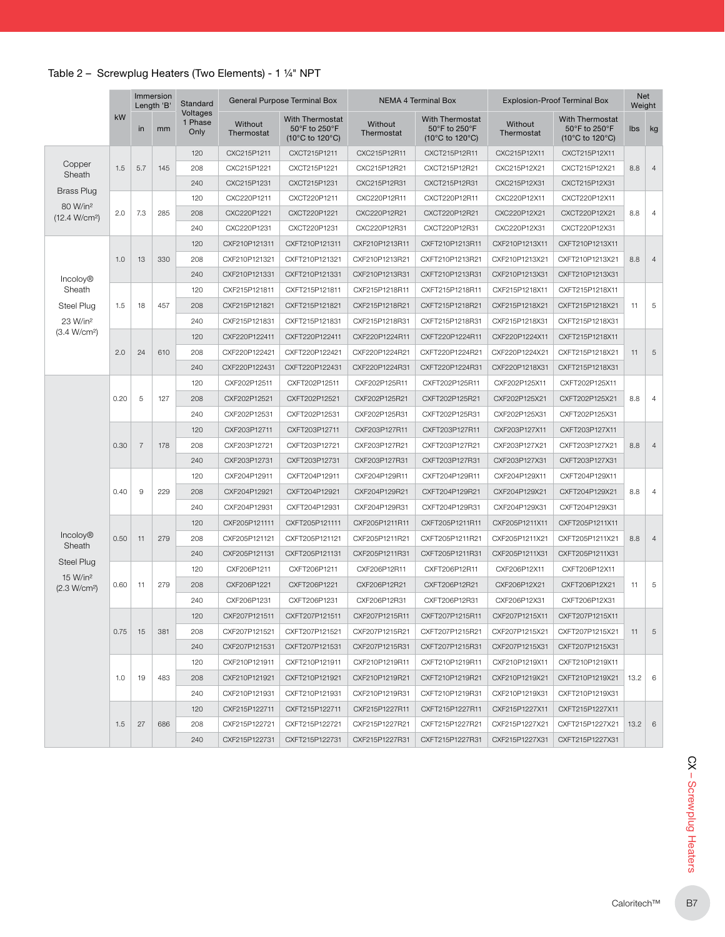## Table 2 – Screwplug Heaters (Two Elements) - 1 ¼" NPT

|                                                   |      |                | Immersion<br>Length 'B' | Standard                    |                       | General Purpose Terminal Box                               |                       | <b>NEMA 4 Terminal Box</b>                                 |                       | <b>Explosion-Proof Terminal Box</b>                        | <b>Net</b><br>Weight |                |
|---------------------------------------------------|------|----------------|-------------------------|-----------------------------|-----------------------|------------------------------------------------------------|-----------------------|------------------------------------------------------------|-----------------------|------------------------------------------------------------|----------------------|----------------|
|                                                   | kW   | in             | mm                      | Voltages<br>1 Phase<br>Only | Without<br>Thermostat | <b>With Thermostat</b><br>50°F to 250°F<br>(10°C to 120°C) | Without<br>Thermostat | <b>With Thermostat</b><br>50°F to 250°F<br>(10°C to 120°C) | Without<br>Thermostat | <b>With Thermostat</b><br>50°F to 250°F<br>(10°C to 120°C) | Ibs                  | kg             |
|                                                   |      |                |                         | 120                         | CXC215P1211           | CXCT215P1211                                               | CXC215P12R11          | CXCT215P12R11                                              | CXC215P12X11          | CXCT215P12X11                                              |                      |                |
| Copper                                            | 1.5  | 5.7            | 145                     | 208                         | CXC215P1221           | CXCT215P1221                                               | CXC215P12R21          | CXCT215P12R21                                              | CXC215P12X21          | CXCT215P12X21                                              | 8.8                  | $\overline{4}$ |
| Sheath                                            |      |                |                         | 240                         | CXC215P1231           | CXCT215P1231                                               | CXC215P12R31          | CXCT215P12R31                                              | CXC215P12X31          | CXCT215P12X31                                              |                      |                |
| <b>Brass Plug</b>                                 |      |                |                         | 120                         | CXC220P1211           | CXCT220P1211                                               | CXC220P12R11          | CXCT220P12R11                                              | CXC220P12X11          | CXCT220P12X11                                              |                      |                |
| 80 W/in <sup>2</sup><br>(12.4 W/cm <sup>2</sup> ) | 2.0  | 7.3            | 285                     | 208                         | CXC220P1221           | CXCT220P1221                                               | CXC220P12R21          | CXCT220P12R21                                              | CXC220P12X21          | CXCT220P12X21                                              | 8.8                  | $\overline{4}$ |
|                                                   |      |                |                         | 240                         | CXC220P1231           | CXCT220P1231                                               | CXC220P12R31          | CXCT220P12R31                                              | CXC220P12X31          | CXCT220P12X31                                              |                      |                |
|                                                   |      |                |                         | 120                         | CXF210P121311         | CXFT210P121311                                             | CXF210P1213R11        | CXFT210P1213R11                                            | CXF210P1213X11        | CXFT210P1213X11                                            |                      |                |
|                                                   | 1.0  | 13             | 330                     | 208                         | CXF210P121321         | CXFT210P121321                                             | CXF210P1213R21        | CXFT210P1213R21                                            | CXF210P1213X21        | CXFT210P1213X21                                            | 8.8                  | $\overline{4}$ |
| <b>Incoloy®</b>                                   |      |                |                         | 240                         | CXF210P121331         | CXFT210P121331                                             | CXF210P1213R31        | CXFT210P1213R31                                            | CXF210P1213X31        | CXFT210P1213X31                                            |                      |                |
| Sheath                                            |      |                |                         | 120                         | CXF215P121811         | CXFT215P121811                                             | CXF215P1218R11        | CXFT215P1218R11                                            | CXF215P1218X11        | CXFT215P1218X11                                            |                      |                |
| Steel Plug                                        | 1.5  | 18             | 457                     | 208                         | CXF215P121821         | CXFT215P121821                                             | CXF215P1218R21        | CXFT215P1218R21                                            | CXF215P1218X21        | CXFT215P1218X21                                            | 11                   | $\,$ 5 $\,$    |
| 23 W/in <sup>2</sup>                              |      |                |                         | 240                         | CXF215P121831         | CXFT215P121831                                             | CXF215P1218R31        | CXFT215P1218R31                                            | CXF215P1218X31        | CXFT215P1218X31                                            |                      |                |
| (3.4 W/cm <sup>2</sup> )                          |      |                |                         | 120                         | CXF220P122411         | CXFT220P122411                                             | CXF220P1224R11        | CXFT220P1224R11                                            | CXF220P1224X11        | CXFT215P1218X11                                            |                      |                |
|                                                   | 2.0  | 24             | 610                     | 208                         | CXF220P122421         | CXFT220P122421                                             | CXF220P1224R21        | CXFT220P1224R21                                            | CXF220P1224X21        | CXFT215P1218X21                                            | 11                   | $\,$ 5 $\,$    |
|                                                   |      |                |                         | 240                         | CXF220P122431         | CXFT220P122431                                             | CXF220P1224R31        | CXFT220P1224R31                                            | CXF220P1218X31        | CXFT215P1218X31                                            |                      |                |
|                                                   |      |                |                         | 120                         | CXF202P12511          | CXFT202P12511                                              | CXF202P125R11         | CXFT202P125R11                                             | CXF202P125X11         | CXFT202P125X11                                             |                      |                |
|                                                   | 0.20 | 5              | 127                     | 208                         | CXF202P12521          | CXFT202P12521                                              | CXF202P125R21         | CXFT202P125R21                                             | CXF202P125X21         | CXFT202P125X21                                             | 8.8                  | $\overline{4}$ |
|                                                   |      |                |                         | 240                         | CXF202P12531          | CXFT202P12531                                              | CXF202P125R31         | CXFT202P125R31                                             | CXF202P125X31         | CXFT202P125X31                                             |                      |                |
|                                                   |      |                |                         | 120                         | CXF203P12711          | CXFT203P12711                                              | CXF203P127R11         | CXFT203P127R11                                             | CXF203P127X11         | CXFT203P127X11                                             |                      |                |
|                                                   | 0.30 | $\overline{7}$ | 178                     | 208                         | CXF203P12721          | CXFT203P12721                                              | CXF203P127R21         | CXFT203P127R21                                             | CXF203P127X21         | CXFT203P127X21                                             | 8.8                  | $\overline{4}$ |
|                                                   |      |                |                         | 240                         | CXF203P12731          | CXFT203P12731                                              | CXF203P127R31         | CXFT203P127R31                                             | CXF203P127X31         | CXFT203P127X31                                             |                      |                |
|                                                   |      |                |                         | 120                         | CXF204P12911          | CXFT204P12911                                              | CXF204P129R11         | CXFT204P129R11                                             | CXF204P129X11         | CXFT204P129X11                                             |                      |                |
|                                                   | 0.40 | 9              | 229                     | 208                         | CXF204P12921          | CXFT204P12921                                              | CXF204P129R21         | CXFT204P129R21                                             | CXF204P129X21         | CXFT204P129X21                                             | 8.8                  | $\overline{4}$ |
|                                                   |      |                |                         | 240                         | CXF204P12931          | CXFT204P12931                                              | CXF204P129R31         | CXFT204P129R31                                             | CXF204P129X31         | CXFT204P129X31                                             |                      |                |
|                                                   |      |                |                         | 120                         | CXF205P121111         | CXFT205P121111                                             | CXF205P1211R11        | CXFT205P1211R11                                            | CXF205P1211X11        | CXFT205P1211X11                                            |                      |                |
| <b>Incoloy®</b>                                   | 0.50 | 11             | 279                     | 208                         | CXF205P121121         | CXFT205P121121                                             | CXF205P1211R21        | CXFT205P1211R21                                            | CXF205P1211X21        | CXFT205P1211X21                                            | 8.8                  | $\overline{4}$ |
| Sheath                                            |      |                |                         | 240                         | CXF205P121131         | CXFT205P121131                                             | CXF205P1211R31        | CXFT205P1211R31                                            | CXF205P1211X31        | CXFT205P1211X31                                            |                      |                |
| <b>Steel Plug</b>                                 |      |                |                         | 120                         | CXF206P1211           | CXFT206P1211                                               | CXF206P12R11          | CXFT206P12R11                                              | CXF206P12X11          | CXFT206P12X11                                              |                      |                |
| 15 W/in <sup>2</sup><br>(2.3 W/cm <sup>2</sup> )  | 0.60 | 11             | 279                     | 208                         | CXF206P1221           | CXFT206P1221                                               | CXF206P12R21          | CXFT206P12R21                                              | CXF206P12X21          | CXFT206P12X21                                              | 11                   | 5              |
|                                                   |      |                |                         | 240                         | CXF206P1231           | CXFT206P1231                                               | CXF206P12R31          | CXFT206P12R31                                              | CXF206P12X31          | CXFT206P12X31                                              |                      |                |
|                                                   |      |                |                         | 120                         | CXF207P121511         | CXFT207P121511                                             | CXF207P1215R11        | CXFT207P1215R11                                            | CXF207P1215X11        | CXFT207P1215X11                                            |                      |                |
|                                                   | 0.75 | 15             | 381                     | 208                         | CXF207P121521         | CXFT207P121521                                             | CXF207P1215R21        | CXFT207P1215R21                                            | CXF207P1215X21        | CXFT207P1215X21                                            | 11                   | 5              |
|                                                   |      |                |                         | 240                         | CXF207P121531         | CXFT207P121531                                             | CXF207P1215R31        | CXFT207P1215R31                                            | CXF207P1215X31        | CXFT207P1215X31                                            |                      |                |
|                                                   |      |                |                         | 120                         | CXF210P121911         | CXFT210P121911                                             | CXF210P1219R11        | CXFT210P1219R11                                            | CXF210P1219X11        | CXFT210P1219X11                                            |                      |                |
|                                                   | 1.0  | 19             | 483                     | 208                         | CXF210P121921         | CXFT210P121921                                             | CXF210P1219R21        | CXFT210P1219R21                                            | CXF210P1219X21        | CXFT210P1219X21                                            | 13.2                 | 6              |
|                                                   |      |                |                         | 240                         | CXF210P121931         | CXFT210P121931                                             | CXF210P1219R31        | CXFT210P1219R31                                            | CXF210P1219X31        | CXFT210P1219X31                                            |                      |                |
|                                                   |      |                |                         | 120                         | CXF215P122711         | CXFT215P122711                                             | CXF215P1227R11        | CXFT215P1227R11                                            | CXF215P1227X11        | CXFT215P1227X11                                            |                      |                |
|                                                   | 1.5  | 27             | 686                     | 208                         | CXF215P122721         | CXFT215P122721                                             | CXF215P1227R21        | CXFT215P1227R21                                            | CXF215P1227X21        | CXFT215P1227X21                                            | $13.2 \mid 6$        |                |
|                                                   |      |                |                         | 240                         | CXF215P122731         | CXFT215P122731                                             | CXF215P1227R31        | CXFT215P1227R31                                            | CXF215P1227X31        | CXFT215P1227X31                                            |                      |                |
|                                                   |      |                |                         |                             |                       |                                                            |                       |                                                            |                       |                                                            |                      |                |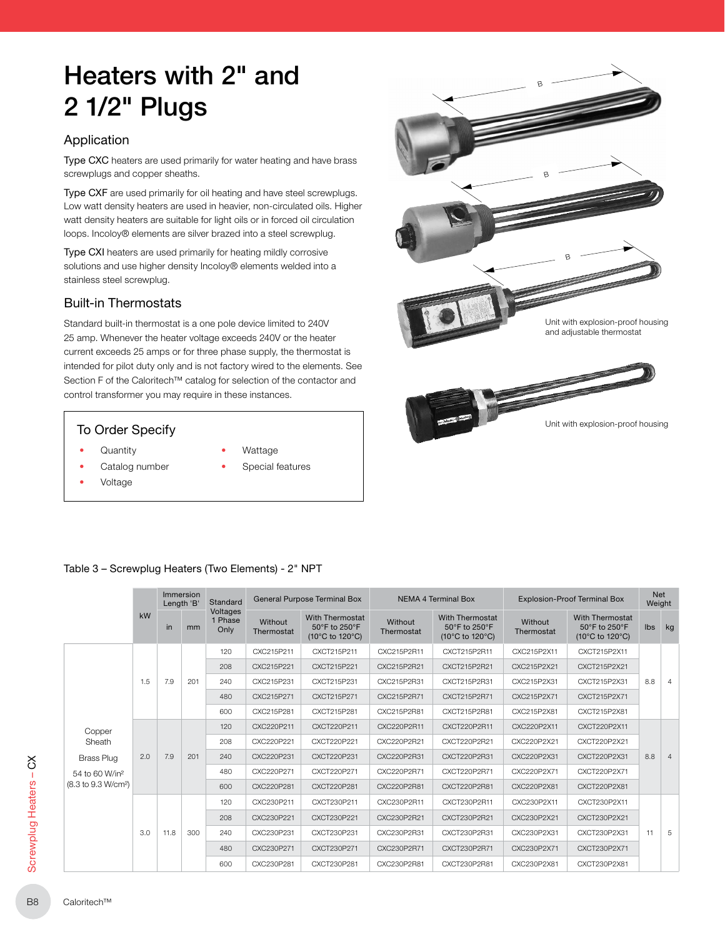## Heaters with 2" and 2 1/2" Plugs

## Application

Type CXC heaters are used primarily for water heating and have brass screwplugs and copper sheaths.

Type CXF are used primarily for oil heating and have steel screwplugs. Low watt density heaters are used in heavier, non-circulated oils. Higher watt density heaters are suitable for light oils or in forced oil circulation loops. Incoloy® elements are silver brazed into a steel screwplug.

Type CXI heaters are used primarily for heating mildly corrosive solutions and use higher density Incoloy® elements welded into a stainless steel screwplug.

## Built-in Thermostats

Standard built-in thermostat is a one pole device limited to 240V 25 amp. Whenever the heater voltage exceeds 240V or the heater current exceeds 25 amps or for three phase supply, the thermostat is intended for pilot duty only and is not factory wired to the elements. See Section F of the Caloritech™ catalog for selection of the contactor and control transformer you may require in these instances.

- **Quantity**
- Catalog number
- Voltage
- **Wattage**
- Special features



#### Table 3 – Screwplug Heaters (Two Elements) - 2" NPT

|                                 |     |      | Immersion<br>Length 'B' | Standard                    |                       | <b>General Purpose Terminal Box</b>                        |                              | <b>NEMA 4 Terminal Box</b>                                 |                       | <b>Explosion-Proof Terminal Box</b>                        |     | Net<br>Weight  |
|---------------------------------|-----|------|-------------------------|-----------------------------|-----------------------|------------------------------------------------------------|------------------------------|------------------------------------------------------------|-----------------------|------------------------------------------------------------|-----|----------------|
|                                 | kW  | in   | mm                      | Voltages<br>1 Phase<br>Only | Without<br>Thermostat | <b>With Thermostat</b><br>50°F to 250°F<br>(10°C to 120°C) | <b>Without</b><br>Thermostat | <b>With Thermostat</b><br>50°F to 250°F<br>(10°C to 120°C) | Without<br>Thermostat | <b>With Thermostat</b><br>50°F to 250°F<br>(10°C to 120°C) | Ibs | kg             |
|                                 |     |      |                         | 120                         | CXC215P211            | CXCT215P211                                                | CXC215P2R11                  | CXCT215P2R11                                               | CXC215P2X11           | CXCT215P2X11                                               |     |                |
|                                 |     |      |                         | 208                         | CXC215P221            | CXCT215P221                                                | CXC215P2R21                  | CXCT215P2R21                                               | CXC215P2X21           | CXCT215P2X21                                               |     |                |
|                                 | 1.5 | 7.9  | 201                     | 240                         | CXC215P231            | CXCT215P231                                                | CXC215P2R31                  | CXCT215P2R31                                               | CXC215P2X31           | CXCT215P2X31                                               | 8.8 | $\overline{4}$ |
|                                 |     |      |                         | 480                         | CXC215P271            | CXCT215P271                                                | CXC215P2R71                  | CXCT215P2R71                                               | CXC215P2X71           | CXCT215P2X71                                               |     |                |
|                                 |     |      |                         | 600                         | CXC215P281            | CXCT215P281                                                | CXC215P2R81                  | CXCT215P2R81                                               | CXC215P2X81           | CXCT215P2X81                                               |     |                |
| Copper                          |     |      |                         | 120                         | CXC220P211            | CXCT220P211                                                | CXC220P2R11                  | CXCT220P2R11                                               | CXC220P2X11           | CXCT220P2X11                                               |     |                |
| Sheath                          |     |      |                         | 208                         | CXC220P221            | CXCT220P221                                                | CXC220P2R21                  | CXCT220P2R21                                               | CXC220P2X21           | CXCT220P2X21                                               |     |                |
| <b>Brass Plug</b>               | 2.0 | 7.9  | 201                     | 240                         | CXC220P231            | CXCT220P231                                                | CXC220P2R31                  | CXCT220P2R31                                               | CXC220P2X31           | CXCT220P2X31                                               | 8.8 | $\overline{4}$ |
| 54 to 60 W/in <sup>2</sup>      |     |      |                         | 480                         | CXC220P271            | CXCT220P271                                                | CXC220P2R71                  | CXCT220P2R71                                               | CXC220P2X71           | CXCT220P2X71                                               |     |                |
| (8.3 to 9.3 W/cm <sup>2</sup> ) |     |      |                         | 600                         | CXC220P281            | CXCT220P281                                                | CXC220P2R81                  | CXCT220P2R81                                               | CXC220P2X81           | CXCT220P2X81                                               |     |                |
|                                 |     |      |                         | 120                         | CXC230P211            | CXCT230P211                                                | CXC230P2R11                  | CXCT230P2R11                                               | CXC230P2X11           | CXCT230P2X11                                               |     |                |
|                                 |     |      |                         | 208                         | CXC230P221            | CXCT230P221                                                | CXC230P2R21                  | CXCT230P2R21                                               | CXC230P2X21           | CXCT230P2X21                                               |     |                |
|                                 | 3.0 | 11.8 | 300                     | 240                         | CXC230P231            | CXCT230P231                                                | CXC230P2R31                  | CXCT230P2R31                                               | CXC230P2X31           | CXCT230P2X31                                               | 11  | -5             |
|                                 |     |      |                         | 480                         | CXC230P271            | CXCT230P271                                                | CXC230P2R71                  | CXCT230P2R71                                               | CXC230P2X71           | CXCT230P2X71                                               |     |                |
|                                 |     |      |                         | 600                         | CXC230P281            | CXCT230P281                                                | CXC230P2R81                  | CXCT230P2R81                                               | CXC230P2X81           | CXCT230P2X81                                               |     |                |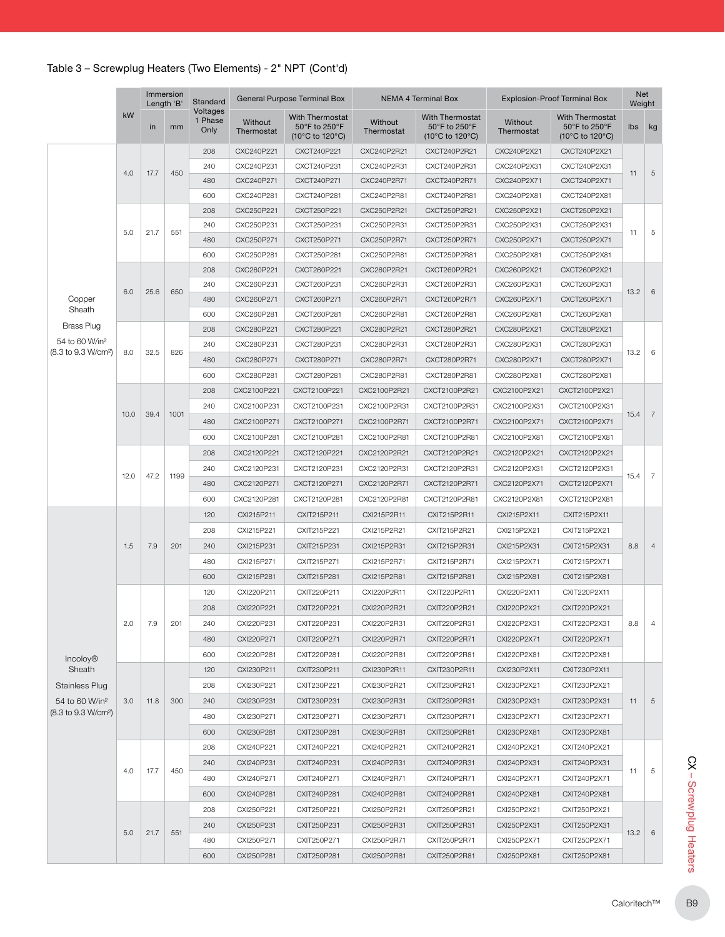|                                 |                                                                                                     | Immersion<br>Length 'B'<br>in<br>17.7<br>21.7<br>551<br>25.6<br>650<br>32.5 |      | Standard<br>Voltages |                       | General Purpose Terminal Box                        |                       | <b>NEMA 4 Terminal Box</b>                                                      |                       | <b>Explosion-Proof Terminal Box</b>                        | Net<br>Weight  |                |
|---------------------------------|-----------------------------------------------------------------------------------------------------|-----------------------------------------------------------------------------|------|----------------------|-----------------------|-----------------------------------------------------|-----------------------|---------------------------------------------------------------------------------|-----------------------|------------------------------------------------------------|----------------|----------------|
|                                 |                                                                                                     |                                                                             | mm   | 1 Phase<br>Only      | Without<br>Thermostat | With Thermostat<br>50°F to 250°F<br>(10°C to 120°C) | Without<br>Thermostat | <b>With Thermostat</b><br>50°F to 250°F<br>$(10^{\circ}$ C to 120 $^{\circ}$ C) | Without<br>Thermostat | <b>With Thermostat</b><br>50°F to 250°F<br>(10°C to 120°C) | lbs            | kg             |
|                                 |                                                                                                     |                                                                             |      | 208                  | CXC240P221            | CXCT240P221                                         | CXC240P2R21           | CXCT240P2R21                                                                    | CXC240P2X21           | CXCT240P2X21                                               |                |                |
|                                 |                                                                                                     |                                                                             | 450  | 240                  | CXC240P231            | CXCT240P231                                         | CXC240P2R31           | CXCT240P2R31                                                                    | CXC240P2X31           | CXCT240P2X31                                               | 11             | 5              |
|                                 |                                                                                                     |                                                                             |      | 480                  | CXC240P271            | CXCT240P271                                         | CXC240P2R71           | CXCT240P2R71                                                                    | CXC240P2X71           | CXCT240P2X71                                               |                |                |
|                                 |                                                                                                     |                                                                             |      | 600                  | CXC240P281            | CXCT240P281                                         | CXC240P2R81           | CXCT240P2R81                                                                    | CXC240P2X81           | CXCT240P2X81                                               |                |                |
|                                 |                                                                                                     |                                                                             |      | 208                  | CXC250P221            | CXCT250P221                                         | CXC250P2R21           | CXCT250P2R21                                                                    | CXC250P2X21           | CXCT250P2X21                                               |                |                |
|                                 |                                                                                                     |                                                                             |      | 240                  | CXC250P231            | CXCT250P231                                         | CXC250P2R31           | CXCT250P2R31                                                                    | CXC250P2X31           | CXCT250P2X31                                               | 11             | 5              |
|                                 |                                                                                                     |                                                                             |      | 480                  | CXC250P271            | CXCT250P271                                         | CXC250P2R71           | CXCT250P2R71                                                                    | CXC250P2X71           | CXCT250P2X71                                               |                |                |
|                                 |                                                                                                     |                                                                             |      | 600                  | CXC250P281            | CXCT250P281                                         | CXC250P2R81           | CXCT250P2R81                                                                    | CXC250P2X81           | CXCT250P2X81                                               |                |                |
|                                 | 4.0<br>5.0<br>6.0<br>8.0<br>10.0<br>39.4<br>12.0<br>47.2<br>7.9<br>1.5<br>2.0<br>7.9<br>3.0<br>11.8 |                                                                             | 208  | CXC260P221           | CXCT260P221           | CXC260P2R21                                         | CXCT260P2R21          | CXC260P2X21                                                                     | CXCT260P2X21          |                                                            |                |                |
|                                 |                                                                                                     |                                                                             | 240  | CXC260P231           | CXCT260P231           | CXC260P2R31                                         | CXCT260P2R31          | CXC260P2X31                                                                     | CXCT260P2X31          | 13.2                                                       | 6              |                |
| Copper                          |                                                                                                     | 4.0<br>17.7                                                                 |      | 480                  | CXC260P271            | CXCT260P271                                         | CXC260P2R71           | CXCT260P2R71                                                                    | CXC260P2X71           | CXCT260P2X71                                               |                |                |
|                                 | kW<br>Sheath<br>Incoloy <sup>®</sup>                                                                |                                                                             | 600  | CXC260P281           | CXCT260P281           | CXC260P2R81                                         | CXCT260P2R81          | CXC260P2X81                                                                     | CXCT260P2X81          |                                                            |                |                |
| <b>Brass Plug</b>               |                                                                                                     |                                                                             | 208  | CXC280P221           | CXCT280P221           | CXC280P2R21                                         | CXCT280P2R21          | CXC280P2X21                                                                     | CXCT280P2X21          |                                                            |                |                |
| 54 to 60 W/in <sup>2</sup>      |                                                                                                     |                                                                             | 240  | CXC280P231           | CXCT280P231           | CXC280P2R31                                         | CXCT280P2R31          | CXC280P2X31                                                                     | CXCT280P2X31          |                                                            |                |                |
| (8.3 to 9.3 W/cm <sup>2</sup> ) |                                                                                                     | 826                                                                         | 480  | CXC280P271           | CXCT280P271           | CXC280P2R71                                         | CXCT280P2R71          | CXC280P2X71                                                                     | CXCT280P2X71          | 13.2                                                       | 6              |                |
|                                 |                                                                                                     |                                                                             | 600  | CXC280P281           | CXCT280P281           | CXC280P2R81                                         | CXCT280P2R81          | CXC280P2X81                                                                     | CXCT280P2X81          |                                                            |                |                |
|                                 |                                                                                                     |                                                                             | 208  | CXC2100P221          | CXCT2100P221          | CXC2100P2R21                                        | CXCT2100P2R21         | CXC2100P2X21                                                                    | CXCT2100P2X21         |                                                            |                |                |
|                                 |                                                                                                     |                                                                             | 240  | CXC2100P231          | CXCT2100P231          | CXC2100P2R31                                        | CXCT2100P2R31         | CXC2100P2X31                                                                    | CXCT2100P2X31         |                                                            |                |                |
|                                 |                                                                                                     |                                                                             | 1001 | 480                  | CXC2100P271           | CXCT2100P271                                        | CXC2100P2R71          | CXCT2100P2R71                                                                   | CXC2100P2X71          | CXCT2100P2X71                                              | 15.4           | $\overline{7}$ |
|                                 |                                                                                                     |                                                                             |      | 600                  | CXC2100P281           | CXCT2100P281                                        | CXC2100P2R81          | CXCT2100P2R81                                                                   | CXC2100P2X81          | CXCT2100P2X81                                              |                |                |
|                                 |                                                                                                     |                                                                             |      | 208                  | CXC2120P221           | CXCT2120P221                                        | CXC2120P2R21          | CXCT2120P2R21                                                                   | CXC2120P2X21          | CXCT2120P2X21                                              |                |                |
|                                 |                                                                                                     |                                                                             |      |                      |                       |                                                     |                       |                                                                                 |                       |                                                            |                |                |
|                                 |                                                                                                     |                                                                             | 1199 | 240                  | CXC2120P231           | CXCT2120P231                                        | CXC2120P2R31          | CXCT2120P2R31                                                                   | CXC2120P2X31          | CXCT2120P2X31                                              | 15.4           | $\overline{7}$ |
|                                 |                                                                                                     |                                                                             |      | 480                  | CXC2120P271           | CXCT2120P271                                        | CXC2120P2R71          | CXCT2120P2R71                                                                   | CXC2120P2X71          | CXCT2120P2X71                                              |                |                |
|                                 |                                                                                                     |                                                                             |      | 600                  | CXC2120P281           | CXCT2120P281                                        | CXC2120P2R81          | CXCT2120P2R81                                                                   | CXC2120P2X81          | CXCT2120P2X81                                              |                |                |
|                                 |                                                                                                     |                                                                             |      | 120                  | CXI215P211            | CXIT215P211                                         | CXI215P2R11           | CXIT215P2R11                                                                    | CXI215P2X11           | CXIT215P2X11                                               |                |                |
|                                 |                                                                                                     |                                                                             | 208  | CXI215P221           | CXIT215P221           | CXI215P2R21                                         | CXIT215P2R21          | CXI215P2X21                                                                     | CXIT215P2X21          |                                                            |                |                |
|                                 |                                                                                                     | 201                                                                         | 240  | CXI215P231           | CXIT215P231           | CXI215P2R31                                         | CXIT215P2R31          | CXI215P2X31                                                                     | CXIT215P2X31          | 8.8                                                        | $\overline{4}$ |                |
|                                 |                                                                                                     |                                                                             |      | 480                  | CXI215P271            | CXIT215P271                                         | CXI215P2R71           | CXIT215P2R71                                                                    | CXI215P2X71           | CXIT215P2X71                                               |                |                |
|                                 |                                                                                                     |                                                                             | 600  | CXI215P281           | CXIT215P281           | CXI215P2R81                                         | CXIT215P2R81          | CXI215P2X81                                                                     | CXIT215P2X81          |                                                            |                |                |
|                                 |                                                                                                     |                                                                             |      | 120                  | CXI220P211            | CXIT220P211                                         | CXI220P2R11           | CXIT220P2R11                                                                    | CXI220P2X11           | CXIT220P2X11                                               |                |                |
|                                 |                                                                                                     |                                                                             |      | 208                  | CXI220P221            | CXIT220P221                                         | CXI220P2R21           | CXIT220P2R21                                                                    | CXI220P2X21           | CXIT220P2X21                                               |                |                |
|                                 |                                                                                                     |                                                                             | 201  | 240                  | CXI220P231            | CXIT220P231                                         | CXI220P2R31           | CXIT220P2R31                                                                    | CXI220P2X31           | CXIT220P2X31                                               | 8.8            | 4              |
|                                 |                                                                                                     |                                                                             |      | 480                  | CXI220P271            | CXIT220P271                                         | CXI220P2R71           | CXIT220P2R71                                                                    | CXI220P2X71           | CXIT220P2X71                                               |                |                |
|                                 |                                                                                                     |                                                                             |      | 600                  | CXI220P281            | CXIT220P281                                         | CXI220P2R81           | CXIT220P2R81                                                                    | CXI220P2X81           | CXIT220P2X81                                               |                |                |
| Sheath                          |                                                                                                     |                                                                             |      | 120                  | CXI230P211            | CXIT230P211                                         | CXI230P2R11           | CXIT230P2R11                                                                    | CXI230P2X11           | CXIT230P2X11                                               |                |                |
| Stainless Plug                  |                                                                                                     |                                                                             |      | 208                  | CXI230P221            | CXIT230P221                                         | CXI230P2R21           | CXIT230P2R21                                                                    | CXI230P2X21           | CXIT230P2X21                                               |                |                |
| 54 to 60 W/in <sup>2</sup>      |                                                                                                     |                                                                             | 300  | 240                  | CXI230P231            | CXIT230P231                                         | CXI230P2R31           | CXIT230P2R31                                                                    | CXI230P2X31           | CXIT230P2X31                                               | 11             | 5              |
| (8.3 to 9.3 W/cm <sup>2</sup> ) |                                                                                                     |                                                                             |      | 480                  | CXI230P271            | CXIT230P271                                         | CXI230P2R71           | CXIT230P2R71                                                                    | CXI230P2X71           | CXIT230P2X71                                               |                |                |
|                                 |                                                                                                     |                                                                             | 600  | CXI230P281           | CXIT230P281           | CXI230P2R81                                         | CXIT230P2R81          | CXI230P2X81                                                                     | CXIT230P2X81          |                                                            |                |                |
|                                 |                                                                                                     |                                                                             |      | 208                  | CXI240P221            | CXIT240P221                                         | CXI240P2R21           | CXIT240P2R21                                                                    | CXI240P2X21           | CXIT240P2X21                                               |                |                |
|                                 |                                                                                                     |                                                                             |      | 240                  |                       |                                                     |                       |                                                                                 |                       |                                                            |                |                |
|                                 |                                                                                                     |                                                                             | 450  |                      | CXI240P231            | CXIT240P231                                         | CXI240P2R31           | CXIT240P2R31                                                                    | CXI240P2X31           | CXIT240P2X31                                               | 11             | 5              |
|                                 |                                                                                                     |                                                                             |      | 480                  | CXI240P271            | CXIT240P271                                         | CXI240P2R71           | CXIT240P2R71                                                                    | CXI240P2X71           | CXIT240P2X71                                               |                |                |
|                                 |                                                                                                     |                                                                             |      | 600                  | CXI240P281            | CXIT240P281                                         | CXI240P2R81           | CXIT240P2R81                                                                    | CXI240P2X81           | CXIT240P2X81                                               |                |                |
|                                 |                                                                                                     |                                                                             |      | 208                  | CXI250P221            | CXIT250P221                                         | CXI250P2R21           | CXIT250P2R21                                                                    | CXI250P2X21           | CXIT250P2X21                                               |                |                |
|                                 | 5.0                                                                                                 | 21.7                                                                        | 551  | 240                  | CXI250P231            | CXIT250P231                                         | CXI250P2R31           | CXIT250P2R31                                                                    | CXI250P2X31           | CXIT250P2X31                                               | 13.2           | 6              |
|                                 |                                                                                                     |                                                                             |      | 480                  | CXI250P271            | CXIT250P271                                         | CXI250P2R71           | CXIT250P2R71                                                                    | CXI250P2X71           | CXIT250P2X71                                               |                |                |
|                                 |                                                                                                     |                                                                             |      | 600                  | CXI250P281            | CXIT250P281                                         | CXI250P2R81           | CXIT250P2R81                                                                    | CXI250P2X81           | CXIT250P2X81                                               |                |                |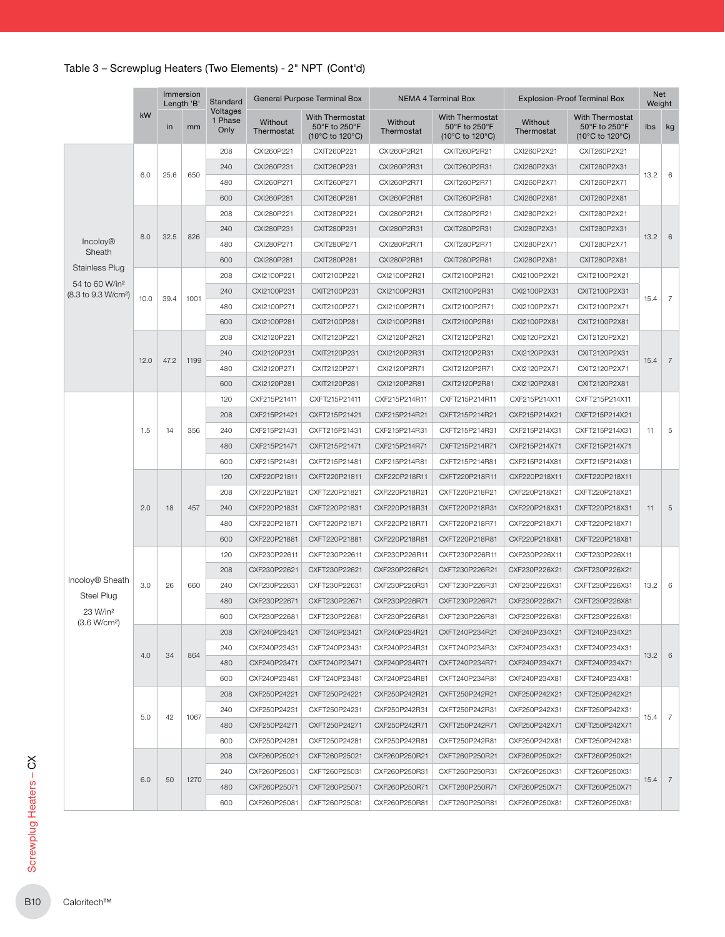|                                                               |      |      | Immersion<br>Length 'B' | Standard                    |                       | General Purpose Terminal Box                        |                       | NEMA 4 Terminal Box                                        |                       | <b>Explosion-Proof Terminal Box</b>                 | Weight     |
|---------------------------------------------------------------|------|------|-------------------------|-----------------------------|-----------------------|-----------------------------------------------------|-----------------------|------------------------------------------------------------|-----------------------|-----------------------------------------------------|------------|
|                                                               | kW   | in   | mm                      | Voltages<br>1 Phase<br>Only | Without<br>Thermostat | With Thermostat<br>50°F to 250°F<br>(10°C to 120°C) | Without<br>Thermostat | <b>With Thermostat</b><br>50°F to 250°F<br>(10°C to 120°C) | Without<br>Thermostat | With Thermostat<br>50°F to 250°F<br>(10°C to 120°C) | Ibs        |
|                                                               |      |      |                         | 208                         | CXI260P221            | CXIT260P221                                         | CXI260P2R21           | CXIT260P2R21                                               | CXI260P2X21           | CXIT260P2X21                                        |            |
|                                                               |      |      |                         | 240                         | CXI260P231            | CXIT260P231                                         | CXI260P2R31           | CXIT260P2R31                                               | CXI260P2X31           | CXIT260P2X31                                        |            |
|                                                               | 6.0  | 25.6 | 650                     | 480                         | CXI260P271            | CXIT260P271                                         | CXI260P2R71           | CXIT260P2R71                                               | CXI260P2X71           | CXIT260P2X71                                        | 13.2       |
|                                                               |      |      |                         | 600                         | CXI260P281            | CXIT260P281                                         | CXI260P2R81           | CXIT260P2R81                                               | CXI260P2X81           | CXIT260P2X81                                        |            |
|                                                               |      |      |                         | 208                         | CXI280P221            | CXIT280P221                                         | CXI280P2R21           | CXIT280P2R21                                               | CXI280P2X21           | CXIT280P2X21                                        |            |
|                                                               |      |      |                         | 240                         | CXI280P231            | CXIT280P231                                         | CXI280P2R31           | CXIT280P2R31                                               | CXI280P2X31           | CXIT280P2X31                                        |            |
| <b>Incoloy®</b>                                               | 8.0  | 32.5 | 826                     | 480                         | CXI280P271            | CXIT280P271                                         | CXI280P2R71           | CXIT280P2R71                                               | CXI280P2X71           | CXIT280P2X71                                        | 13.2       |
| Sheath                                                        |      |      |                         | 600                         | CXI280P281            | CXIT280P281                                         | CXI280P2R81           | CXIT280P2R81                                               | CXI280P2X81           | CXIT280P2X81                                        |            |
| <b>Stainless Plug</b>                                         |      |      |                         | 208                         | CXI2100P221           | CXIT2100P221                                        | CXI2100P2R21          | CXIT2100P2R21                                              | CXI2100P2X21          | CXIT2100P2X21                                       |            |
| 54 to 60 W/in <sup>2</sup><br>(8.3 to 9.3 W/cm <sup>2</sup> ) |      |      |                         | 240                         | CXI2100P231           | CXIT2100P231                                        | CXI2100P2R31          | CXIT2100P2R31                                              | CXI2100P2X31          | CXIT2100P2X31                                       |            |
|                                                               | 10.0 | 39.4 | 1001                    | 480                         | CXI2100P271           | CXIT2100P271                                        | CXI2100P2R71          | CXIT2100P2R71                                              | CXI2100P2X71          | CXIT2100P2X71                                       | 15.4       |
|                                                               |      |      |                         | 600                         | CXI2100P281           | CXIT2100P281                                        | CXI2100P2R81          | CXIT2100P2R81                                              | CXI2100P2X81          | CXIT2100P2X81                                       |            |
|                                                               |      |      |                         | 208                         | CXI2120P221           | CXIT2120P221                                        | CXI2120P2R21          | CXIT2120P2R21                                              | CXI2120P2X21          | CXIT2120P2X21                                       |            |
|                                                               |      |      |                         | 240                         | CXI2120P231           | CXIT2120P231                                        | CXI2120P2R31          | CXIT2120P2R31                                              | CXI2120P2X31          | CXIT2120P2X31                                       |            |
|                                                               | 12.0 | 47.2 | 1199                    | 480                         | CXI2120P271           | CXIT2120P271                                        | CXI2120P2R71          | CXIT2120P2R71                                              | CXI2120P2X71          | CXIT2120P2X71                                       | 15.4       |
|                                                               |      |      |                         | 600                         | CXI2120P281           | CXIT2120P281                                        | CXI2120P2R81          | CXIT2120P2R81                                              | CXI2120P2X81          | CXIT2120P2X81                                       |            |
|                                                               |      |      |                         | 120                         | CXF215P21411          | CXFT215P21411                                       | CXF215P214R11         | CXFT215P214R11                                             | CXF215P214X11         | CXFT215P214X11                                      |            |
|                                                               |      |      |                         | 208                         | CXF215P21421          | CXFT215P21421                                       | CXF215P214R21         | CXFT215P214R21                                             | CXF215P214X21         | CXFT215P214X21                                      |            |
|                                                               | 1.5  | 14   | 356                     | 240                         | CXF215P21431          | CXFT215P21431                                       | CXF215P214R31         | CXFT215P214R31                                             | CXF215P214X31         | CXFT215P214X31                                      |            |
|                                                               |      |      |                         | 480                         | CXF215P21471          | CXFT215P21471                                       | CXF215P214R71         | CXFT215P214R71                                             | CXF215P214X71         | CXFT215P214X71                                      |            |
|                                                               |      |      |                         | 600                         | CXF215P21481          | CXFT215P21481                                       | CXF215P214R81         | CXFT215P214R81                                             | CXF215P214X81         | CXFT215P214X81                                      |            |
|                                                               |      |      |                         | 120                         | CXF220P21811          |                                                     | CXF220P218R11         | CXFT220P218R11                                             | CXF220P218X11         | CXFT220P218X11                                      |            |
|                                                               |      |      |                         |                             |                       | CXFT220P21811                                       |                       |                                                            |                       |                                                     |            |
|                                                               |      |      |                         | 208                         | CXF220P21821          | CXFT220P21821                                       | CXF220P218R21         | CXFT220P218R21                                             | CXF220P218X21         | CXFT220P218X21                                      |            |
|                                                               | 2.0  | 18   | 457                     | 240                         | CXF220P21831          | CXFT220P21831                                       | CXF220P218R31         | CXFT220P218R31                                             | CXF220P218X31         | CXFT220P218X31                                      |            |
|                                                               |      |      |                         | 480                         | CXF220P21871          | CXFT220P21871                                       | CXF220P218R71         | CXFT220P218R71                                             | CXF220P218X71         | CXFT220P218X71                                      |            |
|                                                               |      |      |                         | 600                         | CXF220P21881          | CXFT220P21881                                       | CXF220P218R81         | CXFT220P218R81                                             | CXF220P218X81         | CXFT220P218X81                                      |            |
|                                                               |      |      |                         | 120                         | CXF230P22611          | CXFT230P22611                                       | CXF230P226R11         | CXFT230P226R11                                             | CXF230P226X11         | CXFT230P226X11                                      |            |
| Incoloy <sup>®</sup> Sheath                                   |      |      |                         | 208                         | CXF230P22621          | CXFT230P22621                                       | CXF230P226R21         | CXFT230P226R21                                             | CXF230P226X21         | CXFT230P226X21                                      |            |
| Steel Plug                                                    | 3.0  | 26   | 660                     | 240                         | CXF230P22631          | CXFT230P22631                                       | CXF230P226R31         | CXFT230P226R31                                             | CXF230P226X31         | CXFT230P226X31                                      | $13.2 \ 6$ |
| 23 W/in <sup>2</sup>                                          |      |      |                         | 480                         | CXF230P22671          | CXFT230P22671                                       | CXF230P226R71         | CXFT230P226R71                                             | CXF230P226X71         | CXFT230P226X81                                      |            |
| (3.6 W/cm <sup>2</sup> )                                      |      |      |                         | 600                         | CXF230P22681          | CXFT230P22681                                       | CXF230P226R81         | CXFT230P226R81                                             | CXF230P226X81         | CXFT230P226X81                                      |            |
|                                                               |      |      |                         | 208                         | CXF240P23421          | CXFT240P23421                                       | CXF240P234R21         | CXFT240P234R21                                             | CXF240P234X21         | CXFT240P234X21                                      |            |
|                                                               | 4.0  | 34   | 864                     | 240                         | CXF240P23431          | CXFT240P23431                                       | CXF240P234R31         | CXFT240P234R31                                             | CXF240P234X31         | CXFT240P234X31                                      | 13.2       |
|                                                               |      |      |                         | 480                         | CXF240P23471          | CXFT240P23471                                       | CXF240P234R71         | CXFT240P234R71                                             | CXF240P234X71         | CXFT240P234X71                                      |            |
|                                                               |      |      |                         | 600                         | CXF240P23481          | CXFT240P23481                                       | CXF240P234R81         | CXFT240P234R81                                             | CXF240P234X81         | CXFT240P234X81                                      |            |
|                                                               |      |      |                         | 208                         | CXF250P24221          | CXFT250P24221                                       | CXF250P242R21         | CXFT250P242R21                                             | CXF250P242X21         | CXFT250P242X21                                      |            |
|                                                               | 5.0  | 42   | 1067                    | 240                         | CXF250P24231          | CXFT250P24231                                       | CXF250P242R31         | CXFT250P242R31                                             | CXF250P242X31         | CXFT250P242X31                                      | $15.4$ 7   |
|                                                               |      |      |                         | 480                         | CXF250P24271          | CXFT250P24271                                       | CXF250P242R71         | CXFT250P242R71                                             | CXF250P242X71         | CXFT250P242X71                                      |            |
|                                                               |      |      |                         | 600                         | CXF250P24281          | CXFT250P24281                                       | CXF250P242R81         | CXFT250P242R81                                             | CXF250P242X81         | CXFT250P242X81                                      |            |
|                                                               |      |      |                         | 208                         | CXF260P25021          | CXFT260P25021                                       | CXF260P250R21         | CXFT260P250R21                                             | CXF260P250X21         | CXFT260P250X21                                      |            |
|                                                               | 6.0  | 50   | 1270                    | 240                         | CXF260P25031          | CXFT260P25031                                       | CXF260P250R31         | CXFT260P250R31                                             | CXF260P250X31         | CXFT260P250X31                                      | 15.4       |
|                                                               |      |      |                         | 480                         | CXF260P25071          | CXFT260P25071                                       | CXF260P250R71         | CXFT260P250R71                                             | CXF260P250X71         | CXFT260P250X71                                      |            |
|                                                               |      |      |                         | 600                         | CXF260P25081          | CXFT260P25081                                       | CXF260P250R81         | CXFT260P250R81                                             | CXF260P250X81         | CXFT260P250X81                                      |            |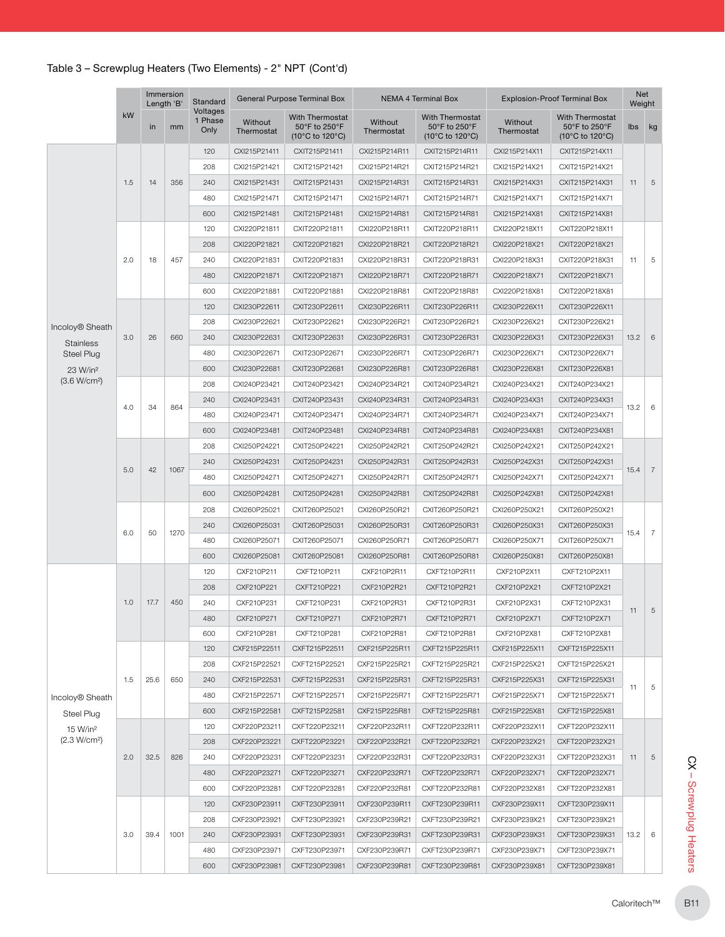|                             |                             |                                                            |      | Standard<br>Voltages |                       | <b>General Purpose Terminal Box</b>                        |                       | <b>NEMA 4 Terminal Box</b>                                               |                       | <b>Explosion-Proof Terminal Box</b>                        | Net<br>Weight |                |
|-----------------------------|-----------------------------|------------------------------------------------------------|------|----------------------|-----------------------|------------------------------------------------------------|-----------------------|--------------------------------------------------------------------------|-----------------------|------------------------------------------------------------|---------------|----------------|
|                             | kW                          | in                                                         | mm   | 1 Phase<br>Only      | Without<br>Thermostat | <b>With Thermostat</b><br>50°F to 250°F<br>(10°C to 120°C) | Without<br>Thermostat | With Thermostat<br>50°F to 250°F<br>$(10^{\circ}$ C to 120 $^{\circ}$ C) | Without<br>Thermostat | <b>With Thermostat</b><br>50°F to 250°F<br>(10°C to 120°C) | lbs           | kg             |
|                             |                             |                                                            |      | 120                  | CXI215P21411          | CXIT215P21411                                              | CXI215P214R11         | CXIT215P214R11                                                           | CXI215P214X11         | CXIT215P214X11                                             |               |                |
|                             |                             |                                                            |      | 208                  | CXI215P21421          | CXIT215P21421                                              | CXI215P214R21         | CXIT215P214R21                                                           | CXI215P214X21         | CXIT215P214X21                                             |               |                |
|                             | 1.5                         | 14                                                         | 356  | 240                  | CXI215P21431          | CXIT215P21431                                              | CXI215P214R31         | CXIT215P214R31                                                           | CXI215P214X31         | CXIT215P214X31                                             | 11            | 5              |
|                             |                             |                                                            |      | 480                  | CXI215P21471          | CXIT215P21471                                              | CXI215P214R71         | CXIT215P214R71                                                           | CXI215P214X71         | CXIT215P214X71                                             |               |                |
|                             |                             |                                                            |      | 600                  | CXI215P21481          | CXIT215P21481                                              | CXI215P214R81         | CXIT215P214R81                                                           | CXI215P214X81         | CXIT215P214X81                                             |               |                |
|                             |                             |                                                            |      | 120                  | CXI220P21811          | CXIT220P21811                                              | CXI220P218R11         | CXIT220P218R11                                                           | CXI220P218X11         | CXIT220P218X11                                             |               |                |
|                             |                             |                                                            |      | 208                  | CXI220P21821          | CXIT220P21821                                              | CXI220P218R21         | CXIT220P218R21                                                           | CXI220P218X21         | CXIT220P218X21                                             |               |                |
|                             | 2.0                         | 18                                                         | 457  | 240                  | CXI220P21831          | CXIT220P21831                                              | CXI220P218R31         | CXIT220P218R31                                                           | CXI220P218X31         | CXIT220P218X31                                             | 11            | 5              |
|                             |                             | 26<br>34<br>42<br>50<br>1.0<br>17.7<br>25.6<br>2.0<br>32.5 |      | 480                  | CXI220P21871          | CXIT220P21871                                              | CXI220P218R71         | CXIT220P218R71                                                           | CXI220P218X71         | CXIT220P218X71                                             |               |                |
|                             |                             |                                                            |      | 600                  | CXI220P21881          | CXIT220P21881                                              | CXI220P218R81         | CXIT220P218R81                                                           | CXI220P218X81         | CXIT220P218X81                                             |               |                |
|                             |                             |                                                            |      | 120                  | CXI230P22611          | CXIT230P22611                                              | CXI230P226R11         | CXIT230P226R11                                                           | CXI230P226X11         | CXIT230P226X11                                             |               |                |
|                             |                             | Immersion<br>Length 'B'                                    |      | 208                  | CXI230P22621          | CXIT230P22621                                              | CXI230P226R21         | CXIT230P226R21                                                           | CXI230P226X21         | CXIT230P226X21                                             |               |                |
| Incoloy <sup>®</sup> Sheath |                             |                                                            | 660  | 240                  | CXI230P22631          | CXIT230P22631                                              | CXI230P226R31         | CXIT230P226R31                                                           | CXI230P226X31         | CXIT230P226X31                                             | 13.2          | 6              |
| <b>Stainless</b>            |                             |                                                            |      | 480                  | CXI230P22671          | CXIT230P22671                                              | CXI230P226R71         | CXIT230P226R71                                                           | CXI230P226X71         | CXIT230P226X71                                             |               |                |
| Steel Plug                  | 3.0<br>4.0<br>5.0           |                                                            |      | CXI230P22681         |                       |                                                            |                       |                                                                          |                       |                                                            |               |                |
| (3.6 W/cm <sup>2</sup> )    |                             |                                                            |      | 600                  |                       | CXIT230P22681                                              | CXI230P226R81         | CXIT230P226R81                                                           | CXI230P226X81         | CXIT230P226X81                                             |               |                |
|                             |                             |                                                            |      | 208                  | CXI240P23421          | CXIT240P23421                                              | CXI240P234R21         | CXIT240P234R21                                                           | CXI240P234X21         | CXIT240P234X21                                             |               |                |
|                             | 23 W/in <sup>2</sup><br>6.0 |                                                            | 864  | 240                  | CXI240P23431          | CXIT240P23431                                              | CXI240P234R31         | CXIT240P234R31                                                           | CXI240P234X31         | CXIT240P234X31                                             | 13.2          | 6              |
|                             |                             |                                                            |      | 480                  | CXI240P23471          | CXIT240P23471                                              | CXI240P234R71         | CXIT240P234R71                                                           | CXI240P234X71         | CXIT240P234X71                                             |               |                |
|                             |                             |                                                            |      | 600                  | CXI240P23481          | CXIT240P23481                                              | CXI240P234R81         | CXIT240P234R81                                                           | CXI240P234X81         | CXIT240P234X81                                             |               |                |
|                             |                             |                                                            |      | 208                  | CXI250P24221          | CXIT250P24221                                              | CXI250P242R21         | CXIT250P242R21                                                           | CXI250P242X21         | CXIT250P242X21                                             |               |                |
|                             |                             |                                                            | 1067 | 240                  | CXI250P24231          | CXIT250P24231                                              | CXI250P242R31         | CXIT250P242R31                                                           | CXI250P242X31         | CXIT250P242X31                                             | 15.4          | $\overline{7}$ |
|                             |                             |                                                            |      | 480                  | CXI250P24271          | CXIT250P24271                                              | CXI250P242R71         | CXIT250P242R71                                                           | CXI250P242X71         | CXIT250P242X71                                             |               |                |
|                             |                             |                                                            |      | 600                  | CXI250P24281          | CXIT250P24281                                              | CXI250P242R81         | CXIT250P242R81                                                           | CXI250P242X81         | CXIT250P242X81                                             |               |                |
|                             |                             |                                                            |      | 208                  | CXI260P25021          | CXIT260P25021                                              | CXI260P250R21         | CXIT260P250R21                                                           | CXI260P250X21         | CXIT260P250X21                                             |               |                |
|                             |                             |                                                            |      | 240                  | CXI260P25031          | CXIT260P25031                                              | CXI260P250R31         | CXIT260P250R31                                                           | CXI260P250X31         | CXIT260P250X31                                             |               |                |
|                             |                             |                                                            | 1270 | 480                  | CXI260P25071          | CXIT260P25071                                              | CXI260P250R71         | CXIT260P250R71                                                           | CXI260P250X71         | CXIT260P250X71                                             | 15.4          | $\overline{7}$ |
|                             |                             |                                                            |      | 600                  | CXI260P25081          | CXIT260P25081                                              | CXI260P250R81         | CXIT260P250R81                                                           | CXI260P250X81         | CXIT260P250X81                                             |               |                |
|                             |                             |                                                            |      | 120                  | CXF210P211            | CXFT210P211                                                | CXF210P2R11           | CXFT210P2R11                                                             | CXF210P2X11           | CXFT210P2X11                                               |               |                |
|                             |                             |                                                            |      | 208                  | CXF210P221            | CXFT210P221                                                | CXF210P2R21           | CXFT210P2R21                                                             | CXF210P2X21           | CXFT210P2X21                                               |               |                |
|                             |                             |                                                            | 450  | 240                  | CXF210P231            | CXFT210P231                                                | CXF210P2R31           | CXFT210P2R31                                                             | CXF210P2X31           | CXFT210P2X31                                               |               |                |
|                             |                             |                                                            |      | 480                  | CXF210P271            | CXFT210P271                                                | CXF210P2R71           | CXFT210P2R71                                                             | CXF210P2X71           | CXFT210P2X71                                               | 11            | 5              |
|                             | 1.5                         |                                                            |      | 600                  | CXF210P281            | CXFT210P281                                                | CXF210P2R81           | CXFT210P2R81                                                             | CXF210P2X81           | CXFT210P2X81                                               |               |                |
|                             |                             |                                                            |      | 120                  | CXF215P22511          | CXFT215P22511                                              | CXF215P225R11         | CXFT215P225R11                                                           | CXF215P225X11         | CXFT215P225X11                                             |               |                |
|                             |                             |                                                            |      | 208                  | CXF215P22521          | CXFT215P22521                                              | CXF215P225R21         | CXFT215P225R21                                                           | CXF215P225X21         | CXFT215P225X21                                             |               |                |
|                             |                             |                                                            | 650  | 240                  | CXF215P22531          | CXFT215P22531                                              | CXF215P225R31         | CXFT215P225R31                                                           | CXF215P225X31         | CXFT215P225X31                                             |               |                |
|                             |                             |                                                            |      | 480                  | CXF215P22571          | CXFT215P22571                                              | CXF215P225R71         | CXFT215P225R71                                                           | CXF215P225X71         | CXFT215P225X71                                             | 11            | 5              |
| Incoloy <sup>®</sup> Sheath |                             |                                                            |      |                      |                       | CXFT215P22581                                              |                       | CXFT215P225R81                                                           |                       |                                                            |               |                |
| Steel Plug                  |                             |                                                            |      | 600                  | CXF215P22581          |                                                            | CXF215P225R81         |                                                                          | CXF215P225X81         | CXFT215P225X81                                             |               |                |
| 15 W/in <sup>2</sup>        |                             |                                                            |      | 120                  | CXF220P23211          | CXFT220P23211                                              | CXF220P232R11         | CXFT220P232R11                                                           | CXF220P232X11         | CXFT220P232X11                                             |               |                |
| (2.3 W/cm <sup>2</sup> )    |                             |                                                            |      | 208                  | CXF220P23221          | CXFT220P23221                                              | CXF220P232R21         | CXFT220P232R21                                                           | CXF220P232X21         | CXFT220P232X21                                             |               |                |
|                             |                             |                                                            | 826  | 240                  | CXF220P23231          | CXFT220P23231                                              | CXF220P232R31         | CXFT220P232R31                                                           | CXF220P232X31         | CXFT220P232X31                                             | 11            | 5              |
|                             |                             |                                                            |      | 480                  | CXF220P23271          | CXFT220P23271                                              | CXF220P232R71         | CXFT220P232R71                                                           | CXF220P232X71         | CXFT220P232X71                                             |               |                |
|                             |                             |                                                            |      | 600                  | CXF220P23281          | CXFT220P23281                                              | CXF220P232R81         | CXFT220P232R81                                                           | CXF220P232X81         | CXFT220P232X81                                             |               |                |
|                             |                             |                                                            |      | 120                  | CXF230P23911          | CXFT230P23911                                              | CXF230P239R11         | CXFT230P239R11                                                           | CXF230P239X11         | CXFT230P239X11                                             |               |                |
|                             |                             |                                                            |      | 208                  | CXF230P23921          | CXFT230P23921                                              | CXF230P239R21         | CXFT230P239R21                                                           | CXF230P239X21         | CXFT230P239X21                                             |               |                |
|                             | 3.0                         | 39.4                                                       | 1001 | 240                  | CXF230P23931          | CXFT230P23931                                              | CXF230P239R31         | CXFT230P239R31                                                           | CXF230P239X31         | CXFT230P239X31                                             | 13.2          | 6              |
|                             |                             |                                                            |      | 480                  | CXF230P23971          | CXFT230P23971                                              | CXF230P239R71         | CXFT230P239R71                                                           | CXF230P239X71         | CXFT230P239X71                                             |               |                |
|                             |                             |                                                            |      | 600                  | CXF230P23981          | CXFT230P23981                                              | CXF230P239R81         | CXFT230P239R81                                                           | CXF230P239X81         | CXFT230P239X81                                             |               |                |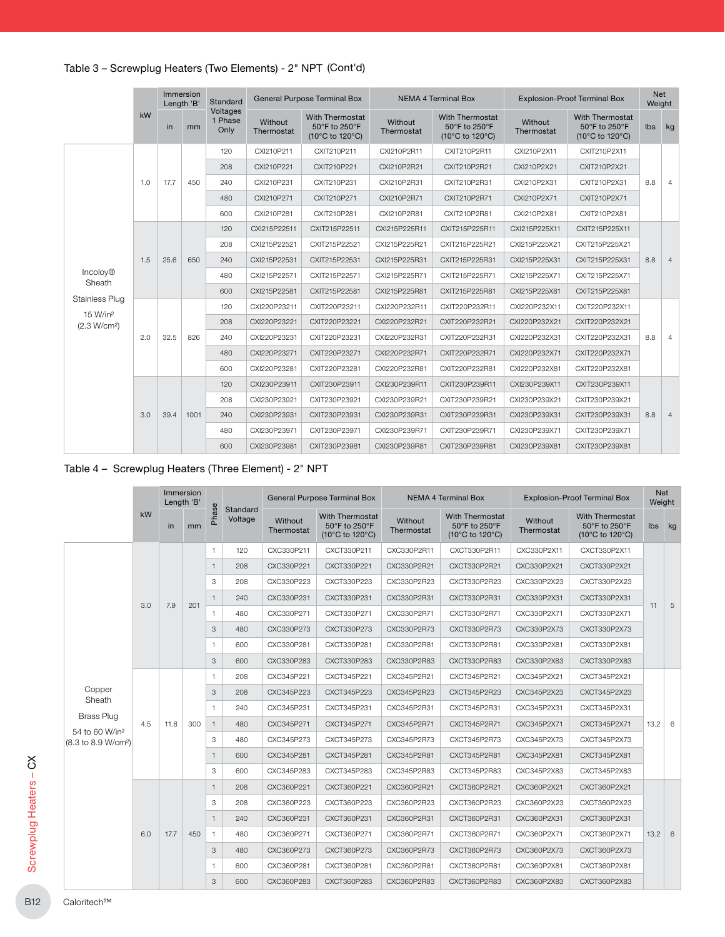|                                                  |     |      | Immersion<br>Length 'B' | Standard                    |                       | General Purpose Terminal Box                               |                       | <b>NEMA 4 Terminal Box</b>                                 |                       | <b>Explosion-Proof Terminal Box</b>                        | <b>Net</b><br>Weight |                |
|--------------------------------------------------|-----|------|-------------------------|-----------------------------|-----------------------|------------------------------------------------------------|-----------------------|------------------------------------------------------------|-----------------------|------------------------------------------------------------|----------------------|----------------|
|                                                  | kW  | in   | mm                      | Voltages<br>1 Phase<br>Only | Without<br>Thermostat | <b>With Thermostat</b><br>50°F to 250°F<br>(10°C to 120°C) | Without<br>Thermostat | <b>With Thermostat</b><br>50°F to 250°F<br>(10°C to 120°C) | Without<br>Thermostat | <b>With Thermostat</b><br>50°F to 250°F<br>(10°C to 120°C) | Ibs                  | kg             |
|                                                  |     |      |                         | 120                         | CXI210P211            | CXIT210P211                                                | CXI210P2R11           | CXIT210P2R11                                               | CXI210P2X11           | CXIT210P2X11                                               |                      |                |
|                                                  |     |      |                         | 208                         | CXI210P221            | CXIT210P221                                                | CXI210P2R21           | CXIT210P2R21                                               | CXI210P2X21           | CXIT210P2X21                                               |                      |                |
|                                                  | 1.0 | 17.7 | 450                     | 240                         | CXI210P231            | CXIT210P231                                                | CXI210P2R31           | CXIT210P2R31                                               | CXI210P2X31           | CXIT210P2X31                                               | 8.8                  | 4              |
|                                                  |     |      |                         | 480                         | CXI210P271            | CXIT210P271                                                | CXI210P2R71           | CXIT210P2R71                                               | CXI210P2X71           | CXIT210P2X71                                               |                      |                |
|                                                  |     |      |                         | 600                         | CXI210P281            | CXIT210P281                                                | CXI210P2R81           | CXIT210P2R81                                               | CXI210P2X81           | CXIT210P2X81                                               |                      |                |
|                                                  |     |      |                         | 120                         | CXI215P22511          | CXIT215P22511                                              | CXI215P225R11         | CXIT215P225R11                                             | CXI215P225X11         | CXIT215P225X11                                             |                      |                |
|                                                  |     |      |                         | 208                         | CXI215P22521          | CXIT215P22521                                              | CXI215P225R21         | CXIT215P225R21                                             | CXI215P225X21         | CXIT215P225X21                                             |                      |                |
|                                                  | 1.5 | 25.6 | 650                     | 240                         | CXI215P22531          | CXIT215P22531                                              | CXI215P225R31         | CXIT215P225R31                                             | CXI215P225X31         | CXIT215P225X31                                             | 8.8                  | $\overline{4}$ |
| Incoloy <sup>®</sup><br>Sheath                   |     |      |                         | 480                         | CXI215P22571          | CXIT215P22571                                              | CXI215P225R71         | CXIT215P225R71                                             | CXI215P225X71         | CXIT215P225X71                                             |                      |                |
|                                                  |     |      |                         | 600                         | CXI215P22581          | CXIT215P22581                                              | CXI215P225R81         | CXIT215P225R81                                             | CXI215P225X81         | CXIT215P225X81                                             |                      |                |
| <b>Stainless Plug</b>                            |     |      |                         | 120                         | CXI220P23211          | CXIT220P23211                                              | CXI220P232R11         | CXIT220P232R11                                             | CXI220P232X11         | CXIT220P232X11                                             |                      |                |
| 15 W/in <sup>2</sup><br>(2.3 W/cm <sup>2</sup> ) |     |      |                         | 208                         | CXI220P23221          | CXIT220P23221                                              | CXI220P232R21         | CXIT220P232R21                                             | CXI220P232X21         | CXIT220P232X21                                             |                      |                |
|                                                  | 2.0 | 32.5 | 826                     | 240                         | CXI220P23231          | CXIT220P23231                                              | CXI220P232R31         | CXIT220P232R31                                             | CXI220P232X31         | CXIT220P232X31                                             | 8.8                  | $\overline{4}$ |
|                                                  |     |      |                         | 480                         | CXI220P23271          | CXIT220P23271                                              | CXI220P232R71         | CXIT220P232R71                                             | CXI220P232X71         | CXIT220P232X71                                             |                      |                |
|                                                  |     |      |                         | 600                         | CXI220P23281          | CXIT220P23281                                              | CXI220P232R81         | CXIT220P232R81                                             | CXI220P232X81         | CXIT220P232X81                                             |                      |                |
|                                                  |     |      |                         | 120                         | CXI230P23911          | CXIT230P23911                                              | CXI230P239R11         | CXIT230P239R11                                             | CXI230P239X11         | CXIT230P239X11                                             |                      |                |
|                                                  |     |      |                         | 208                         | CXI230P23921          | CXIT230P23921                                              | CXI230P239R21         | CXIT230P239R21                                             | CXI230P239X21         | CXIT230P239X21                                             |                      |                |
|                                                  | 3.0 | 39.4 | 1001                    | 240                         | CXI230P23931          | CXIT230P23931                                              | CXI230P239R31         | CXIT230P239R31                                             | CXI230P239X31         | CXIT230P239X31                                             | 8.8                  | 4              |
|                                                  |     |      |                         | 480                         | CXI230P23971          | CXIT230P23971                                              | CXI230P239R71         | CXIT230P239R71                                             | CXI230P239X71         | CXIT230P239X71                                             |                      |                |
|                                                  |     |      |                         | 600                         | CXI230P23981          | CXIT230P23981                                              | CXI230P239R81         | CXIT230P239R81                                             | CXI230P239X81         | CXIT230P239X81                                             |                      |                |

## Table 4 – Screwplug Heaters (Three Element) - 2" NPT

|                                                 |     |      | Immersion<br>Length 'B' |                |                     |                       | <b>General Purpose Terminal Box</b>                        |                       | <b>NEMA 4 Terminal Box</b>                                 |                       | <b>Explosion-Proof Terminal Box</b>                        |            | Net<br>Weight |
|-------------------------------------------------|-----|------|-------------------------|----------------|---------------------|-----------------------|------------------------------------------------------------|-----------------------|------------------------------------------------------------|-----------------------|------------------------------------------------------------|------------|---------------|
|                                                 | kW  | in   | mm                      | Phase          | Standard<br>Voltage | Without<br>Thermostat | <b>With Thermostat</b><br>50°F to 250°F<br>(10°C to 120°C) | Without<br>Thermostat | <b>With Thermostat</b><br>50°F to 250°F<br>(10°C to 120°C) | Without<br>Thermostat | <b>With Thermostat</b><br>50°F to 250°F<br>(10°C to 120°C) |            | lbs kg        |
|                                                 |     |      |                         | $\mathbf{1}$   | 120                 | CXC330P211            | CXCT330P211                                                | CXC330P2R11           | CXCT330P2R11                                               | CXC330P2X11           | CXCT330P2X11                                               |            |               |
|                                                 |     |      |                         | $\mathbf{1}$   | 208                 | CXC330P221            | CXCT330P221                                                | CXC330P2R21           | CXCT330P2R21                                               | CXC330P2X21           | CXCT330P2X21                                               |            |               |
|                                                 |     |      |                         | 3              | 208                 | CXC330P223            | CXCT330P223                                                | CXC330P2R23           | CXCT330P2R23                                               | CXC330P2X23           | CXCT330P2X23                                               |            |               |
|                                                 |     |      |                         | $\overline{1}$ | 240                 | CXC330P231            | CXCT330P231                                                | CXC330P2R31           | CXCT330P2R31                                               | CXC330P2X31           | CXCT330P2X31                                               |            |               |
|                                                 | 3.0 | 7.9  | 201                     | $\mathbf{1}$   | 480                 | CXC330P271            | CXCT330P271                                                | CXC330P2R71           | CXCT330P2R71                                               | CXC330P2X71           | CXCT330P2X71                                               | 11         | 5             |
|                                                 |     |      |                         | 3              | 480                 | CXC330P273            | CXCT330P273                                                | CXC330P2R73           | CXCT330P2R73                                               | CXC330P2X73           | CXCT330P2X73                                               |            |               |
|                                                 |     |      |                         | $\overline{1}$ | 600                 | CXC330P281            | CXCT330P281                                                | CXC330P2R81           | CXCT330P2R81                                               | CXC330P2X81           | CXCT330P2X81                                               |            |               |
|                                                 |     |      |                         | $\sqrt{3}$     | 600                 | CXC330P283            | CXCT330P283                                                | CXC330P2R83           | CXCT330P2R83                                               | CXC330P2X83           | CXCT330P2X83                                               |            |               |
|                                                 |     |      |                         | $\mathbf{1}$   | 208                 | CXC345P221            | CXCT345P221                                                | CXC345P2R21           | CXCT345P2R21                                               | CXC345P2X21           | CXCT345P2X21                                               |            |               |
| Copper<br>Sheath                                |     |      |                         | 3              | 208                 | CXC345P223            | CXCT345P223                                                | CXC345P2R23           | CXCT345P2R23                                               | CXC345P2X23           | CXCT345P2X23                                               |            |               |
|                                                 |     |      |                         | $\mathbf{1}$   | 240                 | CXC345P231            | CXCT345P231                                                | CXC345P2R31           | CXCT345P2R31                                               | CXC345P2X31           | CXCT345P2X31                                               |            |               |
| <b>Brass Plug</b><br>54 to 60 W/in <sup>2</sup> | 4.5 | 11.8 | 300                     | $\mathbf{1}$   | 480                 | CXC345P271            | CXCT345P271                                                | CXC345P2R71           | CXCT345P2R71                                               | CXC345P2X71           | CXCT345P2X71                                               | 13.2       | 6             |
| (8.3 to 8.9 W/cm <sup>2</sup> )                 |     |      |                         | 3              | 480                 | CXC345P273            | CXCT345P273                                                | CXC345P2R73           | CXCT345P2R73                                               | CXC345P2X73           | CXCT345P2X73                                               |            |               |
|                                                 |     |      |                         | $\overline{1}$ | 600                 | CXC345P281            | CXCT345P281                                                | CXC345P2R81           | CXCT345P2R81                                               | CXC345P2X81           | CXCT345P2X81                                               |            |               |
|                                                 |     |      |                         | 3              | 600                 | CXC345P283            | CXCT345P283                                                | CXC345P2R83           | CXCT345P2R83                                               | CXC345P2X83           | CXCT345P2X83                                               |            |               |
|                                                 |     |      |                         | $\mathbf{1}$   | 208                 | CXC360P221            | CXCT360P221                                                | CXC360P2R21           | CXCT360P2R21                                               | CXC360P2X21           | CXCT360P2X21                                               |            |               |
|                                                 |     |      |                         | 3              | 208                 | CXC360P223            | CXCT360P223                                                | CXC360P2R23           | CXCT360P2R23                                               | CXC360P2X23           | CXCT360P2X23                                               |            |               |
|                                                 |     |      |                         | $\mathbf{1}$   | 240                 | CXC360P231            | CXCT360P231                                                | CXC360P2R31           | CXCT360P2R31                                               | CXC360P2X31           | CXCT360P2X31                                               |            |               |
|                                                 | 6.0 | 17.7 | 450                     | $\mathbf{1}$   | 480                 | CXC360P271            | CXCT360P271                                                | CXC360P2R71           | CXCT360P2R71                                               | CXC360P2X71           | CXCT360P2X71                                               | $13.2 \ 6$ |               |
|                                                 |     |      |                         | 3              | 480                 | CXC360P273            | CXCT360P273                                                | CXC360P2R73           | CXCT360P2R73                                               | CXC360P2X73           | CXCT360P2X73                                               |            |               |
|                                                 |     |      |                         | $\overline{1}$ | 600                 | CXC360P281            | CXCT360P281                                                | CXC360P2R81           | CXCT360P2R81                                               | CXC360P2X81           | CXCT360P2X81                                               |            |               |
|                                                 |     |      |                         | 3              | 600                 | CXC360P283            | CXCT360P283                                                | CXC360P2R83           | CXCT360P2R83                                               | CXC360P2X83           | CXCT360P2X83                                               |            |               |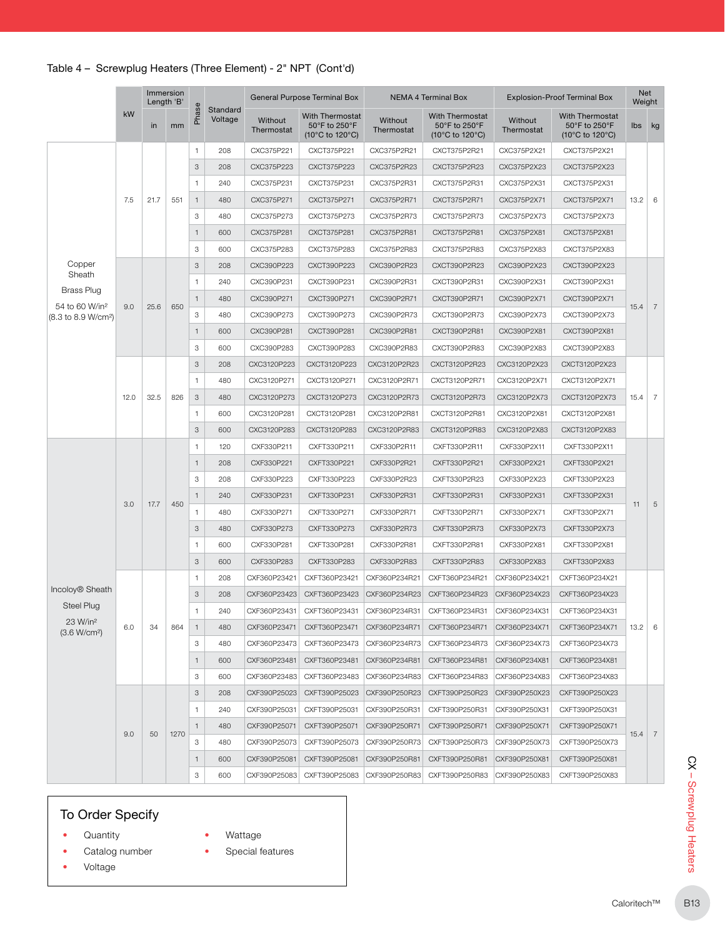|                                                               |                                                                                                                                                   |              |                           |              |                     |                       | <b>General Purpose Terminal Box</b>                        |                       | NEMA 4 Terminal Box                                        |                       | <b>Explosion-Proof Terminal Box</b>                                             | <b>Net</b><br>Weight |   |
|---------------------------------------------------------------|---------------------------------------------------------------------------------------------------------------------------------------------------|--------------|---------------------------|--------------|---------------------|-----------------------|------------------------------------------------------------|-----------------------|------------------------------------------------------------|-----------------------|---------------------------------------------------------------------------------|----------------------|---|
|                                                               | kW                                                                                                                                                | in           | mm                        | Phase        | Standard<br>Voltage | Without<br>Thermostat | <b>With Thermostat</b><br>50°F to 250°F<br>(10°C to 120°C) | Without<br>Thermostat | <b>With Thermostat</b><br>50°F to 250°F<br>(10°C to 120°C) | Without<br>Thermostat | <b>With Thermostat</b><br>50°F to 250°F<br>$(10^{\circ}$ C to 120 $^{\circ}$ C) | lbs kg               |   |
|                                                               |                                                                                                                                                   |              |                           | 1            | 208                 | CXC375P221            | CXCT375P221                                                | CXC375P2R21           | CXCT375P2R21                                               | CXC375P2X21           | CXCT375P2X21                                                                    |                      |   |
|                                                               |                                                                                                                                                   |              |                           | 3            | 208                 | CXC375P223            | CXCT375P223                                                | CXC375P2R23           | CXCT375P2R23                                               | CXC375P2X23           | CXCT375P2X23                                                                    |                      |   |
|                                                               |                                                                                                                                                   |              |                           | 1            | 240                 | CXC375P231            | CXCT375P231                                                | CXC375P2R31           | CXCT375P2R31                                               | CXC375P2X31           | CXCT375P2X31                                                                    |                      |   |
|                                                               | 7.5                                                                                                                                               | 21.7         | 551                       | $\mathbf{1}$ | 480                 | CXC375P271            | CXCT375P271                                                | CXC375P2R71           | CXCT375P2R71                                               | CXC375P2X71           | CXCT375P2X71                                                                    | 13.2                 | 6 |
|                                                               |                                                                                                                                                   |              |                           | 3            | 480                 | CXC375P273            | CXCT375P273                                                | CXC375P2R73           | CXCT375P2R73                                               | CXC375P2X73           | CXCT375P2X73                                                                    |                      |   |
|                                                               |                                                                                                                                                   |              |                           | $\mathbf{1}$ | 600                 | CXC375P281            | CXCT375P281                                                | CXC375P2R81           | CXCT375P2R81                                               | CXC375P2X81           | CXCT375P2X81                                                                    |                      |   |
|                                                               |                                                                                                                                                   |              |                           | 3            | 600                 | CXC375P283            | CXCT375P283                                                | CXC375P2R83           | CXCT375P2R83                                               | CXC375P2X83           | CXCT375P2X83                                                                    |                      |   |
| Copper                                                        |                                                                                                                                                   |              |                           | 3            | 208                 | CXC390P223            | CXCT390P223                                                | CXC390P2R23           | CXCT390P2R23                                               | CXC390P2X23           | CXCT390P2X23                                                                    |                      |   |
| Sheath                                                        |                                                                                                                                                   |              |                           | $\mathbf{1}$ | 240                 | CXC390P231            | CXCT390P231                                                | CXC390P2R31           | CXCT390P2R31                                               | CXC390P2X31           | CXCT390P2X31                                                                    |                      |   |
| <b>Brass Plug</b>                                             |                                                                                                                                                   |              |                           | $\mathbf{1}$ | 480                 | CXC390P271            | CXCT390P271                                                | CXC390P2R71           | CXCT390P2R71                                               | CXC390P2X71           | CXCT390P2X71                                                                    |                      |   |
| 54 to 60 W/in <sup>2</sup><br>(8.3 to 8.9 W/cm <sup>2</sup> ) | Immersion<br>Length 'B'<br>9.0<br>25.6<br>12.0<br>32.5<br>3.0<br>17.7<br>6.0<br>34<br>9.0<br>50<br>To Order Specify<br>Quantity<br>Catalog number |              | 3                         | 480          | CXC390P273          | CXCT390P273           | CXC390P2R73                                                | CXCT390P2R73          | CXC390P2X73                                                | CXCT390P2X73          | 15.4                                                                            | 7                    |   |
|                                                               |                                                                                                                                                   |              | $\mathbf{1}$              | 600          | CXC390P281          | CXCT390P281           | CXC390P2R81                                                | CXCT390P2R81          | CXC390P2X81                                                | CXCT390P2X81          |                                                                                 |                      |   |
|                                                               |                                                                                                                                                   |              | 3                         | 600          | CXC390P283          | CXCT390P283           | CXC390P2R83                                                | CXCT390P2R83          | CXC390P2X83                                                | CXCT390P2X83          |                                                                                 |                      |   |
|                                                               |                                                                                                                                                   |              |                           | 3            | 208                 | CXC3120P223           | CXCT3120P223                                               | CXC3120P2R23          | CXCT3120P2R23                                              | CXC3120P2X23          | CXCT3120P2X23                                                                   |                      |   |
|                                                               | 650<br>826<br>450                                                                                                                                 |              | $\mathbf{1}$              | 480          | CXC3120P271         | CXCT3120P271          | CXC3120P2R71                                               | CXCT3120P2R71         | CXC3120P2X71                                               | CXCT3120P2X71         |                                                                                 |                      |   |
|                                                               |                                                                                                                                                   |              | $\ensuremath{\mathsf{3}}$ | 480          | CXC3120P273         | CXCT3120P273          | CXC3120P2R73                                               | CXCT3120P2R73         | CXC3120P2X73                                               | CXCT3120P2X73         | 15.4                                                                            | $\overline{7}$       |   |
|                                                               |                                                                                                                                                   |              |                           | $\mathbf{1}$ | 600                 | CXC3120P281           | CXCT3120P281                                               | CXC3120P2R81          | CXCT3120P2R81                                              | CXC3120P2X81          | CXCT3120P2X81                                                                   |                      |   |
|                                                               |                                                                                                                                                   |              | 3                         | 600          | CXC3120P283         | CXCT3120P283          | CXC3120P2R83                                               | CXCT3120P2R83         | CXC3120P2X83                                               | CXCT3120P2X83         |                                                                                 |                      |   |
|                                                               |                                                                                                                                                   |              |                           | $\mathbf{1}$ | 120                 | CXF330P211            | CXFT330P211                                                | CXF330P2R11           | CXFT330P2R11                                               | CXF330P2X11           | CXFT330P2X11                                                                    |                      |   |
|                                                               |                                                                                                                                                   |              |                           | $\mathbf{1}$ | 208                 | CXF330P221            | CXFT330P221                                                | CXF330P2R21           | CXFT330P2R21                                               | CXF330P2X21           | CXFT330P2X21                                                                    |                      |   |
|                                                               |                                                                                                                                                   |              | 3                         | 208          | CXF330P223          | CXFT330P223           | CXF330P2R23                                                | CXFT330P2R23          | CXF330P2X23                                                | CXFT330P2X23          |                                                                                 |                      |   |
|                                                               |                                                                                                                                                   |              |                           | $\mathbf{1}$ | 240                 | CXF330P231            | CXFT330P231                                                | CXF330P2R31           | CXFT330P2R31                                               | CXF330P2X31           | CXFT330P2X31                                                                    |                      |   |
|                                                               |                                                                                                                                                   | 864<br>1270  | 1                         | 480          | CXF330P271          | CXFT330P271           | CXF330P2R71                                                | CXFT330P2R71          | CXF330P2X71                                                | CXFT330P2X71          | 11                                                                              | $\sqrt{5}$           |   |
|                                                               |                                                                                                                                                   |              | 3                         | 480          | CXF330P273          | CXFT330P273           | CXF330P2R73                                                | CXFT330P2R73          | CXF330P2X73                                                | CXFT330P2X73          |                                                                                 |                      |   |
|                                                               |                                                                                                                                                   |              | 1                         | 600          | CXF330P281          | CXFT330P281           | CXF330P2R81                                                | CXFT330P2R81          | CXF330P2X81                                                | CXFT330P2X81          |                                                                                 |                      |   |
|                                                               |                                                                                                                                                   |              | 3                         | 600          | CXF330P283          | CXFT330P283           | CXF330P2R83                                                | CXFT330P2R83          | CXF330P2X83                                                | CXFT330P2X83          |                                                                                 |                      |   |
|                                                               |                                                                                                                                                   | $\mathbf{1}$ | 208                       | CXF360P23421 | CXFT360P23421       | CXF360P234R21         | CXFT360P234R21                                             | CXF360P234X21         | CXFT360P234X21                                             |                       |                                                                                 |                      |   |
| Incoloy <sup>®</sup> Sheath                                   | Voltage                                                                                                                                           |              |                           |              |                     |                       |                                                            |                       |                                                            |                       |                                                                                 |                      |   |
| <b>Steel Plug</b>                                             |                                                                                                                                                   |              | 3                         | 208          | CXF360P23423        | CXFT360P23423         | CXF360P234R23                                              | CXFT360P234R23        | CXF360P234X23                                              | CXFT360P234X23        |                                                                                 |                      |   |
| 23 W/in <sup>2</sup>                                          |                                                                                                                                                   |              | $\mathbf{1}$              | 240          | CXF360P23431        | CXFT360P23431         | CXF360P234R31                                              | CXFT360P234R31        | CXF360P234X31                                              | CXFT360P234X31        |                                                                                 |                      |   |
| (3.6 W/cm <sup>2</sup> )                                      |                                                                                                                                                   |              |                           | $\mathbf{1}$ | 480                 | CXF360P23471          | CXFT360P23471                                              | CXF360P234R71         | CXFT360P234R71                                             | CXF360P234X71         | CXFT360P234X71                                                                  | 13.2                 | 6 |
|                                                               |                                                                                                                                                   |              |                           | 3            | 480                 | CXF360P23473          | CXFT360P23473                                              | CXF360P234R73         | CXFT360P234R73                                             | CXF360P234X73         | CXFT360P234X73                                                                  |                      |   |
|                                                               |                                                                                                                                                   |              |                           | $\mathbf{1}$ | 600                 | CXF360P23481          | CXFT360P23481                                              | CXF360P234R81         | CXFT360P234R81                                             | CXF360P234X81         | CXFT360P234X81                                                                  |                      |   |
|                                                               |                                                                                                                                                   |              |                           | 3            | 600                 | CXF360P23483          | CXFT360P23483                                              | CXF360P234R83         | CXFT360P234R83                                             | CXF360P234X83         | CXFT360P234X83                                                                  |                      |   |
|                                                               |                                                                                                                                                   |              |                           | 3            | 208                 | CXF390P25023          | CXFT390P25023                                              | CXF390P250R23         | CXFT390P250R23                                             | CXF390P250X23         | CXFT390P250X23                                                                  |                      |   |
|                                                               |                                                                                                                                                   |              |                           | 1            | 240                 | CXF390P25031          | CXFT390P25031                                              | CXF390P250R31         | CXFT390P250R31                                             | CXF390P250X31         | CXFT390P250X31                                                                  |                      |   |
|                                                               |                                                                                                                                                   |              |                           | $\mathbf{1}$ | 480                 | CXF390P25071          | CXFT390P25071                                              | CXF390P250R71         | CXFT390P250R71                                             | CXF390P250X71         | CXFT390P250X71                                                                  | 15.4                 | 7 |
|                                                               |                                                                                                                                                   |              |                           | 3            | 480                 | CXF390P25073          | CXFT390P25073                                              | CXF390P250R73         | CXFT390P250R73                                             | CXF390P250X73         | CXFT390P250X73                                                                  |                      |   |
|                                                               |                                                                                                                                                   |              |                           | $\mathbf{1}$ | 600                 | CXF390P25081          | CXFT390P25081                                              | CXF390P250R81         | CXFT390P250R81                                             | CXF390P250X81         | CXFT390P250X81                                                                  |                      |   |
|                                                               |                                                                                                                                                   |              |                           | 3            | 600                 | CXF390P25083          | CXFT390P25083                                              | CXF390P250R83         | CXFT390P250R83                                             | CXF390P250X83         | CXFT390P250X83                                                                  |                      |   |

## To Order Specify

- Quantity
- Wattage
- Catalog number
- Voltage
- Special features
-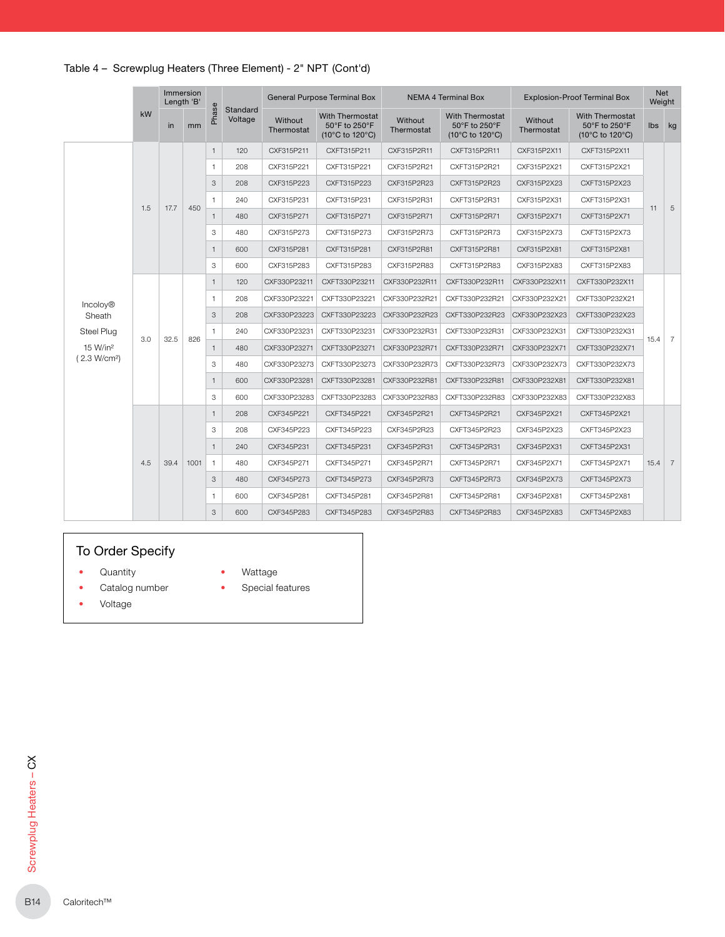|                          |     | Length 'B' | Immersion |              |                     |                       | <b>General Purpose Terminal Box</b>                        |                       | NEMA 4 Terminal Box                                        |                       | <b>Explosion-Proof Terminal Box</b>                        | Net<br>Weight |                 |
|--------------------------|-----|------------|-----------|--------------|---------------------|-----------------------|------------------------------------------------------------|-----------------------|------------------------------------------------------------|-----------------------|------------------------------------------------------------|---------------|-----------------|
|                          | kW  | <i>in</i>  | mm        | Phase        | Standard<br>Voltage | Without<br>Thermostat | <b>With Thermostat</b><br>50°F to 250°F<br>(10°C to 120°C) | Without<br>Thermostat | <b>With Thermostat</b><br>50°F to 250°F<br>(10°C to 120°C) | Without<br>Thermostat | <b>With Thermostat</b><br>50°F to 250°F<br>(10°C to 120°C) | <b>lbs</b>    | kg              |
|                          |     |            |           | $\mathbf{1}$ | 120                 | CXF315P211            | CXFT315P211                                                | CXF315P2R11           | CXFT315P2R11                                               | CXF315P2X11           | CXFT315P2X11                                               |               |                 |
|                          |     |            |           | 1            | 208                 | CXF315P221            | CXFT315P221                                                | CXF315P2R21           | CXFT315P2R21                                               | CXF315P2X21           | CXFT315P2X21                                               |               |                 |
|                          |     |            |           | 3            | 208                 | CXF315P223            | CXFT315P223                                                | CXF315P2R23           | CXFT315P2R23                                               | CXF315P2X23           | CXFT315P2X23                                               |               |                 |
|                          | 1.5 | 17.7       | 450       | $\mathbf{1}$ | 240                 | CXF315P231            | CXFT315P231                                                | CXF315P2R31           | CXFT315P2R31                                               | CXF315P2X31           | CXFT315P2X31                                               | 11            | 5               |
|                          |     |            |           | $\mathbf{1}$ | 480                 | CXF315P271            | CXFT315P271                                                | CXF315P2R71           | CXFT315P2R71                                               | CXF315P2X71           | CXFT315P2X71                                               |               |                 |
|                          |     |            |           | 3            | 480                 | CXF315P273            | CXFT315P273                                                | CXF315P2R73           | CXFT315P2R73                                               | CXF315P2X73           | CXFT315P2X73                                               |               |                 |
|                          |     |            |           | $\mathbf{1}$ | 600                 | CXF315P281            | CXFT315P281                                                | CXF315P2R81           | CXFT315P2R81                                               | CXF315P2X81           | CXFT315P2X81                                               |               |                 |
|                          |     |            |           | 3            | 600                 | CXF315P283            | CXFT315P283                                                | CXF315P2R83           | CXFT315P2R83                                               | CXF315P2X83           | CXFT315P2X83                                               |               |                 |
|                          |     |            |           | $\mathbf{1}$ | 120                 | CXF330P23211          | CXFT330P23211                                              | CXF330P232R11         | CXFT330P232R11                                             | CXF330P232X11         | CXFT330P232X11                                             |               |                 |
| <b>Incolov®</b>          |     |            |           | $\mathbf{1}$ | 208                 | CXF330P23221          | CXFT330P23221                                              | CXF330P232R21         | CXFT330P232R21                                             | CXF330P232X21         | CXFT330P232X21                                             |               |                 |
| Sheath                   |     |            |           | 3            | 208                 | CXF330P23223          | CXFT330P23223                                              | CXF330P232R23         | CXFT330P232R23                                             | CXF330P232X23         | CXFT330P232X23                                             |               |                 |
| Steel Plug               |     | 32.5       | 826       | $\mathbf{1}$ | 240                 | CXF330P23231          | CXFT330P23231                                              | CXF330P232R31         | CXFT330P232R31                                             | CXF330P232X31         | CXFT330P232X31                                             |               |                 |
| 15 W/in <sup>2</sup>     | 3.0 |            |           | $\mathbf{1}$ | 480                 | CXF330P23271          | CXFT330P23271                                              | CXF330P232R71         | CXFT330P232R71                                             | CXF330P232X71         | CXFT330P232X71                                             | 15.4          | 7               |
| (2.3 W/cm <sup>2</sup> ) |     |            |           | 3            | 480                 | CXF330P23273          | CXFT330P23273                                              | CXF330P232R73         | CXFT330P232R73                                             | CXF330P232X73         | CXFT330P232X73                                             |               |                 |
|                          |     |            |           | $\mathbf{1}$ | 600                 | CXF330P23281          | CXFT330P23281                                              | CXF330P232R81         | CXFT330P232R81                                             | CXF330P232X81         | CXFT330P232X81                                             |               |                 |
|                          |     |            |           | 3            | 600                 | CXF330P23283          | CXFT330P23283                                              | CXF330P232R83         | CXFT330P232R83                                             | CXF330P232X83         | CXFT330P232X83                                             |               |                 |
|                          |     |            |           | $\mathbf{1}$ | 208                 | CXF345P221            | CXFT345P221                                                | CXF345P2R21           | CXFT345P2R21                                               | CXF345P2X21           | CXFT345P2X21                                               |               |                 |
|                          |     |            |           | 3            | 208                 | CXF345P223            | CXFT345P223                                                | CXF345P2R23           | CXFT345P2R23                                               | CXF345P2X23           | CXFT345P2X23                                               |               |                 |
|                          |     |            |           | $\mathbf{1}$ | 240                 | CXF345P231            | CXFT345P231                                                | CXF345P2R31           | CXFT345P2R31                                               | CXF345P2X31           | CXFT345P2X31                                               |               |                 |
|                          | 4.5 | 39.4       | 1001      | $\mathbf{1}$ | 480                 | CXF345P271            | CXFT345P271                                                | CXF345P2R71           | CXFT345P2R71                                               | CXF345P2X71           | CXFT345P2X71                                               | 15.4          | $7\overline{ }$ |
|                          |     |            |           | 3            | 480                 | CXF345P273            | CXFT345P273                                                | CXF345P2R73           | CXFT345P2R73                                               | CXF345P2X73           | CXFT345P2X73                                               |               |                 |
|                          |     |            |           | 1            | 600                 | CXF345P281            | CXFT345P281                                                | CXF345P2R81           | CXFT345P2R81                                               | CXF345P2X81           | CXFT345P2X81                                               |               |                 |
|                          |     |            |           | 3            | 600                 | CXF345P283            | CXFT345P283                                                | CXF345P2R83           | CXFT345P2R83                                               | CXF345P2X83           | CXFT345P2X83                                               |               |                 |

## To Order Specify

- Quantity
- Catalog number
- Voltage
- Wattage
- Special features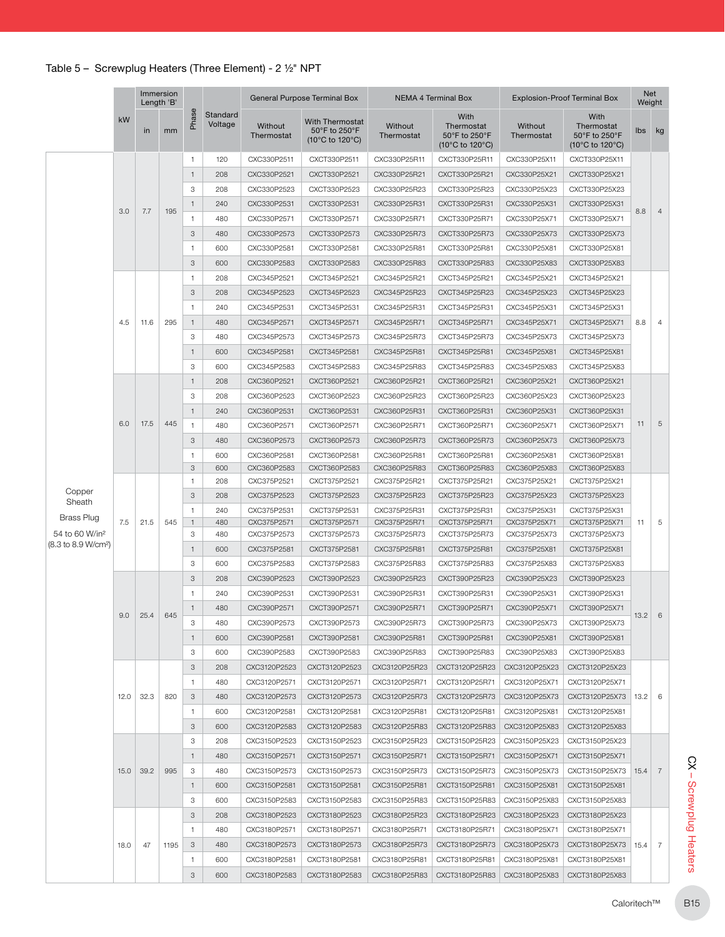|                                 |      |                            | Immersion<br>Length 'B' |                |                     |                       | General Purpose Terminal Box                        |                       | NEMA 4 Terminal Box                                    |                       | <b>Explosion-Proof Terminal Box</b>                                         | Net<br>Weight |                |
|---------------------------------|------|----------------------------|-------------------------|----------------|---------------------|-----------------------|-----------------------------------------------------|-----------------------|--------------------------------------------------------|-----------------------|-----------------------------------------------------------------------------|---------------|----------------|
|                                 | kW   | in                         | mm                      | Phase          | Standard<br>Voltage | Without<br>Thermostat | With Thermostat<br>50°F to 250°F<br>(10°C to 120°C) | Without<br>Thermostat | With<br>Thermostat<br>50°F to 250°F<br>(10°C to 120°C) | Without<br>Thermostat | With<br>Thermostat<br>50°F to 250°F<br>$(10^{\circ}$ C to 120 $^{\circ}$ C) | lbs           | kg             |
|                                 |      |                            |                         | $\mathbf{1}$   | 120                 | CXC330P2511           | CXCT330P2511                                        | CXC330P25R11          | CXCT330P25R11                                          | CXC330P25X11          | CXCT330P25X11                                                               |               |                |
|                                 |      |                            |                         | $\mathbf{1}$   | 208                 | CXC330P2521           | CXCT330P2521                                        | CXC330P25R21          | CXCT330P25R21                                          | CXC330P25X21          | CXCT330P25X21                                                               |               |                |
|                                 |      |                            |                         | 3              | 208                 | CXC330P2523           | CXCT330P2523                                        | CXC330P25R23          | CXCT330P25R23                                          | CXC330P25X23          | CXCT330P25X23                                                               |               |                |
|                                 |      |                            |                         | $\mathbf{1}$   | 240                 | CXC330P2531           | CXCT330P2531                                        | CXC330P25R31          | CXCT330P25R31                                          | CXC330P25X31          | CXCT330P25X31                                                               |               |                |
|                                 | 3.0  | 7.7                        | 195                     | $\mathbf{1}$   | 480                 | CXC330P2571           | CXCT330P2571                                        | CXC330P25R71          | CXCT330P25R71                                          | CXC330P25X71          | CXCT330P25X71                                                               | 8.8           | $\overline{4}$ |
|                                 |      |                            |                         | 3              | 480                 | CXC330P2573           | CXCT330P2573                                        | CXC330P25R73          | CXCT330P25R73                                          | CXC330P25X73          | CXCT330P25X73                                                               |               |                |
|                                 |      |                            |                         | $\mathbf{1}$   | 600                 | CXC330P2581           | CXCT330P2581                                        | CXC330P25R81          | CXCT330P25R81                                          | CXC330P25X81          | CXCT330P25X81                                                               |               |                |
|                                 |      |                            |                         | 3              | 600                 | CXC330P2583           | CXCT330P2583                                        | CXC330P25R83          | CXCT330P25R83                                          | CXC330P25X83          | CXCT330P25X83                                                               |               |                |
|                                 |      |                            |                         |                |                     |                       |                                                     |                       |                                                        |                       |                                                                             |               |                |
|                                 |      |                            |                         | $\mathbf{1}$   | 208                 | CXC345P2521           | CXCT345P2521                                        | CXC345P25R21          | CXCT345P25R21                                          | CXC345P25X21          | CXCT345P25X21                                                               |               |                |
|                                 |      |                            |                         | $_{\rm 3}$     | 208                 | CXC345P2523           | CXCT345P2523                                        | CXC345P25R23          | CXCT345P25R23                                          | CXC345P25X23          | CXCT345P25X23                                                               |               |                |
|                                 |      |                            |                         | $\mathbf{1}$   | 240                 | CXC345P2531           | CXCT345P2531                                        | CXC345P25R31          | CXCT345P25R31                                          | CXC345P25X31          | CXCT345P25X31                                                               |               |                |
|                                 | 4.5  | 11.6                       | 295                     | $\mathbf{1}$   | 480                 | CXC345P2571           | CXCT345P2571                                        | CXC345P25R71          | CXCT345P25R71                                          | CXC345P25X71          | CXCT345P25X71                                                               | 8.8           | 4              |
|                                 |      |                            |                         | 3              | 480                 | CXC345P2573           | CXCT345P2573                                        | CXC345P25R73          | CXCT345P25R73                                          | CXC345P25X73          | CXCT345P25X73                                                               |               |                |
|                                 |      |                            |                         | $\mathbf{1}$   | 600                 | CXC345P2581           | CXCT345P2581                                        | CXC345P25R81          | CXCT345P25R81                                          | CXC345P25X81          | CXCT345P25X81                                                               |               |                |
|                                 |      |                            |                         | 3              | 600                 | CXC345P2583           | CXCT345P2583                                        | CXC345P25R83          | CXCT345P25R83                                          | CXC345P25X83          | CXCT345P25X83                                                               |               |                |
|                                 |      |                            |                         | $\mathbf{1}$   | 208                 | CXC360P2521           | CXCT360P2521                                        | CXC360P25R21          | CXCT360P25R21                                          | CXC360P25X21          | CXCT360P25X21                                                               |               |                |
|                                 |      |                            |                         | 3              | 208                 | CXC360P2523           | CXCT360P2523                                        | CXC360P25R23          | CXCT360P25R23                                          | CXC360P25X23          | CXCT360P25X23                                                               |               |                |
|                                 |      |                            |                         | $\mathbf{1}$   | 240                 | CXC360P2531           | CXCT360P2531                                        | CXC360P25R31          | CXCT360P25R31                                          | CXC360P25X31          | CXCT360P25X31                                                               |               |                |
|                                 | 6.0  | 17.5                       | 445                     | $\mathbf{1}$   | 480                 | CXC360P2571           | CXCT360P2571                                        | CXC360P25R71          | CXCT360P25R71                                          | CXC360P25X71          | CXCT360P25X71                                                               | 11            | 5              |
|                                 |      |                            |                         | 3              | 480                 | CXC360P2573           | CXCT360P2573                                        | CXC360P25R73          | CXCT360P25R73                                          | CXC360P25X73          | CXCT360P25X73                                                               |               |                |
|                                 |      |                            |                         | $\mathbf{1}$   | 600                 | CXC360P2581           | CXCT360P2581                                        | CXC360P25R81          | CXCT360P25R81                                          | CXC360P25X81          | CXCT360P25X81                                                               |               |                |
|                                 |      |                            | 3                       | 600            | CXC360P2583         | CXCT360P2583          | CXC360P25R83                                        | CXCT360P25R83         | CXC360P25X83                                           | CXCT360P25X83         |                                                                             |               |                |
|                                 |      |                            |                         | $\mathbf{1}$   | 208                 | CXC375P2521           | CXCT375P2521                                        | CXC375P25R21          | CXCT375P25R21                                          | CXC375P25X21          | CXCT375P25X21                                                               |               |                |
| Copper                          |      | 21.5<br>545                | $_{\rm 3}$              | 208            | CXC375P2523         | CXCT375P2523          | CXC375P25R23                                        | CXCT375P25R23         | CXC375P25X23                                           | CXCT375P25X23         |                                                                             |               |                |
| Sheath                          |      |                            | $\mathbf{1}$            | 240            | CXC375P2531         | CXCT375P2531          | CXC375P25R31                                        | CXCT375P25R31         | CXC375P25X31                                           | CXCT375P25X31         |                                                                             |               |                |
| <b>Brass Plug</b>               | 7.5  |                            | $\mathbf{1}$            | 480            | CXC375P2571         | CXCT375P2571          | CXC375P25R71                                        | CXCT375P25R71         | CXC375P25X71                                           | CXCT375P25X71         | 11                                                                          | 5             |                |
| 54 to 60 W/in <sup>2</sup>      |      |                            |                         | 3              | 480                 | CXC375P2573           | CXCT375P2573                                        | CXC375P25R73          | CXCT375P25R73                                          | CXC375P25X73          | CXCT375P25X73                                                               |               |                |
| (8.3 to 8.9 W/cm <sup>2</sup> ) |      |                            |                         | $\mathbf{1}$   | 600                 | CXC375P2581           | CXCT375P2581                                        | CXC375P25R81          | CXCT375P25R81                                          | CXC375P25X81          | CXCT375P25X81                                                               |               |                |
|                                 |      |                            |                         | 3              | 600                 | CXC375P2583           | CXCT375P2583                                        | CXC375P25R83          | CXCT375P25R83                                          | CXC375P25X83          | CXCT375P25X83                                                               |               |                |
|                                 |      |                            |                         | 3              | 208                 | CXC390P2523           | CXCT390P2523                                        | CXC390P25R23          | CXCT390P25R23                                          | CXC390P25X23          | CXCT390P25X23                                                               |               |                |
|                                 |      |                            |                         | $\overline{1}$ | 240                 | CXC390P2531           | CXCT390P2531                                        | CXC390P25R31          | CXCT390P25R31                                          | CXC390P25X31          | CXCT390P25X31                                                               |               |                |
|                                 |      |                            |                         | $\mathbf{1}$   | 480                 |                       |                                                     |                       | CXCT390P25R71                                          |                       |                                                                             |               |                |
|                                 | 9.0  | 25.4                       | 645                     |                |                     | CXC390P2571           | CXCT390P2571                                        | CXC390P25R71          |                                                        | CXC390P25X71          | CXCT390P25X71                                                               | 13.2          | 6              |
|                                 |      |                            |                         | 3              | 480                 | CXC390P2573           | CXCT390P2573                                        | CXC390P25R73          | CXCT390P25R73                                          | CXC390P25X73          | CXCT390P25X73                                                               |               |                |
|                                 |      |                            |                         | $\mathbf{1}$   | 600                 | CXC390P2581           | CXCT390P2581                                        | CXC390P25R81          | CXCT390P25R81                                          | CXC390P25X81          | CXCT390P25X81                                                               |               |                |
|                                 |      |                            |                         | 3              | 600                 | CXC390P2583           | CXCT390P2583                                        | CXC390P25R83          | CXCT390P25R83                                          | CXC390P25X83          | CXCT390P25X83                                                               |               |                |
|                                 |      |                            |                         | 3              | 208                 | CXC3120P2523          | CXCT3120P2523                                       | CXC3120P25R23         | CXCT3120P25R23                                         | CXC3120P25X23         | CXCT3120P25X23                                                              |               |                |
|                                 |      |                            |                         | $\mathbf{1}$   | 480                 | CXC3120P2571          | CXCT3120P2571                                       | CXC3120P25R71         | CXCT3120P25R71                                         | CXC3120P25X71         | CXCT3120P25X71                                                              |               |                |
|                                 | 12.0 | 32.3<br>820<br>39.2<br>995 |                         | 3              | 480                 | CXC3120P2573          | CXCT3120P2573                                       | CXC3120P25R73         | CXCT3120P25R73                                         | CXC3120P25X73         | CXCT3120P25X73                                                              | 13.2          | 6              |
|                                 |      |                            |                         | $\mathbf{1}$   | 600                 | CXC3120P2581          | CXCT3120P2581                                       | CXC3120P25R81         | CXCT3120P25R81                                         | CXC3120P25X81         | CXCT3120P25X81                                                              |               |                |
|                                 |      |                            |                         | 3              | 600                 | CXC3120P2583          | CXCT3120P2583                                       | CXC3120P25R83         | CXCT3120P25R83                                         | CXC3120P25X83         | CXCT3120P25X83                                                              |               |                |
|                                 |      |                            |                         | 3              | 208                 | CXC3150P2523          | CXCT3150P2523                                       | CXC3150P25R23         | CXCT3150P25R23                                         | CXC3150P25X23         | CXCT3150P25X23                                                              |               |                |
|                                 |      |                            |                         | $\mathbf{1}$   | 480                 | CXC3150P2571          | CXCT3150P2571                                       | CXC3150P25R71         | CXCT3150P25R71                                         | CXC3150P25X71         | CXCT3150P25X71                                                              |               |                |
|                                 | 15.0 |                            |                         | 3              | 480                 | CXC3150P2573          | CXCT3150P2573                                       | CXC3150P25R73         | CXCT3150P25R73                                         | CXC3150P25X73         | CXCT3150P25X73                                                              | 15.4          | 7              |
|                                 |      |                            |                         | 1              | 600                 | CXC3150P2581          | CXCT3150P2581                                       | CXC3150P25R81         | CXCT3150P25R81                                         | CXC3150P25X81         | CXCT3150P25X81                                                              |               |                |
|                                 |      |                            |                         | 3              | 600                 | CXC3150P2583          | CXCT3150P2583                                       | CXC3150P25R83         | CXCT3150P25R83                                         | CXC3150P25X83         | CXCT3150P25X83                                                              |               |                |
|                                 |      |                            |                         |                |                     |                       |                                                     |                       |                                                        |                       |                                                                             |               |                |
|                                 |      |                            |                         | 3              | 208                 | CXC3180P2523          | CXCT3180P2523                                       | CXC3180P25R23         | CXCT3180P25R23                                         | CXC3180P25X23         | CXCT3180P25X23                                                              |               |                |
|                                 |      |                            |                         | $\mathbf{1}$   | 480                 | CXC3180P2571          | CXCT3180P2571                                       | CXC3180P25R71         | CXCT3180P25R71                                         | CXC3180P25X71         | CXCT3180P25X71                                                              |               |                |
|                                 | 18.0 | 47                         | 1195                    | 3              | 480                 | CXC3180P2573          | CXCT3180P2573                                       | CXC3180P25R73         | CXCT3180P25R73                                         | CXC3180P25X73         | CXCT3180P25X73                                                              | 15.4          | 7              |
|                                 |      |                            |                         | $\mathbf{1}$   | 600                 | CXC3180P2581          | CXCT3180P2581                                       | CXC3180P25R81         | CXCT3180P25R81                                         | CXC3180P25X81         | CXCT3180P25X81                                                              |               |                |
|                                 |      |                            |                         | 3              | 600                 | CXC3180P2583          | CXCT3180P2583                                       | CXC3180P25R83         | CXCT3180P25R83                                         | CXC3180P25X83         | CXCT3180P25X83                                                              |               |                |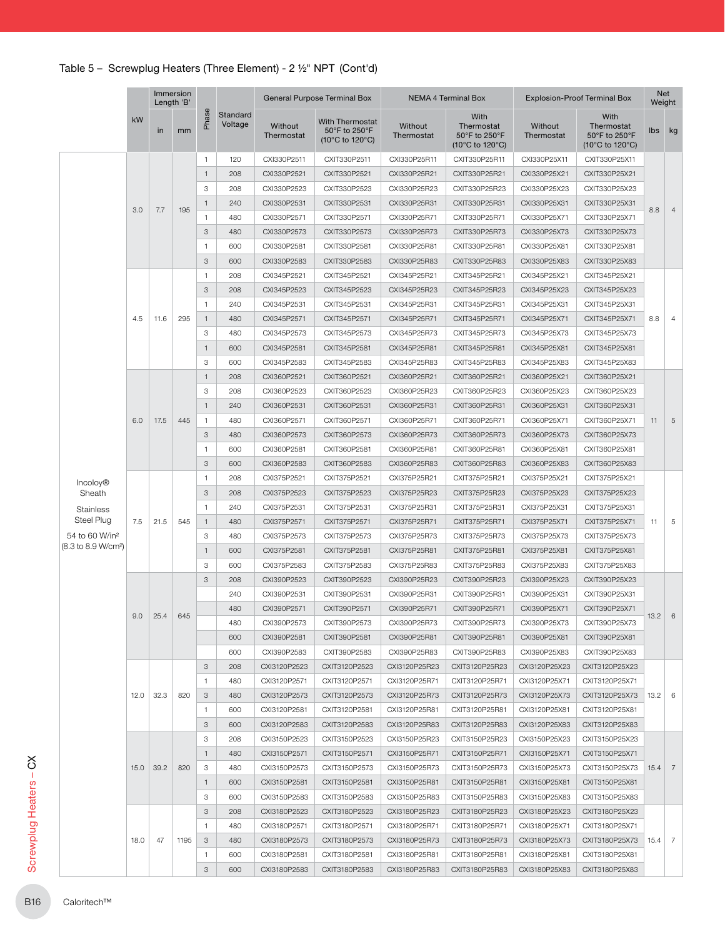|                                 |      |      | Immersion<br>Length 'B' |                |                     | General Purpose Terminal Box |                                                            |                       | NEMA 4 Terminal Box                                                         | <b>Explosion-Proof Terminal Box</b> |                                                                             |                |              |               |              |               |              |               |             |
|---------------------------------|------|------|-------------------------|----------------|---------------------|------------------------------|------------------------------------------------------------|-----------------------|-----------------------------------------------------------------------------|-------------------------------------|-----------------------------------------------------------------------------|----------------|--------------|---------------|--------------|---------------|--------------|---------------|-------------|
|                                 | kW   | in   | mm                      | Phase          | Standard<br>Voltage | Without<br>Thermostat        | <b>With Thermostat</b><br>50°F to 250°F<br>(10°C to 120°C) | Without<br>Thermostat | With<br>Thermostat<br>50°F to 250°F<br>$(10^{\circ}$ C to 120 $^{\circ}$ C) | Without<br>Thermostat               | With<br>Thermostat<br>50°F to 250°F<br>$(10^{\circ}$ C to 120 $^{\circ}$ C) | lbs kg         |              |               |              |               |              |               |             |
|                                 |      |      |                         | $\mathbf{1}$   | 120                 | CXI330P2511                  | CXIT330P2511                                               | CXI330P25R11          | CXIT330P25R11                                                               | CXI330P25X11                        | CXIT330P25X11                                                               |                |              |               |              |               |              |               |             |
|                                 |      |      |                         | $\mathbf{1}$   | 208                 | CXI330P2521                  | CXIT330P2521                                               | CXI330P25R21          | CXIT330P25R21                                                               | CXI330P25X21                        | CXIT330P25X21                                                               |                |              |               |              |               |              |               |             |
|                                 |      |      |                         | 3              | 208                 | CXI330P2523                  | CXIT330P2523                                               | CXI330P25R23          | CXIT330P25R23                                                               | CXI330P25X23                        | CXIT330P25X23                                                               |                |              |               |              |               |              |               |             |
|                                 |      |      |                         | $\mathbf{1}$   | 240                 | CXI330P2531                  | CXIT330P2531                                               | CXI330P25R31          | CXIT330P25R31                                                               | CXI330P25X31                        | CXIT330P25X31                                                               | 8.8            |              |               |              |               |              |               |             |
|                                 | 3.0  | 7.7  | 195                     | $\mathbf{1}$   | 480                 | CXI330P2571                  | CXIT330P2571                                               | CXI330P25R71          | CXIT330P25R71                                                               | CXI330P25X71                        | CXIT330P25X71                                                               |                |              |               |              |               |              |               |             |
|                                 |      |      |                         | 3              | 480                 | CXI330P2573                  | CXIT330P2573                                               | CXI330P25R73          | CXIT330P25R73                                                               | CXI330P25X73                        | CXIT330P25X73                                                               |                |              |               |              |               |              |               |             |
|                                 |      |      |                         | $\overline{1}$ | 600                 | CXI330P2581                  | CXIT330P2581                                               | CXI330P25R81          | CXIT330P25R81                                                               | CXI330P25X81                        | CXIT330P25X81                                                               |                |              |               |              |               |              |               |             |
|                                 |      |      |                         | 3              | 600                 | CXI330P2583                  | CXIT330P2583                                               | CXI330P25R83          | CXIT330P25R83                                                               | CXI330P25X83                        | CXIT330P25X83                                                               |                |              |               |              |               |              |               |             |
|                                 |      |      |                         | $\overline{1}$ | 208                 | CXI345P2521                  | CXIT345P2521                                               | CXI345P25R21          | CXIT345P25R21                                                               | CXI345P25X21                        | CXIT345P25X21                                                               |                |              |               |              |               |              |               |             |
|                                 |      |      |                         | 3              | 208                 | CXI345P2523                  | CXIT345P2523                                               | CXI345P25R23          | CXIT345P25R23                                                               | CXI345P25X23                        | CXIT345P25X23                                                               |                |              |               |              |               |              |               |             |
|                                 |      |      |                         | $\mathbf{1}$   | 240                 | CXI345P2531                  | CXIT345P2531                                               | CXI345P25R31          | CXIT345P25R31                                                               | CXI345P25X31                        | CXIT345P25X31                                                               |                |              |               |              |               |              |               |             |
|                                 | 4.5  | 11.6 | 295                     | $\mathbf{1}$   | 480                 | CXI345P2571                  | CXIT345P2571                                               | CXI345P25R71          | CXIT345P25R71                                                               | CXI345P25X71                        | CXIT345P25X71                                                               | 8.8            |              |               |              |               |              |               |             |
|                                 |      |      |                         | 3              | 480                 | CXI345P2573                  | CXIT345P2573                                               | CXI345P25R73          | CXIT345P25R73                                                               | CXI345P25X73                        | CXIT345P25X73                                                               |                |              |               |              |               |              |               |             |
|                                 |      |      |                         | $\mathbf{1}$   | 600                 | CXI345P2581                  | CXIT345P2581                                               | CXI345P25R81          | CXIT345P25R81                                                               | CXI345P25X81                        | CXIT345P25X81                                                               |                |              |               |              |               |              |               |             |
|                                 |      |      |                         | 3              | 600                 | CXI345P2583                  | CXIT345P2583                                               | CXI345P25R83          | CXIT345P25R83                                                               | CXI345P25X83                        | CXIT345P25X83                                                               |                |              |               |              |               |              |               |             |
|                                 |      |      |                         | $\mathbf{1}$   | 208                 | CXI360P2521                  | CXIT360P2521                                               | CXI360P25R21          | CXIT360P25R21                                                               | CXI360P25X21                        | CXIT360P25X21                                                               |                |              |               |              |               |              |               |             |
|                                 |      |      |                         | 3              |                     |                              |                                                            |                       | CXIT360P25R23                                                               |                                     |                                                                             |                |              |               |              |               |              |               |             |
|                                 | 6.0  |      |                         |                | 208                 | CXI360P2523                  | CXIT360P2523                                               | CXI360P25R23          |                                                                             | CXI360P25X23                        | CXIT360P25X23                                                               | 11             |              |               |              |               |              |               |             |
|                                 |      | 17.5 |                         | $\mathbf{1}$   | 240                 | CXI360P2531                  | CXIT360P2531                                               | CXI360P25R31          | CXIT360P25R31                                                               | CXI360P25X31                        | CXIT360P25X31                                                               |                |              |               |              |               |              |               |             |
|                                 |      |      | 445                     | $\mathbf{1}$   | 480                 | CXI360P2571                  | CXIT360P2571                                               | CXI360P25R71          | CXIT360P25R71                                                               | CXI360P25X71                        | CXIT360P25X71                                                               |                |              |               |              |               |              |               |             |
|                                 |      |      |                         | 3              | 480                 | CXI360P2573                  | CXIT360P2573                                               | CXI360P25R73          | CXIT360P25R73                                                               | CXI360P25X73                        | CXIT360P25X73                                                               |                |              |               |              |               |              |               |             |
|                                 |      |      |                         | $\mathbf{1}$   | 600                 | CXI360P2581                  | CXIT360P2581                                               | CXI360P25R81          | CXIT360P25R81                                                               | CXI360P25X81                        | CXIT360P25X81                                                               |                |              |               |              |               |              |               |             |
|                                 |      |      |                         | 3              | 600                 | CXI360P2583                  | CXIT360P2583                                               | CXI360P25R83          | CXIT360P25R83                                                               | CXI360P25X83                        | CXIT360P25X83                                                               |                |              |               |              |               |              |               |             |
| <b>Incoloy®</b>                 | 7.5  |      | 545                     | $\mathbf{1}$   | 208                 | CXI375P2521                  | CXIT375P2521                                               | CXI375P25R21          | CXIT375P25R21                                                               | CXI375P25X21                        | CXIT375P25X21                                                               |                |              |               |              |               |              |               |             |
| Sheath                          |      |      |                         | 3              | 208                 | CXI375P2523                  | CXIT375P2523                                               | CXI375P25R23          | CXIT375P25R23                                                               | CXI375P25X23                        | CXIT375P25X23                                                               |                |              |               |              |               |              |               |             |
| Stainless                       |      |      |                         | $\mathbf{1}$   | 240                 | CXI375P2531                  | CXIT375P2531                                               | CXI375P25R31          | CXIT375P25R31                                                               | CXI375P25X31                        | CXIT375P25X31                                                               |                |              |               |              |               |              |               |             |
| Steel Plug                      |      | 21.5 |                         |                |                     |                              |                                                            |                       |                                                                             |                                     | $\mathbf{1}$                                                                | 480            | CXI375P2571  | CXIT375P2571  | CXI375P25R71 | CXIT375P25R71 | CXI375P25X71 | CXIT375P25X71 |             |
| 54 to 60 W/in <sup>2</sup>      |      |      |                         |                |                     |                              |                                                            |                       |                                                                             |                                     |                                                                             |                |              |               |              |               | 3            | 480           | CXI375P2573 |
| (8.3 to 8.9 W/cm <sup>2</sup> ) |      |      |                         | $\mathbf{1}$   | 600                 | CXI375P2581                  | CXIT375P2581                                               | CXI375P25R81          | CXIT375P25R81                                                               | CXI375P25X81                        | CXIT375P25X81                                                               |                |              |               |              |               |              |               |             |
|                                 |      |      |                         | 3              | 600                 | CXI375P2583                  | CXIT375P2583                                               | CXI375P25R83          | CXIT375P25R83                                                               | CXI375P25X83                        | CXIT375P25X83                                                               |                |              |               |              |               |              |               |             |
|                                 |      |      |                         | 3              | 208                 | CXI390P2523                  | CXIT390P2523                                               | CXI390P25R23          | CXIT390P25R23                                                               | CXI390P25X23                        | CXIT390P25X23                                                               |                |              |               |              |               |              |               |             |
|                                 |      |      |                         |                | 240                 | CXI390P2531                  | CXIT390P2531                                               | CXI390P25R31          | CXIT390P25R31                                                               | CXI390P25X31                        | CXIT390P25X31                                                               |                |              |               |              |               |              |               |             |
|                                 |      |      |                         |                | 480                 | CXI390P2571                  | CXIT390P2571                                               | CXI390P25R71          | CXIT390P25R71                                                               | CXI390P25X71                        | CXIT390P25X71                                                               | $13.2 \quad 6$ |              |               |              |               |              |               |             |
|                                 |      |      |                         | $9.0$ 25.4 645 |                     |                              |                                                            | 480                   | CXI390P2573                                                                 | CXIT390P2573                        | CXI390P25R73                                                                | CXIT390P25R73  | CXI390P25X73 | CXIT390P25X73 |              |               |              |               |             |
|                                 |      |      |                         |                | 600                 | CXI390P2581                  | CXIT390P2581                                               | CXI390P25R81          | CXIT390P25R81                                                               | CXI390P25X81                        | CXIT390P25X81                                                               |                |              |               |              |               |              |               |             |
|                                 |      |      |                         |                | 600                 | CXI390P2583                  | CXIT390P2583                                               | CXI390P25R83          | CXIT390P25R83                                                               | CXI390P25X83                        | CXIT390P25X83                                                               |                |              |               |              |               |              |               |             |
|                                 |      |      |                         | 3              | 208                 | CXI3120P2523                 | CXIT3120P2523                                              | CXI3120P25R23         | CXIT3120P25R23                                                              | CXI3120P25X23                       | CXIT3120P25X23                                                              |                |              |               |              |               |              |               |             |
|                                 |      |      |                         | $\mathbf{1}$   | 480                 | CXI3120P2571                 | CXIT3120P2571                                              | CXI3120P25R71         | CXIT3120P25R71                                                              | CXI3120P25X71                       | CXIT3120P25X71                                                              |                |              |               |              |               |              |               |             |
|                                 | 12.0 | 32.3 | 820                     | 3              | 480                 | CXI3120P2573                 | CXIT3120P2573                                              | CXI3120P25R73         | CXIT3120P25R73                                                              | CXI3120P25X73                       | CXIT3120P25X73                                                              | $13.2 \mid 6$  |              |               |              |               |              |               |             |
|                                 |      |      |                         | 1              | 600                 | CXI3120P2581                 | CXIT3120P2581                                              | CXI3120P25R81         | CXIT3120P25R81                                                              | CXI3120P25X81                       | CXIT3120P25X81                                                              |                |              |               |              |               |              |               |             |
|                                 |      |      |                         | 3              | 600                 | CXI3120P2583                 | CXIT3120P2583                                              | CXI3120P25R83         | CXIT3120P25R83                                                              | CXI3120P25X83                       | CXIT3120P25X83                                                              |                |              |               |              |               |              |               |             |
|                                 |      |      |                         | 3              | 208                 | CXI3150P2523                 | CXIT3150P2523                                              | CXI3150P25R23         | CXIT3150P25R23                                                              | CXI3150P25X23                       | CXIT3150P25X23                                                              |                |              |               |              |               |              |               |             |
|                                 |      |      |                         | $\mathbf{1}$   | 480                 | CXI3150P2571                 | CXIT3150P2571                                              | CXI3150P25R71         | CXIT3150P25R71                                                              | CXI3150P25X71                       | CXIT3150P25X71                                                              |                |              |               |              |               |              |               |             |
|                                 |      | 39.2 | 820                     | 3              | 480                 | CXI3150P2573                 | CXIT3150P2573                                              | CXI3150P25R73         | CXIT3150P25R73                                                              | CXI3150P25X73                       | CXIT3150P25X73                                                              | 15.4           |              |               |              |               |              |               |             |
|                                 | 15.0 |      |                         |                |                     |                              |                                                            |                       |                                                                             |                                     |                                                                             |                |              |               |              |               |              |               |             |
|                                 |      |      |                         | $\mathbf{1}$   | 600                 | CXI3150P2581                 | CXIT3150P2581                                              | CXI3150P25R81         | CXIT3150P25R81                                                              | CXI3150P25X81                       | CXIT3150P25X81                                                              |                |              |               |              |               |              |               |             |
|                                 |      |      |                         | З              | 600                 | CXI3150P2583                 | CXIT3150P2583                                              | CXI3150P25R83         | CXIT3150P25R83                                                              | CXI3150P25X83                       | CXIT3150P25X83                                                              |                |              |               |              |               |              |               |             |
|                                 |      |      |                         | 3              | 208                 | CXI3180P2523                 | CXIT3180P2523                                              | CXI3180P25R23         | CXIT3180P25R23                                                              | CXI3180P25X23                       | CXIT3180P25X23                                                              |                |              |               |              |               |              |               |             |
|                                 |      |      |                         | $\mathbf{1}$   | 480                 | CXI3180P2571                 | CXIT3180P2571                                              | CXI3180P25R71         | CXIT3180P25R71                                                              | CXI3180P25X71                       | CXIT3180P25X71                                                              |                |              |               |              |               |              |               |             |
|                                 | 18.0 | 47   | 1195                    | 3              | 480                 | CXI3180P2573                 | CXIT3180P2573                                              | CXI3180P25R73         | CXIT3180P25R73                                                              | CXI3180P25X73                       | CXIT3180P25X73                                                              | $15.4$ 7       |              |               |              |               |              |               |             |
|                                 |      |      |                         | 1              | 600                 | CXI3180P2581                 | CXIT3180P2581                                              | CXI3180P25R81         | CXIT3180P25R81                                                              | CXI3180P25X81                       | CXIT3180P25X81                                                              |                |              |               |              |               |              |               |             |
|                                 |      |      |                         | 3              | 600                 | CXI3180P2583                 | CXIT3180P2583                                              | CXI3180P25R83         | CXIT3180P25R83                                                              | CXI3180P25X83                       | CXIT3180P25X83                                                              |                |              |               |              |               |              |               |             |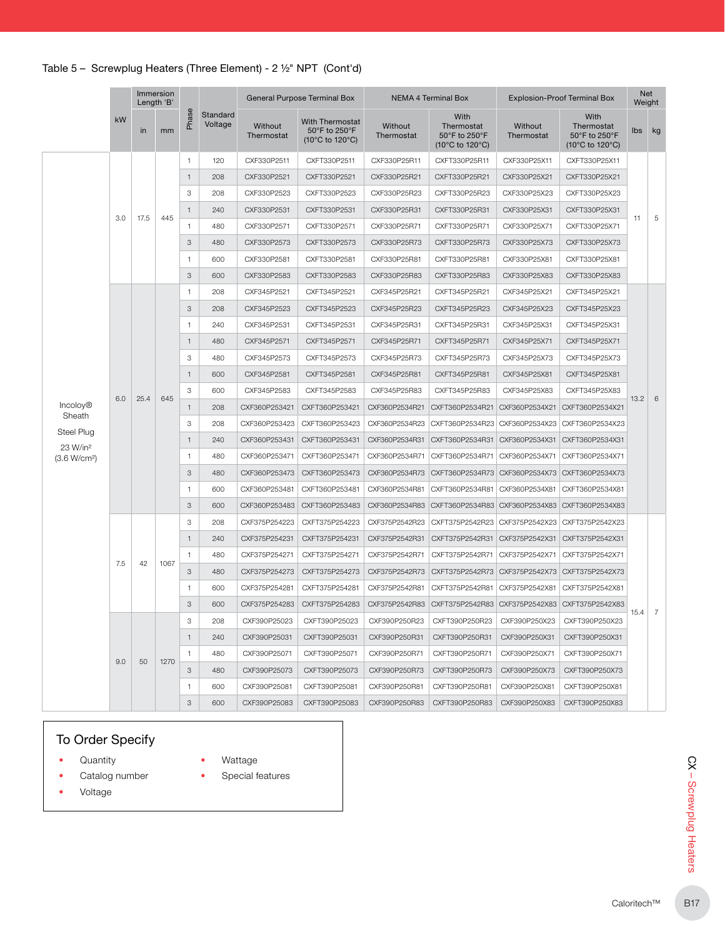|                                                  |          | Immersion<br>Length 'B' |              |                           |                     |                       | General Purpose Terminal Box                               |                       | <b>NEMA 4 Terminal Box</b>                             |                       | <b>Explosion-Proof Terminal Box</b>                    |                 | <b>Net</b><br>Weight |  |
|--------------------------------------------------|----------|-------------------------|--------------|---------------------------|---------------------|-----------------------|------------------------------------------------------------|-----------------------|--------------------------------------------------------|-----------------------|--------------------------------------------------------|-----------------|----------------------|--|
|                                                  | kW<br>in |                         | mm           | Phase                     | Standard<br>Voltage | Without<br>Thermostat | <b>With Thermostat</b><br>50°F to 250°F<br>(10°C to 120°C) | Without<br>Thermostat | With<br>Thermostat<br>50°F to 250°F<br>(10°C to 120°C) | Without<br>Thermostat | With<br>Thermostat<br>50°F to 250°F<br>(10°C to 120°C) | Ibs             | kg                   |  |
|                                                  |          |                         |              | $\mathbf{1}$              | 120                 | CXF330P2511           | CXFT330P2511                                               | CXF330P25R11          | CXFT330P25R11                                          | CXF330P25X11          | CXFT330P25X11                                          |                 |                      |  |
|                                                  |          |                         |              | $\mathbf{1}$              | 208                 | CXF330P2521           | CXFT330P2521                                               | CXF330P25R21          | CXFT330P25R21                                          | CXF330P25X21          | CXFT330P25X21                                          |                 |                      |  |
|                                                  |          |                         |              | 3                         | 208                 | CXF330P2523           | CXFT330P2523                                               | CXF330P25R23          | CXFT330P25R23                                          | CXF330P25X23          | CXFT330P25X23                                          |                 |                      |  |
|                                                  | 3.0      |                         |              | 1                         | 240                 | CXF330P2531           | CXFT330P2531                                               | CXF330P25R31          | CXFT330P25R31                                          | CXF330P25X31          | CXFT330P25X31                                          |                 |                      |  |
|                                                  |          | 17.5                    | 445          | 1                         | 480                 | CXF330P2571           | CXFT330P2571                                               | CXF330P25R71          | CXFT330P25R71                                          | CXF330P25X71          | CXFT330P25X71                                          | 11              | 5                    |  |
|                                                  |          |                         |              | 3                         | 480                 | CXF330P2573           | CXFT330P2573                                               | CXF330P25R73          | CXFT330P25R73                                          | CXF330P25X73          | CXFT330P25X73                                          |                 |                      |  |
|                                                  |          |                         |              | $\mathbf{1}$              | 600                 | CXF330P2581           | CXFT330P2581                                               | CXF330P25R81          | CXFT330P25R81                                          | CXF330P25X81          | CXFT330P25X81                                          |                 |                      |  |
|                                                  |          |                         |              | 3                         | 600                 | CXF330P2583           | CXFT330P2583                                               | CXF330P25R83          | CXFT330P25R83                                          | CXF330P25X83          | CXFT330P25X83                                          |                 |                      |  |
|                                                  |          |                         |              |                           | $\mathbf{1}$        | 208                   | CXF345P2521                                                | CXFT345P2521          | CXF345P25R21                                           | CXFT345P25R21         | CXF345P25X21                                           | CXFT345P25X21   |                      |  |
|                                                  |          |                         |              | 3                         | 208                 | CXF345P2523           | CXFT345P2523                                               | CXF345P25R23          | CXFT345P25R23                                          | CXF345P25X23          | CXFT345P25X23                                          |                 |                      |  |
|                                                  |          |                         |              | $\mathbf{1}$              | 240                 | CXF345P2531           | CXFT345P2531                                               | CXF345P25R31          | CXFT345P25R31                                          | CXF345P25X31          | CXFT345P25X31                                          |                 |                      |  |
|                                                  |          |                         |              | $\overline{1}$            | 480                 | CXF345P2571           | CXFT345P2571                                               | CXF345P25R71          | CXFT345P25R71                                          | CXF345P25X71          | CXFT345P25X71                                          |                 |                      |  |
|                                                  |          |                         |              | 3                         | 480                 | CXF345P2573           | CXFT345P2573                                               | CXF345P25R73          | CXFT345P25R73                                          | CXF345P25X73          | CXFT345P25X73                                          |                 |                      |  |
|                                                  |          |                         |              | $\overline{1}$            | 600                 | CXF345P2581           | CXFT345P2581                                               | CXF345P25R81          | CXFT345P25R81                                          | CXF345P25X81          | CXFT345P25X81                                          |                 |                      |  |
|                                                  |          |                         |              | $\ensuremath{\mathsf{3}}$ | 600                 | CXF345P2583           | CXFT345P2583                                               | CXF345P25R83          | CXFT345P25R83                                          | CXF345P25X83          | CXFT345P25X83                                          |                 |                      |  |
| Incoloy <sup>®</sup>                             | 6.0      | 25.4                    | 645          | $\mathbf{1}$              | 208                 | CXF360P253421         | CXFT360P253421                                             | CXF360P2534R21        | CXFT360P2534R21                                        | CXF360P2534X21        | CXFT360P2534X21                                        | 13.2            | 6                    |  |
| Sheath                                           |          |                         |              | 3                         | 208                 | CXF360P253423         | CXFT360P253423                                             | CXF360P2534R23        | CXFT360P2534R23                                        | CXF360P2534X23        | CXFT360P2534X23                                        |                 |                      |  |
| Steel Plug                                       |          |                         |              | $\overline{1}$            | 240                 | CXF360P253431         | CXFT360P253431                                             | CXF360P2534R31        | CXFT360P2534R31                                        | CXF360P2534X31        | CXFT360P2534X31                                        |                 |                      |  |
| 23 W/in <sup>2</sup><br>(3.6 W/cm <sup>2</sup> ) |          |                         |              | $\mathbf{1}$              | 480                 | CXF360P253471         | CXFT360P253471                                             | CXF360P2534R71        | CXFT360P2534R71                                        | CXF360P2534X71        | CXFT360P2534X71                                        |                 |                      |  |
|                                                  |          |                         |              |                           | 3                   | 480                   | CXF360P253473                                              | CXFT360P253473        | CXF360P2534R73                                         | CXFT360P2534R73       | CXF360P2534X73                                         | CXFT360P2534X73 |                      |  |
|                                                  |          |                         |              |                           |                     | $\overline{1}$        | 600                                                        | CXF360P253481         | CXFT360P253481                                         | CXF360P2534R81        | CXFT360P2534R81                                        | CXF360P2534X81  | CXFT360P2534X81      |  |
|                                                  |          |                         |              | 3                         | 600                 | CXF360P253483         | CXFT360P253483                                             | CXF360P2534R83        | CXFT360P2534R83                                        | CXF360P2534X83        | CXFT360P2534X83                                        |                 |                      |  |
|                                                  |          |                         |              | 3                         | 208                 | CXF375P254223         | CXFT375P254223                                             | CXF375P2542R23        | CXFT375P2542R23                                        | CXF375P2542X23        | CXFT375P2542X23                                        |                 |                      |  |
|                                                  |          |                         |              | $\mathbf{1}$              | 240                 | CXF375P254231         | CXFT375P254231                                             | CXF375P2542R31        | CXFT375P2542R31                                        | CXF375P2542X31        | CXFT375P2542X31                                        |                 |                      |  |
| 7.5                                              |          |                         | $\mathbf{1}$ | 480                       | CXF375P254271       | CXFT375P254271        | CXF375P2542R71                                             | CXFT375P2542R71       | CXF375P2542X71                                         | CXFT375P2542X71       |                                                        |                 |                      |  |
|                                                  |          | 42                      | 1067         | 3                         | 480                 | CXF375P254273         | CXFT375P254273                                             | CXF375P2542R73        | CXFT375P2542R73 CXF375P2542X73                         |                       | CXFT375P2542X73                                        |                 |                      |  |
|                                                  |          |                         |              | $\overline{1}$            | 600                 | CXF375P254281         | CXFT375P254281                                             | CXF375P2542R81        | CXFT375P2542R81                                        | CXF375P2542X81        | CXFT375P2542X81                                        |                 |                      |  |
|                                                  |          |                         |              | 3                         | 600                 | CXF375P254283         | CXFT375P254283                                             | CXF375P2542R83        | CXFT375P2542R83                                        | CXF375P2542X83        | CXFT375P2542X83                                        |                 |                      |  |
|                                                  |          |                         |              | 3                         | 208                 | CXF390P25023          | CXFT390P25023                                              | CXF390P250R23         | CXFT390P250R23                                         | CXF390P250X23         | CXFT390P250X23                                         | 15.4            | $\overline{7}$       |  |
|                                                  |          |                         |              | $\mathbf{1}$              | 240                 | CXF390P25031          | CXFT390P25031                                              | CXF390P250R31         | CXFT390P250R31                                         | CXF390P250X31         | CXFT390P250X31                                         |                 |                      |  |
|                                                  |          |                         |              | $\mathbf{1}$              | 480                 | CXF390P25071          | CXFT390P25071                                              | CXF390P250R71         | CXFT390P250R71                                         | CXF390P250X71         | CXFT390P250X71                                         |                 |                      |  |
|                                                  | 9.0      | 50                      | 1270         | 3                         | 480                 | CXF390P25073          | CXFT390P25073                                              | CXF390P250R73         | CXFT390P250R73                                         | CXF390P250X73         | CXFT390P250X73                                         |                 |                      |  |
|                                                  |          |                         |              | $\mathbf{1}$              | 600                 | CXF390P25081          | CXFT390P25081                                              | CXF390P250R81         | CXFT390P250R81                                         | CXF390P250X81         | CXFT390P250X81                                         |                 |                      |  |
|                                                  |          |                         |              | 3                         | 600                 | CXF390P25083          | CXFT390P25083                                              | CXF390P250R83         | CXFT390P250R83                                         | CXF390P250X83         | CXFT390P250X83                                         |                 |                      |  |

## To Order Specify

- **Quantity**
- Wattage
- Catalog number
- Special features
- Voltage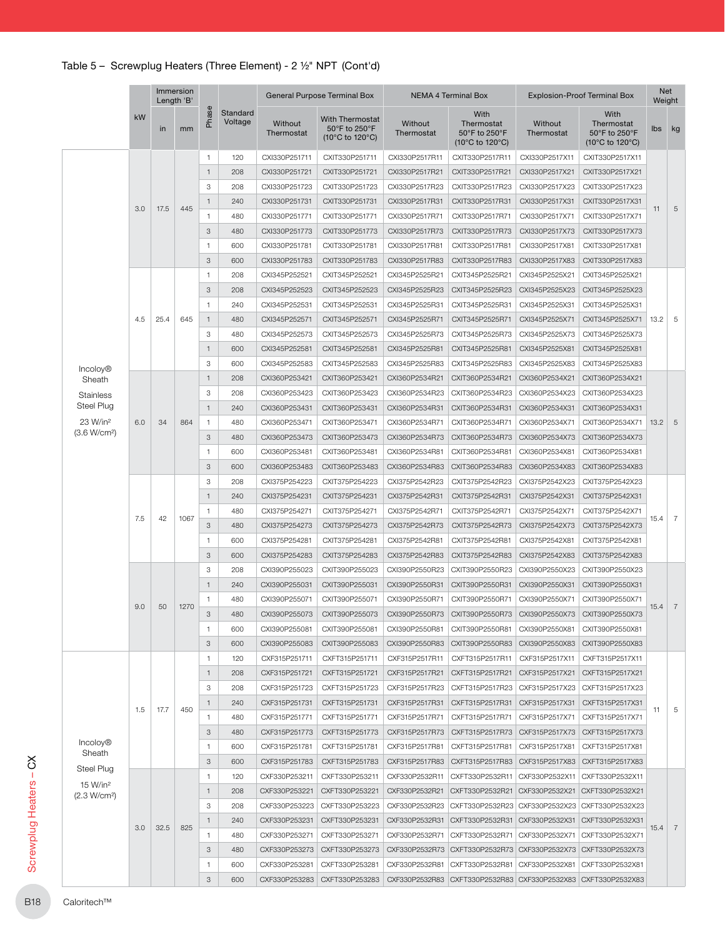|                                                                      |     |      | Immersion<br>Length 'B' |                   |                     |                                | General Purpose Terminal Box                               |                                  | <b>NEMA 4 Terminal Box</b>                                    | <b>Explosion-Proof Terminal Box</b> |                                                        |                 |     |               |                |                |                 |                |
|----------------------------------------------------------------------|-----|------|-------------------------|-------------------|---------------------|--------------------------------|------------------------------------------------------------|----------------------------------|---------------------------------------------------------------|-------------------------------------|--------------------------------------------------------|-----------------|-----|---------------|----------------|----------------|-----------------|----------------|
|                                                                      | kW  | in   | mm                      | Phase             | Standard<br>Voltage | Without<br>Thermostat          | <b>With Thermostat</b><br>50°F to 250°F<br>(10°C to 120°C) | Without<br>Thermostat            | With<br>Thermostat<br>50°F to 250°F<br>(10°C to 120°C)        | Without<br>Thermostat               | With<br>Thermostat<br>50°F to 250°F<br>(10°C to 120°C) | lbs kg          |     |               |                |                |                 |                |
|                                                                      |     |      |                         | $\mathbf{1}$      | 120                 | CXI330P251711                  | CXIT330P251711                                             | CXI330P2517R11                   | CXIT330P2517R11                                               | CXI330P2517X11                      | CXIT330P2517X11                                        |                 |     |               |                |                |                 |                |
|                                                                      |     |      |                         | $\overline{1}$    | 208                 | CXI330P251721                  | CXIT330P251721                                             | CXI330P2517R21                   | CXIT330P2517R21                                               | CXI330P2517X21                      | CXIT330P2517X21                                        |                 |     |               |                |                |                 |                |
|                                                                      |     |      |                         | 3                 | 208                 | CXI330P251723                  | CXIT330P251723                                             | CXI330P2517R23                   | CXIT330P2517R23                                               | CXI330P2517X23                      | CXIT330P2517X23                                        |                 |     |               |                |                |                 |                |
|                                                                      |     |      |                         | $\mathbf{1}$      | 240                 | CXI330P251731                  | CXIT330P251731                                             | CXI330P2517R31                   | CXIT330P2517R31                                               | CXI330P2517X31                      | CXIT330P2517X31                                        |                 |     |               |                |                |                 |                |
|                                                                      | 3.0 | 17.5 | 445                     | $\mathbf{1}$      | 480                 | CXI330P251771                  | CXIT330P251771                                             | CXI330P2517R71                   | CXIT330P2517R71                                               | CXI330P2517X71                      | CXIT330P2517X71                                        | 11              |     |               |                |                |                 |                |
|                                                                      |     |      |                         | 3                 | 480                 | CXI330P251773                  | CXIT330P251773                                             | CXI330P2517R73                   | CXIT330P2517R73                                               | CXI330P2517X73                      | CXIT330P2517X73                                        |                 |     |               |                |                |                 |                |
|                                                                      |     |      |                         | $\overline{1}$    | 600                 | CXI330P251781                  | CXIT330P251781                                             | CXI330P2517R81                   | CXIT330P2517R81                                               | CXI330P2517X81                      | CXIT330P2517X81                                        |                 |     |               |                |                |                 |                |
|                                                                      |     |      |                         | 3                 | 600                 | CXI330P251783                  | CXIT330P251783                                             | CXI330P2517R83                   | CXIT330P2517R83                                               | CXI330P2517X83                      | CXIT330P2517X83                                        |                 |     |               |                |                |                 |                |
|                                                                      |     |      |                         | $\overline{1}$    | 208                 | CXI345P252521                  | CXIT345P252521                                             | CXI345P2525R21                   | CXIT345P2525R21                                               | CXI345P2525X21                      | CXIT345P2525X21                                        |                 |     |               |                |                |                 |                |
|                                                                      |     |      |                         | 3                 | 208                 | CXI345P252523                  | CXIT345P252523                                             | CXI345P2525R23                   | CXIT345P2525R23                                               | CXI345P2525X23                      | CXIT345P2525X23                                        |                 |     |               |                |                |                 |                |
|                                                                      |     |      |                         | $\mathbf{1}$      | 240                 | CXI345P252531                  | CXIT345P252531                                             | CXI345P2525R31                   | CXIT345P2525R31                                               | CXI345P2525X31                      | CXIT345P2525X31                                        |                 |     |               |                |                |                 |                |
|                                                                      | 4.5 | 25.4 | 645                     | $\mathbf{1}$      | 480                 | CXI345P252571                  | CXIT345P252571                                             | CXI345P2525R71                   | CXIT345P2525R71                                               | CXI345P2525X71                      | CXIT345P2525X71                                        | 13.2            |     |               |                |                |                 |                |
|                                                                      |     |      |                         | 3                 | 480                 | CXI345P252573                  | CXIT345P252573                                             | CXI345P2525R73                   | CXIT345P2525R73                                               | CXI345P2525X73                      | CXIT345P2525X73                                        |                 |     |               |                |                |                 |                |
|                                                                      |     |      |                         | $\overline{1}$    | 600                 | CXI345P252581                  | CXIT345P252581                                             | CXI345P2525R81                   | CXIT345P2525R81                                               | CXI345P2525X81                      | CXIT345P2525X81                                        |                 |     |               |                |                |                 |                |
|                                                                      |     |      |                         | 3                 | 600                 | CXI345P252583                  | CXIT345P252583                                             | CXI345P2525R83                   | CXIT345P2525R83                                               | CXI345P2525X83                      | CXIT345P2525X83                                        |                 |     |               |                |                |                 |                |
| Incoloy <sup>®</sup><br>Sheath                                       |     |      |                         | $\mathbf{1}$      | 208                 | CXI360P253421                  | CXIT360P253421                                             | CXI360P2534R21                   | CXIT360P2534R21                                               | CXI360P2534X21                      | CXIT360P2534X21                                        |                 |     |               |                |                |                 |                |
| <b>Stainless</b>                                                     |     |      |                         | 3                 | 208                 | CXI360P253423                  | CXIT360P253423                                             | CXI360P2534R23                   | CXIT360P2534R23                                               | CXI360P2534X23                      | CXIT360P2534X23                                        |                 |     |               |                |                |                 |                |
| <b>Steel Plug</b>                                                    |     |      |                         | $\mathbf{1}$      | 240                 | CXI360P253431                  | CXIT360P253431                                             | CXI360P2534R31                   | CXIT360P2534R31                                               | CXI360P2534X31                      | CXIT360P2534X31                                        |                 |     |               |                |                |                 |                |
| 23 W/in <sup>2</sup>                                                 | 6.0 | 34   | 864                     | $\mathbf{1}$      | 480                 | CXI360P253471                  | CXIT360P253471                                             | CXI360P2534R71                   | CXIT360P2534R71                                               | CXI360P2534X71                      | CXIT360P2534X71                                        | 13.2            |     |               |                |                |                 |                |
| (3.6 W/cm <sup>2</sup> )                                             |     |      |                         | 3                 | 480                 | CXI360P253473                  | CXIT360P253473                                             | CXI360P2534R73                   | CXIT360P2534R73                                               | CXI360P2534X73                      | CXIT360P2534X73                                        |                 |     |               |                |                |                 |                |
|                                                                      |     |      |                         | $\mathbf{1}$      | 600                 | CXI360P253481                  | CXIT360P253481                                             | CXI360P2534R81                   | CXIT360P2534R81                                               | CXI360P2534X81                      | CXIT360P2534X81                                        |                 |     |               |                |                |                 |                |
|                                                                      |     |      |                         | 3                 | 600                 | CXI360P253483                  | CXIT360P253483                                             | CXI360P2534R83                   | CXIT360P2534R83                                               | CXI360P2534X83                      | CXIT360P2534X83                                        |                 |     |               |                |                |                 |                |
|                                                                      |     |      |                         | 3                 | 208                 | CXI375P254223                  | CXIT375P254223                                             | CXI375P2542R23                   | CXIT375P2542R23                                               | CXI375P2542X23                      | CXIT375P2542X23                                        |                 |     |               |                |                |                 |                |
|                                                                      | 7.5 |      |                         | $\mathbf{1}$      | 240                 | CXI375P254231                  | CXIT375P254231                                             | CXI375P2542R31                   | CXIT375P2542R31                                               | CXI375P2542X31                      | CXIT375P2542X31                                        |                 |     |               |                |                |                 |                |
|                                                                      |     |      |                         | $\mathbf{1}$      | 480                 | CXI375P254271                  | CXIT375P254271                                             | CXI375P2542R71                   | CXIT375P2542R71                                               | CXI375P2542X71                      | CXIT375P2542X71                                        |                 |     |               |                |                |                 |                |
|                                                                      |     |      |                         |                   |                     |                                | 42                                                         |                                  |                                                               | 1067                                |                                                        | 3               | 480 | CXI375P254273 | CXIT375P254273 | CXI375P2542R73 | CXIT375P2542R73 | CXI375P2542X73 |
|                                                                      |     |      |                         | $\mathbf{1}$      | 600                 | CXI375P254281                  | CXIT375P254281                                             | CXI375P2542R81                   | CXIT375P2542R81                                               | CXI375P2542X81                      | CXIT375P2542X81                                        |                 |     |               |                |                |                 |                |
|                                                                      |     |      |                         | 3                 | 600                 | CXI375P254283                  | CXIT375P254283                                             | CXI375P2542R83                   | CXIT375P2542R83                                               | CXI375P2542X83                      | CXIT375P2542X83                                        |                 |     |               |                |                |                 |                |
|                                                                      |     |      |                         | 3                 | 208                 | CXI390P255023                  | CXIT390P255023                                             | CXI390P2550R23                   | CXIT390P2550R23                                               | CXI390P2550X23                      | CXIT390P2550X23                                        |                 |     |               |                |                |                 |                |
|                                                                      |     |      |                         | $\mathbf{1}$      | 240                 | CXI390P255031                  | CXIT390P255031                                             | CXI390P2550R31                   | CXIT390P2550R31                                               | CXI390P2550X31                      | CXIT390P2550X31                                        |                 |     |               |                |                |                 |                |
|                                                                      |     |      |                         | $\mathbf{1}$      | 480                 | CXI390P255071                  | CXIT390P255071                                             | CXI390P2550R71                   | CXIT390P2550R71                                               | CXI390P2550X71                      | CXIT390P2550X71                                        |                 |     |               |                |                |                 |                |
|                                                                      | 9.0 | 50   | 1270                    | 3                 | 480                 | CXI390P255073                  | CXIT390P255073                                             |                                  | CXI390P2550R73 CXIT390P2550R73 CXI390P2550X73 CXIT390P2550X73 |                                     |                                                        | 15.4            |     |               |                |                |                 |                |
|                                                                      |     |      |                         |                   | $\overline{1}$      | 600                            | CXI390P255081                                              | CXIT390P255081                   | CXI390P2550R81                                                | CXIT390P2550R81                     | CXI390P2550X81                                         | CXIT390P2550X81 |     |               |                |                |                 |                |
|                                                                      |     |      |                         | 3                 | 600                 | CXI390P255083                  | CXIT390P255083                                             | CXI390P2550R83                   | CXIT390P2550R83                                               | CXI390P2550X83                      | CXIT390P2550X83                                        |                 |     |               |                |                |                 |                |
|                                                                      |     |      |                         | $\overline{1}$    | 120                 | CXF315P251711                  | CXFT315P251711                                             | CXF315P2517R11                   | CXFT315P2517R11                                               | CXF315P2517X11                      | CXFT315P2517X11                                        |                 |     |               |                |                |                 |                |
|                                                                      |     |      |                         | $\mathbf{1}$      | 208                 | CXF315P251721                  | CXFT315P251721                                             | CXF315P2517R21                   | CXFT315P2517R21                                               | CXF315P2517X21                      | CXFT315P2517X21                                        |                 |     |               |                |                |                 |                |
|                                                                      |     |      |                         | 3                 | 208                 | CXF315P251723                  | CXFT315P251723                                             | CXF315P2517R23                   | CXFT315P2517R23                                               | CXF315P2517X23                      | CXFT315P2517X23                                        |                 |     |               |                |                |                 |                |
|                                                                      |     |      |                         | $\mathbf{1}$      | 240                 | CXF315P251731                  | CXFT315P251731                                             | CXF315P2517R31                   | CXFT315P2517R31                                               | CXF315P2517X31                      | CXFT315P2517X31                                        |                 |     |               |                |                |                 |                |
|                                                                      | 1.5 | 17.7 | 450                     | $\mathbf{1}$      | 480                 | CXF315P251771                  | CXFT315P251771                                             | CXF315P2517R71                   | CXFT315P2517R71                                               | CXF315P2517X71                      | CXFT315P2517X71                                        | 11              |     |               |                |                |                 |                |
|                                                                      |     |      |                         | 3                 | 480                 | CXF315P251773                  | CXFT315P251773                                             | CXF315P2517R73                   | CXFT315P2517R73                                               | CXF315P2517X73                      | CXFT315P2517X73                                        |                 |     |               |                |                |                 |                |
| Incoloy <sup>®</sup><br>Sheath<br>Steel Plug<br>15 W/in <sup>2</sup> |     |      |                         | $\mathbf{1}$      | 600                 | CXF315P251781                  | CXFT315P251781                                             | CXF315P2517R81                   | CXFT315P2517R81                                               | CXF315P2517X81                      | CXFT315P2517X81                                        |                 |     |               |                |                |                 |                |
|                                                                      |     |      |                         | 3                 |                     |                                | CXFT315P251783                                             |                                  |                                                               |                                     |                                                        |                 |     |               |                |                |                 |                |
|                                                                      |     |      |                         | $\mathbf{1}$      | 600                 | CXF315P251783<br>CXF330P253211 | CXFT330P253211                                             | CXF315P2517R83<br>CXF330P2532R11 | CXFT315P2517R83<br>CXFT330P2532R11                            | CXF315P2517X83<br>CXF330P2532X11    | CXFT315P2517X83<br>CXFT330P2532X11                     |                 |     |               |                |                |                 |                |
|                                                                      |     |      |                         |                   | 120<br>208          | CXF330P253221                  | CXFT330P253221                                             | CXF330P2532R21                   | CXFT330P2532R21                                               |                                     | CXF330P2532X21 CXFT330P2532X21                         |                 |     |               |                |                |                 |                |
| (2.3 W/cm <sup>2</sup> )                                             |     |      |                         | $\mathbf{1}$      |                     |                                |                                                            |                                  |                                                               |                                     |                                                        |                 |     |               |                |                |                 |                |
|                                                                      |     |      |                         | 3<br>$\mathbf{1}$ | 208                 | CXF330P253223                  | CXFT330P253223                                             | CXF330P2532R23                   | CXFT330P2532R23                                               |                                     | CXF330P2532X23 CXFT330P2532X23                         |                 |     |               |                |                |                 |                |
|                                                                      | 3.0 | 32.5 | 825                     |                   | 240                 | CXF330P253231                  | CXFT330P253231                                             | CXF330P2532R31                   | CXFT330P2532R31                                               | CXF330P2532X31                      | CXFT330P2532X31                                        | 15.4            |     |               |                |                |                 |                |
|                                                                      |     |      |                         | $\mathbf{1}$      | 480                 | CXF330P253271                  | CXFT330P253271                                             | CXF330P2532R71                   | CXFT330P2532R71                                               | CXF330P2532X71                      | CXFT330P2532X71                                        |                 |     |               |                |                |                 |                |
|                                                                      |     |      |                         | 3                 | 480                 | CXF330P253273<br>CXF330P253281 | CXFT330P253273<br>CXFT330P253281                           | CXF330P2532R73<br>CXF330P2532R81 | CXFT330P2532R73                                               | CXF330P2532X81                      | CXF330P2532X73 CXFT330P2532X73<br>CXFT330P2532X81      |                 |     |               |                |                |                 |                |
|                                                                      |     |      |                         | $\mathbf{1}$      | 600                 |                                |                                                            |                                  | CXFT330P2532R81                                               |                                     |                                                        |                 |     |               |                |                |                 |                |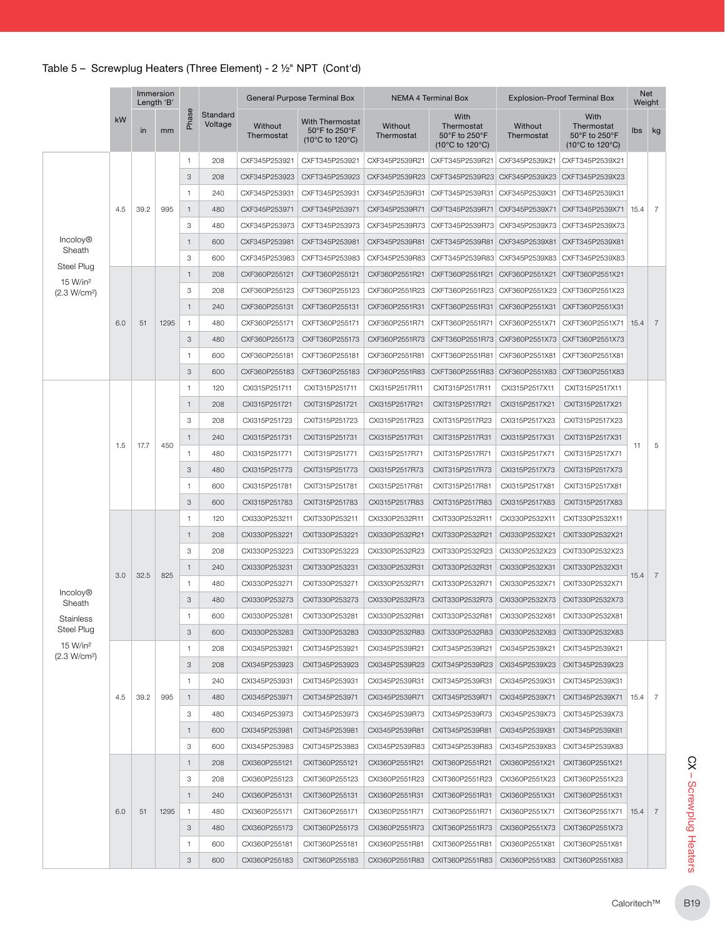| <b>Incoloy®</b><br>Sheath<br>Steel Plug<br>15 W/in <sup>2</sup><br>(2.3 W/cm <sup>2</sup> ) | kW<br>4.5<br>6.0 | in<br>39.2<br>51 | mm<br>995 | Phase<br>$\mathbf{1}$<br>3<br>$\overline{1}$<br>$\mathbf{1}$<br>3<br>$\mathbf{1}$<br>3<br>$\mathbf{1}$<br>3 | Standard<br>Voltage<br>208<br>208<br>240<br>480<br>480<br>600<br>600 | Without<br>Thermostat<br>CXF345P253921<br>CXF345P253923<br>CXF345P253931<br>CXF345P253971<br>CXF345P253973 | With Thermostat<br>50°F to 250°F<br>(10°C to 120°C)<br>CXFT345P253921<br>CXFT345P253923<br>CXFT345P253931<br>CXFT345P253971 | Without<br>Thermostat<br>CXF345P2539R21<br>CXF345P2539R23 | With<br>Thermostat<br>50°F to 250°F<br>$(10^{\circ}$ C to 120 $^{\circ}$ C)<br>CXFT345P2539R21 | <b>Without</b><br>Thermostat<br>CXF345P2539X21 | With<br>Thermostat<br>50°F to 250°F<br>(10°C to 120°C)<br>CXFT345P2539X21 | lbs kg         |                 |                |                 |                |                 |
|---------------------------------------------------------------------------------------------|------------------|------------------|-----------|-------------------------------------------------------------------------------------------------------------|----------------------------------------------------------------------|------------------------------------------------------------------------------------------------------------|-----------------------------------------------------------------------------------------------------------------------------|-----------------------------------------------------------|------------------------------------------------------------------------------------------------|------------------------------------------------|---------------------------------------------------------------------------|----------------|-----------------|----------------|-----------------|----------------|-----------------|
|                                                                                             |                  |                  |           |                                                                                                             |                                                                      |                                                                                                            |                                                                                                                             |                                                           |                                                                                                |                                                |                                                                           |                |                 |                |                 |                |                 |
|                                                                                             |                  |                  |           |                                                                                                             |                                                                      |                                                                                                            |                                                                                                                             |                                                           |                                                                                                |                                                |                                                                           |                |                 |                |                 |                |                 |
|                                                                                             |                  |                  |           |                                                                                                             |                                                                      |                                                                                                            |                                                                                                                             |                                                           | CXFT345P2539R23                                                                                | CXF345P2539X23                                 | CXFT345P2539X23                                                           |                |                 |                |                 |                |                 |
|                                                                                             |                  |                  |           |                                                                                                             |                                                                      |                                                                                                            |                                                                                                                             | CXF345P2539R31                                            | CXFT345P2539R31                                                                                | CXF345P2539X31                                 | CXFT345P2539X31                                                           | 15.4           |                 |                |                 |                |                 |
|                                                                                             |                  |                  |           |                                                                                                             |                                                                      |                                                                                                            |                                                                                                                             | CXF345P2539R71                                            | CXFT345P2539R71                                                                                | CXF345P2539X71                                 | CXFT345P2539X71                                                           |                | $\overline{7}$  |                |                 |                |                 |
|                                                                                             |                  |                  |           |                                                                                                             |                                                                      |                                                                                                            | CXFT345P253973                                                                                                              | CXF345P2539R73                                            | CXFT345P2539R73                                                                                | CXF345P2539X73                                 | CXFT345P2539X73                                                           |                |                 |                |                 |                |                 |
|                                                                                             |                  |                  |           |                                                                                                             |                                                                      | CXF345P253981                                                                                              | CXFT345P253981                                                                                                              | CXF345P2539R81                                            | CXFT345P2539R81                                                                                | CXF345P2539X81                                 | CXFT345P2539X81                                                           |                |                 |                |                 |                |                 |
|                                                                                             |                  |                  |           |                                                                                                             |                                                                      | CXF345P253983                                                                                              | CXFT345P253983                                                                                                              | CXF345P2539R83                                            | CXFT345P2539R83                                                                                | CXF345P2539X83                                 | CXFT345P2539X83                                                           |                |                 |                |                 |                |                 |
|                                                                                             |                  |                  |           |                                                                                                             | 208                                                                  | CXF360P255121                                                                                              | CXFT360P255121                                                                                                              | CXF360P2551R21                                            | CXFT360P2551R21                                                                                | CXF360P2551X21                                 | CXFT360P2551X21                                                           |                |                 |                |                 |                |                 |
|                                                                                             |                  |                  |           |                                                                                                             | 208                                                                  | CXF360P255123                                                                                              | CXFT360P255123                                                                                                              | CXF360P2551R23                                            | CXFT360P2551R23                                                                                | CXF360P2551X23                                 | CXFT360P2551X23                                                           |                |                 |                |                 |                |                 |
|                                                                                             |                  |                  |           | $\mathbf{1}$                                                                                                | 240                                                                  | CXF360P255131                                                                                              | CXFT360P255131                                                                                                              | CXF360P2551R31                                            | CXFT360P2551R31                                                                                | CXF360P2551X31                                 | CXFT360P2551X31                                                           |                |                 |                |                 |                |                 |
|                                                                                             |                  |                  | 1295      | $\mathbf{1}$                                                                                                | 480                                                                  | CXF360P255171                                                                                              | CXFT360P255171                                                                                                              | CXF360P2551R71                                            | CXFT360P2551R71                                                                                | CXF360P2551X71                                 | CXFT360P2551X71                                                           | 15.4           | $\overline{7}$  |                |                 |                |                 |
|                                                                                             |                  |                  |           | 3                                                                                                           | 480                                                                  | CXF360P255173                                                                                              | CXFT360P255173                                                                                                              | CXF360P2551R73                                            | CXFT360P2551R73                                                                                | CXF360P2551X73                                 | CXFT360P2551X73                                                           |                |                 |                |                 |                |                 |
|                                                                                             |                  |                  |           | $\overline{1}$                                                                                              | 600                                                                  | CXF360P255181                                                                                              | CXFT360P255181                                                                                                              | CXF360P2551R81                                            | CXFT360P2551R81                                                                                | CXF360P2551X81                                 | CXFT360P2551X81                                                           |                |                 |                |                 |                |                 |
|                                                                                             |                  |                  |           | 3                                                                                                           | 600                                                                  | CXF360P255183                                                                                              | CXFT360P255183                                                                                                              | CXF360P2551R83                                            | CXFT360P2551R83                                                                                | CXF360P2551X83                                 | CXFT360P2551X83                                                           |                |                 |                |                 |                |                 |
|                                                                                             |                  |                  |           | $\overline{1}$                                                                                              | 120                                                                  | CXI315P251711                                                                                              | CXIT315P251711                                                                                                              | CXI315P2517R11                                            | CXIT315P2517R11                                                                                | CXI315P2517X11                                 | CXIT315P2517X11                                                           |                |                 |                |                 |                |                 |
|                                                                                             |                  |                  |           | $\mathbf{1}$                                                                                                | 208                                                                  | CXI315P251721                                                                                              | CXIT315P251721                                                                                                              | CXI315P2517R21                                            | CXIT315P2517R21                                                                                | CXI315P2517X21                                 | CXIT315P2517X21                                                           |                |                 |                |                 |                |                 |
|                                                                                             |                  |                  |           |                                                                                                             |                                                                      |                                                                                                            |                                                                                                                             | 3                                                         | 208                                                                                            | CXI315P251723                                  | CXIT315P251723                                                            | CXI315P2517R23 | CXIT315P2517R23 | CXI315P2517X23 | CXIT315P2517X23 |                |                 |
|                                                                                             |                  |                  |           |                                                                                                             |                                                                      |                                                                                                            |                                                                                                                             |                                                           |                                                                                                |                                                |                                                                           | $\mathbf{1}$   | 240             | CXI315P251731  | CXIT315P251731  | CXI315P2517R31 | CXIT315P2517R31 |
|                                                                                             | 1.5              | 17.7             | 450       |                                                                                                             |                                                                      |                                                                                                            |                                                                                                                             |                                                           |                                                                                                |                                                |                                                                           | 11             | 5               |                |                 |                |                 |
|                                                                                             |                  |                  |           | $\overline{1}$                                                                                              | 480                                                                  | CXI315P251771                                                                                              | CXIT315P251771                                                                                                              | CXI315P2517R71                                            | CXIT315P2517R71                                                                                | CXI315P2517X71                                 | CXIT315P2517X71                                                           |                |                 |                |                 |                |                 |
|                                                                                             |                  |                  |           | 3                                                                                                           | 480                                                                  | CXI315P251773                                                                                              | CXIT315P251773                                                                                                              | CXI315P2517R73                                            | CXIT315P2517R73                                                                                | CXI315P2517X73                                 | CXIT315P2517X73                                                           |                |                 |                |                 |                |                 |
|                                                                                             |                  |                  |           | $\overline{1}$                                                                                              | 600                                                                  | CXI315P251781                                                                                              | CXIT315P251781                                                                                                              | CXI315P2517R81                                            | CXIT315P2517R81                                                                                | CXI315P2517X81                                 | CXIT315P2517X81                                                           |                |                 |                |                 |                |                 |
|                                                                                             |                  |                  |           | 3                                                                                                           | 600                                                                  | CXI315P251783                                                                                              | CXIT315P251783                                                                                                              | CXI315P2517R83                                            | CXIT315P2517R83                                                                                | CXI315P2517X83                                 | CXIT315P2517X83                                                           |                |                 |                |                 |                |                 |
|                                                                                             |                  |                  |           | $\overline{1}$                                                                                              | 120                                                                  | CXI330P253211                                                                                              | CXIT330P253211                                                                                                              | CXI330P2532R11                                            | CXIT330P2532R11                                                                                | CXI330P2532X11                                 | CXIT330P2532X11                                                           |                |                 |                |                 |                |                 |
|                                                                                             |                  |                  |           | $\overline{1}$                                                                                              | 208                                                                  | CXI330P253221                                                                                              | CXIT330P253221                                                                                                              | CXI330P2532R21                                            | CXIT330P2532R21                                                                                | CXI330P2532X21                                 | CXIT330P2532X21                                                           |                | $\overline{7}$  |                |                 |                |                 |
|                                                                                             |                  |                  |           | 3                                                                                                           | 208                                                                  | CXI330P253223                                                                                              | CXIT330P253223                                                                                                              | CXI330P2532R23                                            | CXIT330P2532R23                                                                                | CXI330P2532X23                                 | CXIT330P2532X23                                                           |                |                 |                |                 |                |                 |
|                                                                                             | 3.0              | 32.5             | 825       | $\mathbf{1}$                                                                                                | 240                                                                  | CXI330P253231                                                                                              | CXIT330P253231                                                                                                              | CXI330P2532R31                                            | CXIT330P2532R31                                                                                | CXI330P2532X31                                 | CXIT330P2532X31                                                           | 15.4           |                 |                |                 |                |                 |
| <b>Incoloy®</b>                                                                             |                  |                  |           | $\mathbf{1}$                                                                                                | 480                                                                  | CXI330P253271                                                                                              | CXIT330P253271                                                                                                              | CXI330P2532R71                                            | CXIT330P2532R71                                                                                | CXI330P2532X71                                 | CXIT330P2532X71                                                           |                |                 |                |                 |                |                 |
| Sheath                                                                                      |                  |                  |           | 3                                                                                                           | 480                                                                  | CXI330P253273                                                                                              | CXIT330P253273                                                                                                              | CXI330P2532R73                                            | CXIT330P2532R73                                                                                | CXI330P2532X73                                 | CXIT330P2532X73                                                           |                |                 |                |                 |                |                 |
| Stainless                                                                                   |                  |                  |           | 1                                                                                                           | 600                                                                  | CXI330P253281                                                                                              | CXIT330P253281                                                                                                              | CXI330P2532R81                                            | CXIT330P2532R81   CXI330P2532X81                                                               |                                                | CXIT330P2532X81                                                           |                |                 |                |                 |                |                 |
| Steel Plug                                                                                  |                  |                  |           | 3                                                                                                           | 600                                                                  | CXI330P253283                                                                                              | CXIT330P253283                                                                                                              | CXI330P2532R83                                            | CXIT330P2532R83                                                                                | CXI330P2532X83                                 | CXIT330P2532X83                                                           |                |                 |                |                 |                |                 |
| 15 W/in <sup>2</sup><br>(2.3 W/cm <sup>2</sup> )                                            |                  |                  |           | $\mathbf{1}$                                                                                                | 208                                                                  | CXI345P253921                                                                                              | CXIT345P253921                                                                                                              | CXI345P2539R21                                            | CXIT345P2539R21                                                                                | CXI345P2539X21                                 | CXIT345P2539X21                                                           |                |                 |                |                 |                |                 |
|                                                                                             |                  | 39.2             |           | $_{\rm 3}$                                                                                                  | 208                                                                  | CXI345P253923                                                                                              | CXIT345P253923                                                                                                              | CXI345P2539R23                                            | CXIT345P2539R23                                                                                | CXI345P2539X23                                 | CXIT345P2539X23                                                           |                |                 |                |                 |                |                 |
|                                                                                             |                  |                  |           | 995                                                                                                         |                                                                      |                                                                                                            |                                                                                                                             | $\overline{1}$                                            | 240                                                                                            | CXI345P253931                                  | CXIT345P253931                                                            | CXI345P2539R31 | CXIT345P2539R31 | CXI345P2539X31 | CXIT345P2539X31 |                |                 |
|                                                                                             | 4.5              |                  |           |                                                                                                             |                                                                      |                                                                                                            |                                                                                                                             | $\overline{1}$                                            | 480                                                                                            | CXI345P253971                                  | CXIT345P253971                                                            | CXI345P2539R71 | CXIT345P2539R71 | CXI345P2539X71 | CXIT345P2539X71 | 15.4           | -7              |
|                                                                                             |                  |                  |           | 3                                                                                                           | 480                                                                  | CXI345P253973                                                                                              | CXIT345P253973                                                                                                              | CXI345P2539R73                                            | CXIT345P2539R73                                                                                | CXI345P2539X73                                 | CXIT345P2539X73                                                           |                |                 |                |                 |                |                 |
|                                                                                             |                  |                  |           | $\mathbf{1}$                                                                                                | 600                                                                  | CXI345P253981                                                                                              | CXIT345P253981                                                                                                              | CXI345P2539R81                                            | CXIT345P2539R81                                                                                | CXI345P2539X81                                 | CXIT345P2539X81                                                           |                |                 |                |                 |                |                 |
|                                                                                             |                  |                  |           | 3                                                                                                           | 600                                                                  | CXI345P253983                                                                                              | CXIT345P253983                                                                                                              | CXI345P2539R83                                            | CXIT345P2539R83                                                                                | CXI345P2539X83                                 | CXIT345P2539X83                                                           |                |                 |                |                 |                |                 |
|                                                                                             |                  |                  |           | $\mathbf{1}$                                                                                                | 208                                                                  | CXI360P255121                                                                                              | CXIT360P255121                                                                                                              | CXI360P2551R21                                            | CXIT360P2551R21                                                                                | CXI360P2551X21                                 | CXIT360P2551X21                                                           |                |                 |                |                 |                |                 |
|                                                                                             |                  |                  |           | 3                                                                                                           | 208                                                                  | CXI360P255123                                                                                              | CXIT360P255123                                                                                                              | CXI360P2551R23                                            | CXIT360P2551R23                                                                                | CXI360P2551X23                                 | CXIT360P2551X23                                                           |                |                 |                |                 |                |                 |
|                                                                                             |                  |                  |           | $\mathbf{1}$                                                                                                | 240                                                                  | CXI360P255131                                                                                              | CXIT360P255131                                                                                                              | CXI360P2551R31                                            | CXIT360P2551R31                                                                                | CXI360P2551X31                                 | CXIT360P2551X31                                                           |                |                 |                |                 |                |                 |
|                                                                                             | 6.0              | 51               | 1295      | $\overline{1}$                                                                                              | 480                                                                  | CXI360P255171                                                                                              | CXIT360P255171                                                                                                              | CXI360P2551R71                                            | CXIT360P2551R71                                                                                | CXI360P2551X71                                 | CXIT360P2551X71                                                           | 15.4           | 7               |                |                 |                |                 |
|                                                                                             |                  |                  |           | 3                                                                                                           | 480                                                                  | CXI360P255173                                                                                              | CXIT360P255173                                                                                                              | CXI360P2551R73                                            | CXIT360P2551R73                                                                                | CXI360P2551X73                                 | CXIT360P2551X73                                                           |                |                 |                |                 |                |                 |
|                                                                                             |                  |                  |           | $\overline{1}$                                                                                              | 600                                                                  | CXI360P255181                                                                                              | CXIT360P255181                                                                                                              | CXI360P2551R81                                            | CXIT360P2551R81                                                                                | CXI360P2551X81                                 | CXIT360P2551X81                                                           |                |                 |                |                 |                |                 |
|                                                                                             |                  |                  |           | 3                                                                                                           | 600                                                                  | CXI360P255183                                                                                              | CXIT360P255183                                                                                                              | CXI360P2551R83                                            | CXIT360P2551R83                                                                                | CXI360P2551X83                                 | CXIT360P2551X83                                                           |                |                 |                |                 |                |                 |